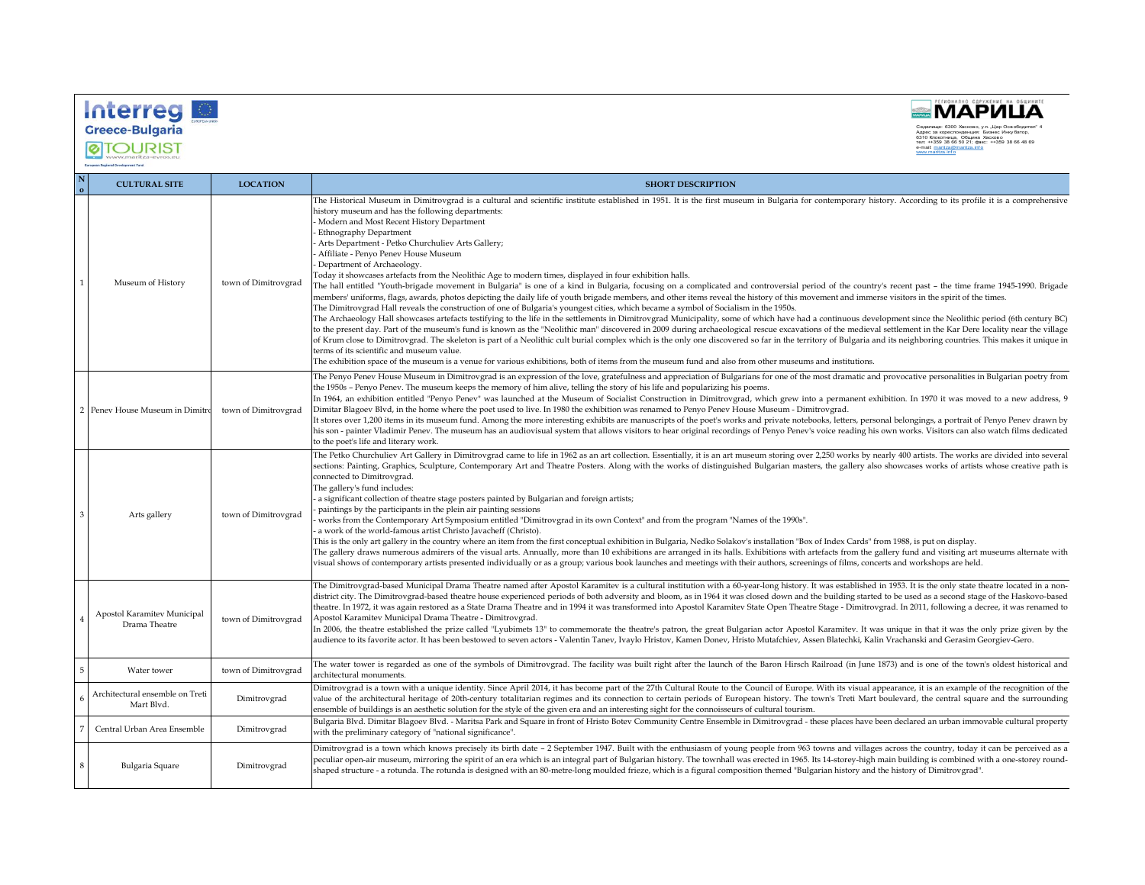



**ØTOURIST** -<br>European Regional Development Fund

| <b>CULTURAL SITE</b>                          | <b>LOCATION</b>      | <b>SHORT DESCRIPTION</b>                                                                                                                                                                                                                                                                                                                                                                                                                                                                                                                                                                                                                                                                                                                                                                                                                                                                                                                                                                                                                                                                                                                                                                                                                                                                                                                                                                                                                                                                                                                                                                                                                                                                                                                                                                                                                                                                                                                                                                                  |
|-----------------------------------------------|----------------------|-----------------------------------------------------------------------------------------------------------------------------------------------------------------------------------------------------------------------------------------------------------------------------------------------------------------------------------------------------------------------------------------------------------------------------------------------------------------------------------------------------------------------------------------------------------------------------------------------------------------------------------------------------------------------------------------------------------------------------------------------------------------------------------------------------------------------------------------------------------------------------------------------------------------------------------------------------------------------------------------------------------------------------------------------------------------------------------------------------------------------------------------------------------------------------------------------------------------------------------------------------------------------------------------------------------------------------------------------------------------------------------------------------------------------------------------------------------------------------------------------------------------------------------------------------------------------------------------------------------------------------------------------------------------------------------------------------------------------------------------------------------------------------------------------------------------------------------------------------------------------------------------------------------------------------------------------------------------------------------------------------------|
| Museum of History                             | town of Dimitrovgrad | The Historical Museum in Dimitrovgrad is a cultural and scientific institute established in 1951. It is the first museum in Bulgaria for contemporary history. According to its profile it is a comprehensive<br>history museum and has the following departments:<br>Modern and Most Recent History Department<br>Ethnography Department<br>Arts Department - Petko Churchuliev Arts Gallery;<br>Affiliate - Penyo Penev House Museum<br>Department of Archaeology.<br>Today it showcases artefacts from the Neolithic Age to modern times, displayed in four exhibition halls.<br>The hall entitled "Youth-brigade movement in Bulgaria" is one of a kind in Bulgaria, focusing on a complicated and controversial period of the country's recent past - the time frame 1945-1990. Brigade<br>members' uniforms, flags, awards, photos depicting the daily life of youth brigade members, and other items reveal the history of this movement and immerse visitors in the spirit of the times.<br>The Dimitrovgrad Hall reveals the construction of one of Bulgaria's youngest cities, which became a symbol of Socialism in the 1950s.<br>The Archaeology Hall showcases artefacts testifying to the life in the settlements in Dimitrovgrad Municipality, some of which have had a continuous development since the Neolithic period (6th century BC)<br>to the present day. Part of the museum's fund is known as the "Neolithic man" discovered in 2009 during archaeological rescue excavations of the medieval settlement in the Kar Dere locality near the village<br>of Krum close to Dimitrovgrad. The skeleton is part of a Neolithic cult burial complex which is the only one discovered so far in the territory of Bulgaria and its neighboring countries. This makes it unique in<br>terms of its scientific and museum value.<br>The exhibition space of the museum is a venue for various exhibitions, both of items from the museum fund and also from other museums and institutions. |
| 2 Penev House Museum in Dimitro               | town of Dimitrovgrad | The Penyo Penev House Museum in Dimitrovgrad is an expression of the love, gratefulness and appreciation of Bulgarians for one of the most dramatic and provocative personalities in Bulgarian poetry from<br>the 1950s – Penyo Penev. The museum keeps the memory of him alive, telling the story of his life and popularizing his poems.<br>In 1964, an exhibition entitled "Penyo Penev" was launched at the Museum of Socialist Construction in Dimitrovgrad, which grew into a permanent exhibition. In 1970 it was moved to a new address, 9<br>Dimitar Blagoev Blvd, in the home where the poet used to live. In 1980 the exhibition was renamed to Penyo Penev House Museum - Dimitrovgrad.<br>It stores over 1,200 items in its museum fund. Among the more interesting exhibits are manuscripts of the poet's works and private notebooks, letters, personal belongings, a portrait of Penyo Penev drawn by<br>his son - painter Vladimir Penev. The museum has an audiovisual system that allows visitors to hear original recordings of Penyo Penev's voice reading his own works. Visitors can also watch films dedicated<br>to the poet's life and literary work.                                                                                                                                                                                                                                                                                                                                                                                                                                                                                                                                                                                                                                                                                                                                                                                                                           |
| Arts gallery                                  | town of Dimitrovgrad | The Petko Churchuliev Art Gallery in Dimitrovgrad came to life in 1962 as an art collection. Essentially, it is an art museum storing over 2,250 works by nearly 400 artists. The works are divided into several<br>sections: Painting, Graphics, Sculpture, Contemporary Art and Theatre Posters. Along with the works of distinguished Bulgarian masters, the gallery also showcases works of artists whose creative path is<br>connected to Dimitrovgrad.<br>The gallery's fund includes:<br>a significant collection of theatre stage posters painted by Bulgarian and foreign artists;<br>paintings by the participants in the plein air painting sessions<br>works from the Contemporary Art Symposium entitled "Dimitrovgrad in its own Context" and from the program "Names of the 1990s".<br>a work of the world-famous artist Christo Javacheff (Christo).<br>This is the only art gallery in the country where an item from the first conceptual exhibition in Bulgaria, Nedko Solakov's installation "Box of Index Cards" from 1988, is put on display.<br>The gallery draws numerous admirers of the visual arts. Annually, more than 10 exhibitions are arranged in its halls. Exhibitions with artefacts from the gallery fund and visiting art museums alternate with<br>visual shows of contemporary artists presented individually or as a group; various book launches and meetings with their authors, screenings of films, concerts and workshops are held.                                                                                                                                                                                                                                                                                                                                                                                                                                                                                                                          |
| Apostol Karamitev Municipal<br>Drama Theatre  | town of Dimitrovgrad | The Dimitrovgrad-based Municipal Drama Theatre named after Apostol Karamitev is a cultural institution with a 60-year-long history. It was established in 1953. It is the only state theatre located in a non-<br>district city. The Dimitrovgrad-based theatre house experienced periods of both adversity and bloom, as in 1964 it was closed down and the building started to be used as a second stage of the Haskovo-based<br>theatre. In 1972, it was again restored as a State Drama Theatre and in 1994 it was transformed into Apostol Karamitev State Open Theatre Stage - Dimitrovgrad. In 2011, following a decree, it was renamed to<br>Apostol Karamitev Municipal Drama Theatre - Dimitrovgrad.<br>In 2006, the theatre established the prize called "Lyubimets 13" to commemorate the theatre's patron, the great Bulgarian actor Apostol Karamitev. It was unique in that it was the only prize given by the<br>audience to its favorite actor. It has been bestowed to seven actors - Valentin Tanev, Ivaylo Hristov, Kamen Donev, Hristo Mutafchiev, Assen Blatechki, Kalin Vrachanski and Gerasim Georgiev-Gero.                                                                                                                                                                                                                                                                                                                                                                                                                                                                                                                                                                                                                                                                                                                                                                                                                                                                      |
| Water tower                                   | town of Dimitrovgrad | The water tower is regarded as one of the symbols of Dimitrovgrad. The facility was built right after the launch of the Baron Hirsch Railroad (in June 1873) and is one of the town's oldest historical and<br>architectural monuments.                                                                                                                                                                                                                                                                                                                                                                                                                                                                                                                                                                                                                                                                                                                                                                                                                                                                                                                                                                                                                                                                                                                                                                                                                                                                                                                                                                                                                                                                                                                                                                                                                                                                                                                                                                   |
| Architectural ensemble on Treti<br>Mart Blvd. | Dimitrovgrad         | Dimitrovgrad is a town with a unique identity. Since April 2014, it has become part of the 27th Cultural Route to the Council of Europe. With its visual appearance, it is an example of the recognition of the<br>value of the architectural heritage of 20th-century totalitarian regimes and its connection to certain periods of European history. The town's Treti Mart boulevard, the central square and the surrounding<br>ensemble of buildings is an aesthetic solution for the style of the given era and an interesting sight for the connoisseurs of cultural tourism.                                                                                                                                                                                                                                                                                                                                                                                                                                                                                                                                                                                                                                                                                                                                                                                                                                                                                                                                                                                                                                                                                                                                                                                                                                                                                                                                                                                                                        |
| Central Urban Area Ensemble                   | Dimitrovgrad         | Bulgaria Blvd. Dimitar Blagoev Blvd. - Maritsa Park and Square in front of Hristo Botev Community Centre Ensemble in Dimitrovgrad - these places have been declared an urban immovable cultural property<br>with the preliminary category of "national significance".                                                                                                                                                                                                                                                                                                                                                                                                                                                                                                                                                                                                                                                                                                                                                                                                                                                                                                                                                                                                                                                                                                                                                                                                                                                                                                                                                                                                                                                                                                                                                                                                                                                                                                                                     |
| Bulgaria Square                               | Dimitrovgrad         | Dimitrovgrad is a town which knows precisely its birth date - 2 September 1947. Built with the enthusiasm of young people from 963 towns and villages across the country, today it can be perceived as a<br>beculiar open-air museum, mirroring the spirit of an era which is an integral part of Bulgarian history. The townhall was erected in 1965. Its 14-storey-high main building is combined with a one-storey round-<br>shaped structure - a rotunda. The rotunda is designed with an 80-metre-long moulded frieze, which is a figural composition themed "Bulgarian history and the history of Dimitrovgrad".                                                                                                                                                                                                                                                                                                                                                                                                                                                                                                                                                                                                                                                                                                                                                                                                                                                                                                                                                                                                                                                                                                                                                                                                                                                                                                                                                                                    |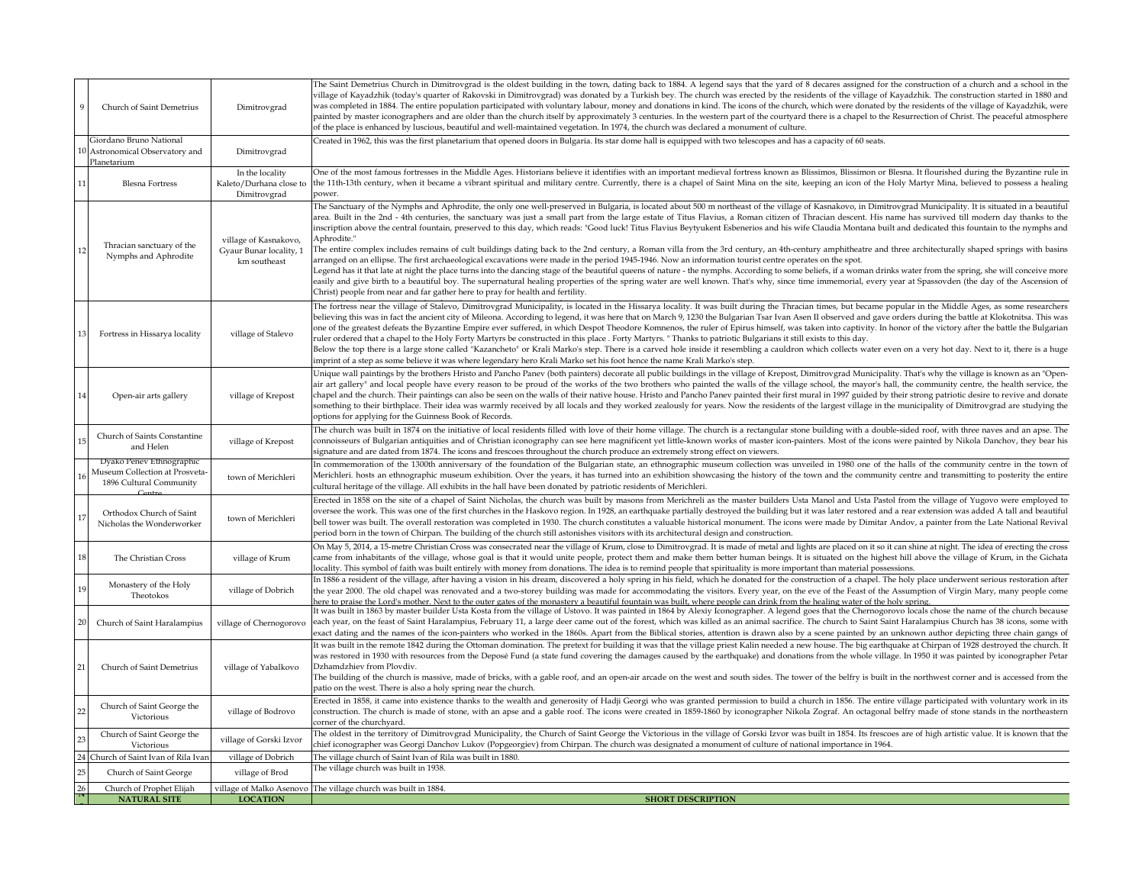| Church of Saint Demetrius                                                             | Dimitrovgrad                                                     | The Saint Demetrius Church in Dimitrovgrad is the oldest building in the town, dating back to 1884. A legend says that the yard of 8 decares assigned for the construction of a church and a school in the<br>village of Kayadzhik (today's quarter of Rakovski in Dimitrovgrad) was donated by a Turkish bey. The church was erected by the residents of the village of Kayadzhik. The construction started in 1880 and<br>was completed in 1884. The entire population participated with voluntary labour, money and donations in kind. The icons of the church, which were donated by the residents of the village of Kayadzhik, were<br>painted by master iconographers and are older than the church itself by approximately 3 centuries. In the western part of the courtyard there is a chapel to the Resurrection of Christ. The peaceful atmosphere<br>of the place is enhanced by luscious, beautiful and well-maintained vegetation. In 1974, the church was declared a monument of culture.                                                                                                                                                                                                                                                                                                                                                                                                                                                                                                                                                     |
|---------------------------------------------------------------------------------------|------------------------------------------------------------------|-------------------------------------------------------------------------------------------------------------------------------------------------------------------------------------------------------------------------------------------------------------------------------------------------------------------------------------------------------------------------------------------------------------------------------------------------------------------------------------------------------------------------------------------------------------------------------------------------------------------------------------------------------------------------------------------------------------------------------------------------------------------------------------------------------------------------------------------------------------------------------------------------------------------------------------------------------------------------------------------------------------------------------------------------------------------------------------------------------------------------------------------------------------------------------------------------------------------------------------------------------------------------------------------------------------------------------------------------------------------------------------------------------------------------------------------------------------------------------------------------------------------------------------------------------------|
| Giordano Bruno National<br>Astronomical Observatory and<br>Planetarium                | Dimitrovgrad                                                     | Created in 1962, this was the first planetarium that opened doors in Bulgaria. Its star dome hall is equipped with two telescopes and has a capacity of 60 seats.                                                                                                                                                                                                                                                                                                                                                                                                                                                                                                                                                                                                                                                                                                                                                                                                                                                                                                                                                                                                                                                                                                                                                                                                                                                                                                                                                                                           |
| <b>Blesna Fortress</b>                                                                | In the locality<br>Kaleto/Durhana close t<br>Dimitrovgrad        | One of the most famous fortresses in the Middle Ages. Historians believe it identifies with an important medieval fortress known as Blissimos, Blissimon or Blesna. It flourished during the Byzantine rule in<br>the 11th-13th century, when it became a vibrant spiritual and military centre. Currently, there is a chapel of Saint Mina on the site, keeping an icon of the Holy Martyr Mina, believed to possess a healing<br>ower.                                                                                                                                                                                                                                                                                                                                                                                                                                                                                                                                                                                                                                                                                                                                                                                                                                                                                                                                                                                                                                                                                                                    |
| Thracian sanctuary of the<br>Nymphs and Aphrodite                                     | village of Kasnakovo,<br>Gyaur Bunar locality, 1<br>km southeast | The Sanctuary of the Nymphs and Aphrodite, the only one well-preserved in Bulgaria, is located about 500 m northeast of the village of Kasnakovo, in Dimitrovgrad Municipality. It is situated in a beautiful<br>area. Built in the 2nd - 4th centuries, the sanctuary was just a small part from the large estate of Titus Flavius, a Roman citizen of Thracian descent. His name has survived till modern day thanks to the<br>inscription above the central fountain, preserved to this day, which reads: "Good luck! Titus Flavius Beytyukent Esbenerios and his wife Claudia Montana built and dedicated this fountain to the nymphs and<br>Aphrodite."<br>The entire complex includes remains of cult buildings dating back to the 2nd century, a Roman villa from the 3rd century, an 4th-century amphitheatre and three architecturally shaped springs with basins<br>arranged on an ellipse. The first archaeological excavations were made in the period 1945-1946. Now an information tourist centre operates on the spot.<br>Legend has it that late at night the place turns into the dancing stage of the beautiful queens of nature - the nymphs. According to some beliefs, if a woman drinks water from the spring, she will conceive more<br>easily and give birth to a beautiful boy. The supernatural healing properties of the spring water are well known. That's why, since time immemorial, every year at Spassovden (the day of the Ascension of<br>Christ) people from near and far gather here to pray for health and fertility. |
| Fortress in Hissarya locality                                                         | village of Stalevo                                               | The fortress near the village of Stalevo, Dimitrovgrad Municipality, is located in the Hissarya locality. It was built during the Thracian times, but became popular in the Middle Ages, as some researchers<br>believing this was in fact the ancient city of Mileona. According to legend, it was here that on March 9, 1230 the Bulgarian Tsar Ivan Asen II observed and gave orders during the battle at Klokotnitsa. This was<br>one of the greatest defeats the Byzantine Empire ever suffered, in which Despot Theodore Komnenos, the ruler of Epirus himself, was taken into captivity. In honor of the victory after the battle the Bulgarian<br>ruler ordered that a chapel to the Holy Forty Martyrs be constructed in this place . Forty Martyrs. "Thanks to patriotic Bulgarians it still exists to this day.<br>Below the top there is a large stone called "Kazancheto" or Krali Marko's step. There is a carved hole inside it resembling a cauldron which collects water even on a very hot day. Next to it, there is a huge<br>imprint of a step as some believe it was where legendary hero Krali Marko set his foot hence the name Krali Marko's step.                                                                                                                                                                                                                                                                                                                                                                                  |
| Open-air arts gallery                                                                 | village of Krepost                                               | Unique wall paintings by the brothers Hristo and Pancho Panev (both painters) decorate all public buildings in the village of Krepost, Dimitrovgrad Municipality. That's why the village is known as an "Open-<br>air art gallery" and local people have every reason to be proud of the works of the two brothers who painted the walls of the village school, the mayor's hall, the community centre, the health service, the<br>chapel and the church. Their paintings can also be seen on the walls of their native house. Hristo and Pancho Panev painted their first mural in 1997 guided by their strong patriotic desire to revive and donate<br>something to their birthplace. Their idea was warmly received by all locals and they worked zealously for years. Now the residents of the largest village in the municipality of Dimitrovgrad are studying the<br>options for applying for the Guinness Book of Records.                                                                                                                                                                                                                                                                                                                                                                                                                                                                                                                                                                                                                           |
| Church of Saints Constantine<br>and Helen                                             | village of Krepost                                               | The church was built in 1874 on the initiative of local residents filled with love of their home village. The church is a rectangular stone building with a double-sided roof, with three naves and an apse. The<br>connoisseurs of Bulgarian antiquities and of Christian iconography can see here magnificent yet little-known works of master icon-painters. Most of the icons were painted by Nikola Danchov, they bear his<br>signature and are dated from 1874. The icons and frescoes throughout the church produce an extremely strong effect on viewers.                                                                                                                                                                                                                                                                                                                                                                                                                                                                                                                                                                                                                                                                                                                                                                                                                                                                                                                                                                                           |
| Dyako Penev Ethnographic<br>Auseum Collection at Prosveta-<br>1896 Cultural Community | town of Merichleri                                               | In commemoration of the 1300th anniversary of the foundation of the Bulgarian state, an ethnographic museum collection was unveiled in 1980 one of the halls of the community centre in the town of<br>Merichleri. hosts an ethnographic museum exhibition. Over the years, it has turned into an exhibition showcasing the history of the town and the community centre and transmitting to posterity the entire<br>cultural heritage of the village. All exhibits in the hall have been donated by patriotic residents of Merichleri.                                                                                                                                                                                                                                                                                                                                                                                                                                                                                                                                                                                                                                                                                                                                                                                                                                                                                                                                                                                                                     |
| Orthodox Church of Saint<br>Nicholas the Wonderworker                                 | town of Merichleri                                               | Erected in 1858 on the site of a chapel of Saint Nicholas, the church was built by masons from Merichreli as the master builders Usta Manol and Usta Pastol from the village of Yugovo were employed to<br>oversee the work. This was one of the first churches in the Haskovo region. In 1928, an earthquake partially destroyed the building but it was later restored and a rear extension was added A tall and beautiful<br>bell tower was built. The overall restoration was completed in 1930. The church constitutes a valuable historical monument. The icons were made by Dimitar Andov, a painter from the Late National Revival<br>period born in the town of Chirpan. The building of the church still astonishes visitors with its architectural design and construction.                                                                                                                                                                                                                                                                                                                                                                                                                                                                                                                                                                                                                                                                                                                                                                      |
| The Christian Cross                                                                   | village of Krum                                                  | On May 5, 2014, a 15-metre Christian Cross was consecrated near the village of Krum, close to Dimitrovgrad. It is made of metal and lights are placed on it so it can shine at night. The idea of erecting the cross<br>came from inhabitants of the village, whose goal is that it would unite people, protect them and make them better human beings. It is situated on the highest hill above the village of Krum, in the Gichata<br>locality. This symbol of faith was built entirely with money from donations. The idea is to remind people that spirituality is more important than material possessions.                                                                                                                                                                                                                                                                                                                                                                                                                                                                                                                                                                                                                                                                                                                                                                                                                                                                                                                                            |
| Monastery of the Holy<br>Theotokos                                                    | village of Dobrich                                               | In 1886 a resident of the village, after having a vision in his dream, discovered a holy spring in his field, which he donated for the construction of a chapel. The holy place underwent serious restoration after<br>the year 2000. The old chapel was renovated and a two-storey building was made for accommodating the visitors. Every year, on the eve of the Feast of the Assumption of Virgin Mary, many people come<br>here to praise the Lord's mother. Next to the outer gates of the monastery a beautiful fountain was built, where people can drink from the healing water of the holy spring.                                                                                                                                                                                                                                                                                                                                                                                                                                                                                                                                                                                                                                                                                                                                                                                                                                                                                                                                                |
| Church of Saint Haralampius                                                           | village of Chernogorovo                                          | It was built in 1863 by master builder Usta Kosta from the village of Ustovo. It was painted in 1864 by Alexiy Iconographer. A legend goes that the Chernogorovo locals chose the name of the church because<br>each year, on the feast of Saint Haralampius, February 11, a large deer came out of the forest, which was killed as an animal sacrifice. The church to Saint Saint Haralampius Church has 38 icons, some with<br>xact dating and the names of the icon-painters who worked in the 1860s. Apart from the Biblical stories, attention is drawn also by a scene painted by an unknown author depicting three chain gangs of                                                                                                                                                                                                                                                                                                                                                                                                                                                                                                                                                                                                                                                                                                                                                                                                                                                                                                                    |
| Church of Saint Demetrius                                                             | village of Yabalkovo                                             | It was built in the remote 1842 during the Ottoman domination. The pretext for building it was that the village priest Kalin needed a new house. The big earthquake at Chirpan of 1928 destroyed the church. It<br>was restored in 1930 with resources from the Deposé Fund (a state fund covering the damages caused by the earthquake) and donations from the whole village. In 1950 it was painted by iconographer Petar<br>Dzhamdzhiev from Plovdiv.<br>The building of the church is massive, made of bricks, with a gable roof, and an open-air arcade on the west and south sides. The tower of the belfry is built in the northwest corner and is accessed from the<br>patio on the west. There is also a holy spring near the church.                                                                                                                                                                                                                                                                                                                                                                                                                                                                                                                                                                                                                                                                                                                                                                                                              |
| Church of Saint George the<br>Victorious                                              | village of Bodrovo                                               | Erected in 1858, it came into existence thanks to the wealth and generosity of Hadji Georgi who was granted permission to build a church in 1856. The entire village participated with voluntary work in its<br>construction. The church is made of stone, with an apse and a gable roof. The icons were created in 1859-1860 by iconographer Nikola Zograf. An octagonal belfry made of stone stands in the northeastern<br>corner of the churchyard.                                                                                                                                                                                                                                                                                                                                                                                                                                                                                                                                                                                                                                                                                                                                                                                                                                                                                                                                                                                                                                                                                                      |
| Church of Saint George the<br>Victorious                                              | village of Gorski Izvor                                          | The oldest in the territory of Dimitrovgrad Municipality, the Church of Saint George the Victorious in the village of Gorski Izvor was built in 1854. Its frescoes are of high artistic value. It is known that the<br>chief iconographer was Georgi Danchov Lukov (Popgeorgiev) from Chirpan. The church was designated a monument of culture of national importance in 1964.                                                                                                                                                                                                                                                                                                                                                                                                                                                                                                                                                                                                                                                                                                                                                                                                                                                                                                                                                                                                                                                                                                                                                                              |
| Church of Saint Ivan of Rila Ivan                                                     | village of Dobrich                                               | The village church of Saint Ivan of Rila was built in 1880.                                                                                                                                                                                                                                                                                                                                                                                                                                                                                                                                                                                                                                                                                                                                                                                                                                                                                                                                                                                                                                                                                                                                                                                                                                                                                                                                                                                                                                                                                                 |
| Church of Saint George                                                                | village of Brod                                                  | The village church was built in 1938.                                                                                                                                                                                                                                                                                                                                                                                                                                                                                                                                                                                                                                                                                                                                                                                                                                                                                                                                                                                                                                                                                                                                                                                                                                                                                                                                                                                                                                                                                                                       |
| Church of Prophet Elijah<br><b>NATURAL SITE</b>                                       | <b>LOCATION</b>                                                  | village of Malko Asenovo The village church was built in 1884<br><b>SHORT DESCRIPTION</b>                                                                                                                                                                                                                                                                                                                                                                                                                                                                                                                                                                                                                                                                                                                                                                                                                                                                                                                                                                                                                                                                                                                                                                                                                                                                                                                                                                                                                                                                   |
|                                                                                       |                                                                  |                                                                                                                                                                                                                                                                                                                                                                                                                                                                                                                                                                                                                                                                                                                                                                                                                                                                                                                                                                                                                                                                                                                                                                                                                                                                                                                                                                                                                                                                                                                                                             |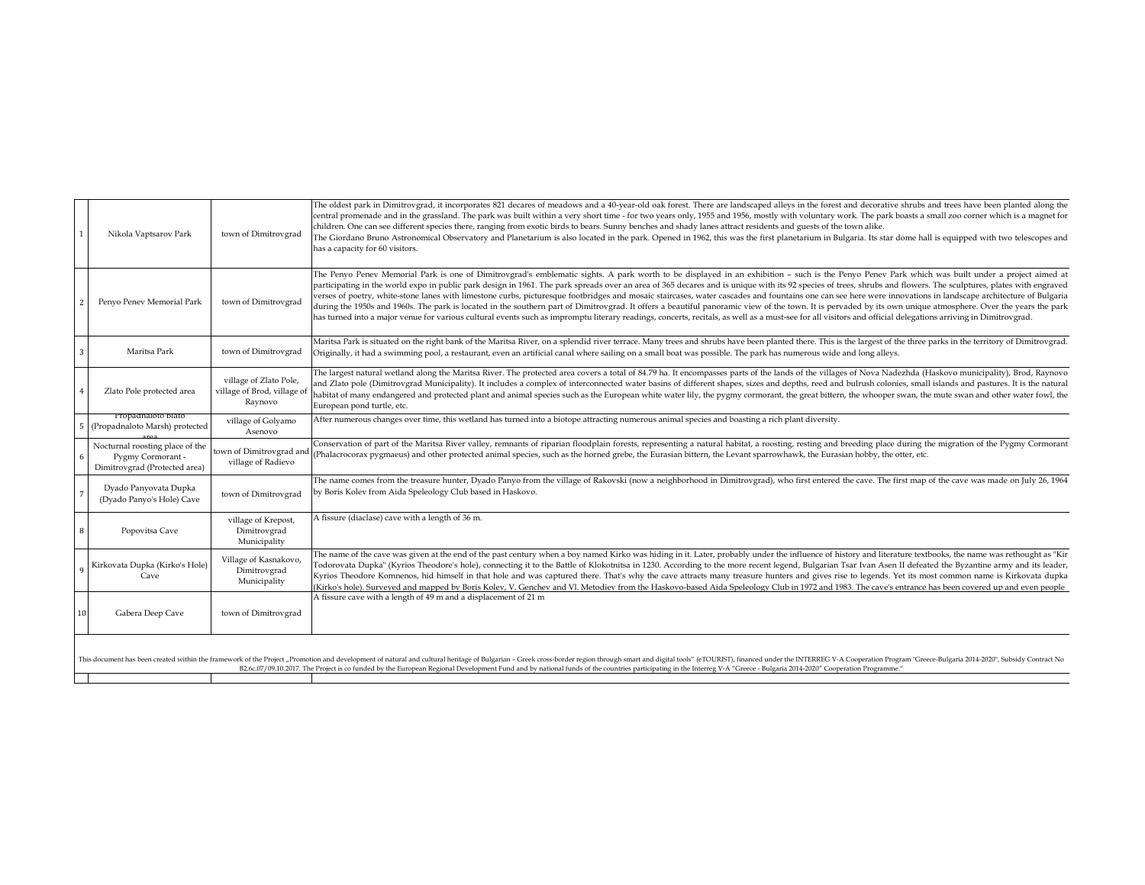|    | Nikola Vaptsarov Park                                                                                                                                                                                                                                                                                                                                                                                                                                   | town of Dimitrovgrad                                            | The oldest park in Dimitrovgrad, it incorporates 821 decares of meadows and a 40-year-old oak forest. There are landscaped alleys in the forest and decorative shrubs and trees have been planted along the<br>central promenade and in the grassland. The park was built within a very short time - for two years only, 1955 and 1956, mostly with voluntary work. The park boasts a small zoo corner which is a magnet for<br>children. One can see different species there, ranging from exotic birds to bears. Sunny benches and shady lanes attract residents and guests of the town alike.<br>The Giordano Bruno Astronomical Observatory and Planetarium is also located in the park. Opened in 1962, this was the first planetarium in Bulgaria. Its star dome hall is equipped with two telescopes and<br>has a capacity for 60 visitors.                                                                                                                                                                                                                   |  |  |
|----|---------------------------------------------------------------------------------------------------------------------------------------------------------------------------------------------------------------------------------------------------------------------------------------------------------------------------------------------------------------------------------------------------------------------------------------------------------|-----------------------------------------------------------------|----------------------------------------------------------------------------------------------------------------------------------------------------------------------------------------------------------------------------------------------------------------------------------------------------------------------------------------------------------------------------------------------------------------------------------------------------------------------------------------------------------------------------------------------------------------------------------------------------------------------------------------------------------------------------------------------------------------------------------------------------------------------------------------------------------------------------------------------------------------------------------------------------------------------------------------------------------------------------------------------------------------------------------------------------------------------|--|--|
|    | Penyo Penev Memorial Park                                                                                                                                                                                                                                                                                                                                                                                                                               | town of Dimitrovgrad                                            | The Penyo Penev Memorial Park is one of Dimitrovgrad's emblematic sights. A park worth to be displayed in an exhibition - such is the Penyo Penev Park which was built under a project aimed at<br>participating in the world expo in public park design in 1961. The park spreads over an area of 365 decares and is unique with its 92 species of trees, shrubs and flowers. The sculptures, plates with engraved<br>verses of poetry, white-stone lanes with limestone curbs, picturesque footbridges and mosaic staircases, water cascades and fountains one can see here were innovations in landscape architecture of Bulgaria<br>during the 1950s and 1960s. The park is located in the southern part of Dimitrovgrad. It offers a beautiful panoramic view of the town. It is pervaded by its own unique atmosphere. Over the years the park<br>has turned into a major venue for various cultural events such as impromptu literary readings, concerts, recitals, as well as a must-see for all visitors and official delegations arriving in Dimitrovgrad. |  |  |
|    | Maritsa Park                                                                                                                                                                                                                                                                                                                                                                                                                                            | town of Dimitrovgrad                                            | Maritsa Park is situated on the right bank of the Maritsa River, on a splendid river terrace. Many trees and shrubs have been planted there. This is the largest of the three parks in the territory of Dimitrovgrad.<br>Originally, it had a swimming pool, a restaurant, even an artificial canal where sailing on a small boat was possible. The park has numerous wide and long alleys.                                                                                                                                                                                                                                                                                                                                                                                                                                                                                                                                                                                                                                                                          |  |  |
|    | Zlato Pole protected area                                                                                                                                                                                                                                                                                                                                                                                                                               | village of Zlato Pole,<br>village of Brod, village o<br>Raynovo | The largest natural wetland along the Maritsa River. The protected area covers a total of 84.79 ha. It encompasses parts of the lands of the villages of Nova Nadezhda (Haskovo municipality), Brod, Raynovo<br>and Zlato pole (Dimitrovgrad Municipality). It includes a complex of interconnected water basins of different shapes, sizes and depths, reed and bulrush colonies, small islands and pastures. It is the natural<br>habitat of many endangered and protected plant and animal species such as the European white water lily, the pygmy cormorant, the great bittern, the whooper swan, the mute swan and other water fowl, the<br>European pond turtle, etc.                                                                                                                                                                                                                                                                                                                                                                                         |  |  |
|    | Propadnaloto Blato<br>(Propadnaloto Marsh) protected                                                                                                                                                                                                                                                                                                                                                                                                    | village of Golyamo<br>Asenovo                                   | After numerous changes over time, this wetland has turned into a biotope attracting numerous animal species and boasting a rich plant diversity.                                                                                                                                                                                                                                                                                                                                                                                                                                                                                                                                                                                                                                                                                                                                                                                                                                                                                                                     |  |  |
|    | Nocturnal roosting place of the<br>Pygmy Cormorant<br>Dimitrovgrad (Protected area)                                                                                                                                                                                                                                                                                                                                                                     | town of Dimitrovgrad and<br>village of Radievo                  | Conservation of part of the Maritsa River valley, remnants of riparian floodplain forests, representing a natural habitat, a roosting, resting and breeding place during the migration of the Pygmy Cormorant<br>(Phalacrocorax pygmaeus) and other protected animal species, such as the horned grebe, the Eurasian bittern, the Levant sparrowhawk, the Eurasian hobby, the otter, etc.                                                                                                                                                                                                                                                                                                                                                                                                                                                                                                                                                                                                                                                                            |  |  |
|    | Dyado Panyovata Dupka<br>(Dyado Panyo's Hole) Cave                                                                                                                                                                                                                                                                                                                                                                                                      | town of Dimitrovgrad                                            | The name comes from the treasure hunter, Dyado Panyo from the village of Rakovski (now a neighborhood in Dimitrovgrad), who first entered the cave. The first map of the cave was made on July 26, 1964<br>by Boris Kolev from Aida Speleology Club based in Haskovo.                                                                                                                                                                                                                                                                                                                                                                                                                                                                                                                                                                                                                                                                                                                                                                                                |  |  |
| -8 | Popovitsa Cave                                                                                                                                                                                                                                                                                                                                                                                                                                          | village of Krepost,<br>Dimitrovgrad<br>Municipality             | A fissure (diaclase) cave with a length of 36 m.                                                                                                                                                                                                                                                                                                                                                                                                                                                                                                                                                                                                                                                                                                                                                                                                                                                                                                                                                                                                                     |  |  |
|    | Kirkovata Dupka (Kirko's Hole)<br>Cave                                                                                                                                                                                                                                                                                                                                                                                                                  | Village of Kasnakovo,<br>Dimitrovgrad<br>Municipality           | The name of the cave was given at the end of the past century when a boy named Kirko was hiding in it. Later, probably under the influence of history and literature textbooks, the name was rethought as "Kir<br>Todorovata Dupka" (Kyrios Theodore's hole), connecting it to the Battle of Klokotnitsa in 1230. According to the more recent legend, Bulgarian Tsar Ivan Asen II defeated the Byzantine army and its leader,<br>Kyrios Theodore Komnenos, hid himself in that hole and was captured there. That's why the cave attracts many treasure hunters and gives rise to legends. Yet its most common name is Kirkovata dupka<br>(Kirko's hole). Surveyed and mapped by Boris Kolev, V. Genchev and VI. Metodiev from the Haskovo-based Aida Speleology Club in 1972 and 1983. The cave's entrance has been covered up and even people                                                                                                                                                                                                                      |  |  |
|    | Gabera Deep Cave                                                                                                                                                                                                                                                                                                                                                                                                                                        | town of Dimitrovgrad                                            | A fissure cave with a length of 49 m and a displacement of 21 m                                                                                                                                                                                                                                                                                                                                                                                                                                                                                                                                                                                                                                                                                                                                                                                                                                                                                                                                                                                                      |  |  |
|    | This document has been created within the framework of the Project "Promotion and development of natural and cultural heritage of Bulgarian - Greek cross-border region through smart and digital tools" (eTOURIST), financed<br>B2.6c.07/09.10.2017. The Project is co funded by the European Regional Development Fund and by national funds of the countries participating in the Interreg V-A "Greece - Bulgaria 2014-2020" Cooperation Programme." |                                                                 |                                                                                                                                                                                                                                                                                                                                                                                                                                                                                                                                                                                                                                                                                                                                                                                                                                                                                                                                                                                                                                                                      |  |  |
|    |                                                                                                                                                                                                                                                                                                                                                                                                                                                         |                                                                 |                                                                                                                                                                                                                                                                                                                                                                                                                                                                                                                                                                                                                                                                                                                                                                                                                                                                                                                                                                                                                                                                      |  |  |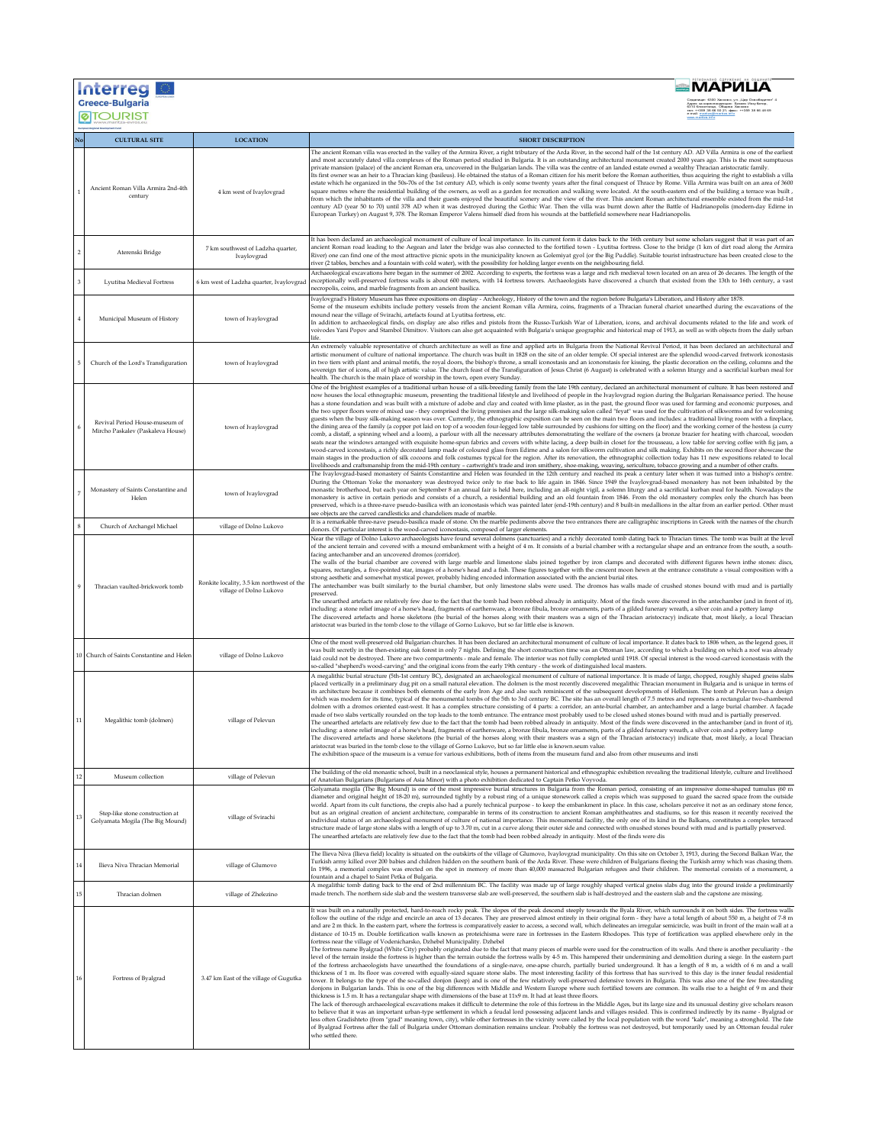|        | Interreg I                                                          |                                                                      | ВМАРИЦА                                                                                                                                                                                                                                                                                                                                                                                                                                                                                                                                                                                                                                                                                                                                                                                                                                                                                                                                                                                                                                                                                                                                                                                                                                                                                                                                                                                                                                                                                                                                                                                                                                                                                                                                                                                                                                                                                                                                                                                                                                                                                                                                                                                                                                                                                                                                                                                                                                                                                                                                                                                                                                                                                                                                                                                                                                                                                                                                             |
|--------|---------------------------------------------------------------------|----------------------------------------------------------------------|-----------------------------------------------------------------------------------------------------------------------------------------------------------------------------------------------------------------------------------------------------------------------------------------------------------------------------------------------------------------------------------------------------------------------------------------------------------------------------------------------------------------------------------------------------------------------------------------------------------------------------------------------------------------------------------------------------------------------------------------------------------------------------------------------------------------------------------------------------------------------------------------------------------------------------------------------------------------------------------------------------------------------------------------------------------------------------------------------------------------------------------------------------------------------------------------------------------------------------------------------------------------------------------------------------------------------------------------------------------------------------------------------------------------------------------------------------------------------------------------------------------------------------------------------------------------------------------------------------------------------------------------------------------------------------------------------------------------------------------------------------------------------------------------------------------------------------------------------------------------------------------------------------------------------------------------------------------------------------------------------------------------------------------------------------------------------------------------------------------------------------------------------------------------------------------------------------------------------------------------------------------------------------------------------------------------------------------------------------------------------------------------------------------------------------------------------------------------------------------------------------------------------------------------------------------------------------------------------------------------------------------------------------------------------------------------------------------------------------------------------------------------------------------------------------------------------------------------------------------------------------------------------------------------------------------------------------|
|        | <b>Greece-Bulgaria</b><br><b>@TOURIST</b>                           |                                                                      | 359 38 66 50 21; ¢                                                                                                                                                                                                                                                                                                                                                                                                                                                                                                                                                                                                                                                                                                                                                                                                                                                                                                                                                                                                                                                                                                                                                                                                                                                                                                                                                                                                                                                                                                                                                                                                                                                                                                                                                                                                                                                                                                                                                                                                                                                                                                                                                                                                                                                                                                                                                                                                                                                                                                                                                                                                                                                                                                                                                                                                                                                                                                                                  |
|        | <b>CULTURAL SITE</b>                                                | <b>LOCATION</b>                                                      | <b>SHORT DESCRIPTION</b>                                                                                                                                                                                                                                                                                                                                                                                                                                                                                                                                                                                                                                                                                                                                                                                                                                                                                                                                                                                                                                                                                                                                                                                                                                                                                                                                                                                                                                                                                                                                                                                                                                                                                                                                                                                                                                                                                                                                                                                                                                                                                                                                                                                                                                                                                                                                                                                                                                                                                                                                                                                                                                                                                                                                                                                                                                                                                                                            |
|        | Ancient Roman Villa Armira 2nd-4th<br>century                       | 4 km west of Ivaylovgrad                                             | The ancient Roman villa was erected in the valley of the Armira River, a right tributary of the Arda River, in the second half of the 1st century AD. AD Villa Armira is one of the earliest<br>and most accurately dated villa complexes of the Roman period studied in Bulgaria. It is an outstanding architectural monument created 2000 years ago. This is the most sumptuous<br>private mansion (palace) of the ancient Roman era, uncovered in the Bulgarian lands. The villa was the centre of an landed estate owned a wealthy Thracian aristocratic family.<br>Its first owner was an heir to a Thracian king (basileus). He obtained the status of a Roman citizen for his merit before the Roman authorities, thus acquiring the right to establish a villa<br>estate which he organized in the 50s-70s of the 1st century AD, which is only some twenty years after the final conquest of Thrace by Rome. Villa Armira was built on an area of 3600<br>, square metres where the residential building of the owners, as well as a garden for recreation and walking were located. At the south-eastern end of the building a terrace was built<br>from which the inhabitants of the villa and their guests enjoyed the beautiful scenery and the view of the river. This ancient Roman architectural ensemble existed from the mid-1st<br>century AD (year 50 to 70) until 378 AD when it was destroyed during the Gothic War. Then the villa was burnt down after the Battle of Hadrianopolis (modern-day Edirne in<br>.<br>European Turkey) on August 9, 378. The Roman Emperor Valens himself died from his wounds at the battlefield somewhere near Hadrianopolis.                                                                                                                                                                                                                                                                                                                                                                                                                                                                                                                                                                                                                                                                                                                                                                                                                                                                                                                                                                                                                                                                                                                                                                                                                                                                  |
|        | Aterenski Bridge                                                    | 7 km southwest of Ladzha quarter,<br>Ivaylovgrad                     | It has been declared an archaeological monument of culture of local importance. In its current form it dates back to the 16th century but some scholars suggest that it was part of an<br>ancient Roman road leading to the Aegean and later the bridge was also connected to the fortified town - Lyutitsa fortress. Close to the bridge (1 km of dirt road along the Armira<br>River) one can find one of the most attractive picnic spots in the municipality known as Golemiyat gyol (or the Big Puddle). Suitable tourist infrastructure has been created close to the<br>river (2 tables, benches and a fountain with cold water), with the possibility for holding larger events on the neighbouring field.                                                                                                                                                                                                                                                                                                                                                                                                                                                                                                                                                                                                                                                                                                                                                                                                                                                                                                                                                                                                                                                                                                                                                                                                                                                                                                                                                                                                                                                                                                                                                                                                                                                                                                                                                                                                                                                                                                                                                                                                                                                                                                                                                                                                                                  |
|        | Lyutitsa Medieval Fortress                                          | 6 km west of Ladzha quarter, Ivaylovgrad                             | Archaeological excavations here began in the summer of 2002. According to experts, the fortress was a large and rich medieval town located on an area of 26 decares. The length of the<br>xceptionally well-preserved fortress walls is about 600 meters, with 14 fortress towers. Archaeologists have discovered a church that existed from the 13th to 16th century, a vast<br>aecropolis, coins, and marble fragments from an ancient basilica.                                                                                                                                                                                                                                                                                                                                                                                                                                                                                                                                                                                                                                                                                                                                                                                                                                                                                                                                                                                                                                                                                                                                                                                                                                                                                                                                                                                                                                                                                                                                                                                                                                                                                                                                                                                                                                                                                                                                                                                                                                                                                                                                                                                                                                                                                                                                                                                                                                                                                                  |
|        | Municipal Museum of History                                         | town of Ivaylovgrad                                                  | vaylovgrad's History Museum has three expositions on display - Archeology, History of the town and the region before Bulgaria's Liberation, and History after 1878.<br>Some of the museum exhibits include pottery vessels from the ancient Roman villa Armira, coins, fragments of a Thracian funeral chariot unearthed during the excavations of the<br>mound near the village of Svirachi, artefacts found at Lyutitsa fortress, etc.<br>In addition to archaeological finds, on display are also rifles and pistols from the Russo-Turkish War of Liberation, icons, and archival documents related to the life and work of<br>voivodes Yani Popov and Stambol Dimitrov. Visitors can also get acquainted with Bulgaria's unique geographic and historical map of 1913, as well as with objects from the daily urban<br>life.                                                                                                                                                                                                                                                                                                                                                                                                                                                                                                                                                                                                                                                                                                                                                                                                                                                                                                                                                                                                                                                                                                                                                                                                                                                                                                                                                                                                                                                                                                                                                                                                                                                                                                                                                                                                                                                                                                                                                                                                                                                                                                                   |
|        | Church of the Lord's Transfiguration                                | town of Ivaylovgrad                                                  | An extremely valuable representative of church architecture as well as fine and applied arts in Bulgaria from the National Revival Period, it has been declared an architectural and<br>artistic monument of culture of national importance. The church was built in 1828 on the site of an older temple. Of special interest are the splendid wood-carved fretwork iconostasis<br>in two tiers with plant and animal motifs, the royal doors, the bishop's throne, a small iconostasis and an icononstasis for kissing, the plastic decoration on the ceiling, columns and the<br>sovereign tier of icons, all of high artistic value. The church feast of the Transfiguration of Jesus Christ (6 August) is celebrated with a solemn liturgy and a sacrificial kurban meal for<br>health. The church is the main place of worship in the town, open every Sunday.                                                                                                                                                                                                                                                                                                                                                                                                                                                                                                                                                                                                                                                                                                                                                                                                                                                                                                                                                                                                                                                                                                                                                                                                                                                                                                                                                                                                                                                                                                                                                                                                                                                                                                                                                                                                                                                                                                                                                                                                                                                                                 |
|        | Revival Period House-museum of<br>Mircho Paskalev (Paskaleva House) | town of Ivaylovgrad                                                  | One of the brightest examples of a traditional urban house of a silk-breeding family from the late 19th century, declared an architectural monument of culture. It has been restored and<br>now houses the local ethnographic museum, presenting the traditional lifestyle and livelihood of people in the Ivaylovgrad region during the Bulgarian Renaissance period. The house<br>has a stone foundation and was built with a mixture of adobe and clay and coated with lime plaster, as in the past, the ground floor was used for farming and economic purposes, and<br>the two upper floors were of mixed use - they comprised the living premises and the large silk-making salon called "feyat" was used for the cultivation of silkworms and for welcoming<br>guests when the busy silk-making season was over. Currently, the ethnographic exposition can be seen on the main two floors and includes: a traditional living room with a fireplace,<br>the dining area of the family (a copper pot laid on top of a wooden four-legged low table surrounded by cushions for sitting on the floor) and the working corner of the hostess (a curry<br>comb, a distaff, a spinning wheel and a loom), a parlour with all the necessary attributes demonstrating the welfare of the owners (a bronze brazier for heating with charcoal, wooden<br>seats near the windows arranged with exquisite home-spun fabrics and covers with white lacing, a deep built-in closet for the trousseau, a low table for serving coffee with fig jam, a<br>wood-carved iconostasis, a richly decorated lamp made of coloured glass from Edirne and a salon for silkworm cultivation and silk making. Exhibits on the second floor showcase the<br>main stages in the production of silk cocoons and folk costumes typical for the region. After its renovation, the ethnographic collection today has 11 new expositions related to local<br>ivelihoods and craftsmanship from the mid-19th century - cartwright's trade and iron smithery, shoe-making, weaving, sericulture, tobacco growing and a number of other crafts.                                                                                                                                                                                                                                                                                                                                                                                                                                                                                                                                                                                                                                                                                                                                                                                                                                  |
|        | Monastery of Saints Constantine and<br>Helen                        | town of Ivaylovgrad                                                  | The Ivaylovgrad-based monastery of Saints Constantine and Helen was founded in the 12th century and reached its peak a century later when it was turned into a bishop's centre.<br>During the Ottoman Yoke the monastery was destroyed twice only to rise back to life again in 1846. Since 1949 the Ivaylovgrad-based monastery has not been inhabited by the<br>monastic brotherhood, but each year on September 8 an annual fair is held here, including an all-night vigil, a solemn liturgy and a sacrificial kurban meal for health. Nowadays the<br>nonastery is active in certain periods and consists of a church, a residential building and an old fountain from 1846. From the old monastery complex only the church has been<br>preserved, which is a three-nave pseudo-basilica with an iconostasis which was painted later (end-19th century) and 8 built-in medallions in the altar from an earlier period. Other must-<br>see objects are the carved candlesticks and chandeliers made of marble.                                                                                                                                                                                                                                                                                                                                                                                                                                                                                                                                                                                                                                                                                                                                                                                                                                                                                                                                                                                                                                                                                                                                                                                                                                                                                                                                                                                                                                                                                                                                                                                                                                                                                                                                                                                                                                                                                                                                  |
|        | Church of Archangel Michael                                         | village of Dolno Lukovo                                              | It is a remarkable three-nave pseudo-basilica made of stone. On the marble pediments above the two entrances there are calligraphic inscriptions in Greek with the names of the church<br>donors. Of particular interest is the wood-carved iconostasis, composed of larger elements.                                                                                                                                                                                                                                                                                                                                                                                                                                                                                                                                                                                                                                                                                                                                                                                                                                                                                                                                                                                                                                                                                                                                                                                                                                                                                                                                                                                                                                                                                                                                                                                                                                                                                                                                                                                                                                                                                                                                                                                                                                                                                                                                                                                                                                                                                                                                                                                                                                                                                                                                                                                                                                                               |
|        | Thracian vaulted-brickwork tomb                                     | Ronkite locality, 3.5 km northwest of the<br>village of Dolno Lukovo | Near the village of Dolno Lukovo archaeologists have found several dolmens (sanctuaries) and a richly decorated tomb dating back to Thracian times. The tomb was built at the level<br>of the ancient terrain and covered with a mound embankment with a height of 4 m. It consists of a burial chamber with a rectangular shape and an entrance from the south, a south-<br>facing antechamber and an uncovered dromos (corridor).<br>The walls of the burial chamber are covered with large marble and limestone slabs joined together by iron clamps and decorated with different figures hewn inthe stones: discs,<br>squares, rectangles, a five-pointed star, images of a horse's head and a fish. These figures together with the crescent moon hewn at the entrance constitute a visual composition with a<br>strong aesthetic and somewhat mystical power, probably hiding encoded information associated with the ancient burial rites.<br>The antechamber was built similarly to the burial chamber, but only limestone slabs were used. The dromos has walls made of crushed stones bound with mud and is partially<br>preserved<br>The unearthed artefacts are relatively few due to the fact that the tomb had been robbed already in antiquity. Most of the finds were discovered in the antechamber (and in front of it),<br>including: a stone relief image of a horse's head, fragments of earthenware, a bronze fibula, bronze ornaments, parts of a gilded funerary wreath, a silver coin and a pottery lamp<br>The discovered artefacts and horse skeletons (the burial of the horses along with their masters was a sign of the Thracian aristocracy) indicate that, most likely, a local Thracian<br>aristocrat was buried in the tomb close to the village of Gorno Lukovo, but so far little else is known.                                                                                                                                                                                                                                                                                                                                                                                                                                                                                                                                                                                                                                                                                                                                                                                                                                                                                                                                                                                                                                                                                                                |
| 10     | Church of Saints Constantine and Helen                              | village of Dolno Lukovo                                              | One of the most well-preserved old Bulgarian churches. It has been declared an architectural monument of culture of local importance. It dates back to 1806 when, as the legend goes, it<br>was built secretly in the then-existing oak forest in only 7 nights. Defining the short construction time was an Ottoman law, according to which a building on which a roof was already<br>laid could not be destroyed. There are two compartments - male and female. The interior was not fully completed until 1918. Of special interest is the wood-carved iconostasis with the<br>io-called "shepherd's wood-carving" and the original icons from the early 19th century - the work of distinguished local masters.                                                                                                                                                                                                                                                                                                                                                                                                                                                                                                                                                                                                                                                                                                                                                                                                                                                                                                                                                                                                                                                                                                                                                                                                                                                                                                                                                                                                                                                                                                                                                                                                                                                                                                                                                                                                                                                                                                                                                                                                                                                                                                                                                                                                                                 |
| $11\,$ | Megalithic tomb (dolmen)                                            | village of Pelevun                                                   | A megalithic burial structure (5th-1st century BC), designated an archaeological monument of culture of national importance. It is made of large, chopped, roughly shaped gneiss slabs<br>placed vertically in a preliminary dug pit on a small natural elevation. The dolmen is the most recently discovered megalithic Thracian monument in Bulgaria and is unique in terms of<br>its architecture because it combines both elements of the early Iron Age and also such reminiscent of the subsequent developments of Hellenism. The tomb at Pelevun has a design<br>which was modern for its time, typical of the monumental tombs of the 5th to 3rd century BC. The site has an overall length of 7.5 metres and represents a rectangular two-chambered<br>dolmen with a dromos oriented east-west. It has a complex structure consisting of 4 parts: a corridor, an ante-burial chamber, an antechamber and a large burial chamber. A façade<br>nade of two slabs vertically rounded on the top leads to the tomb entrance. The entrance most probably used to be closed ushed stones bound with mud and is partially preserved.<br>The unearthed artefacts are relatively few due to the fact that the tomb had been robbed already in antiquity. Most of the finds were discovered in the antechamber (and in front of it),<br>ncluding: a stone relief image of a horse's head, fragments of earthenware, a bronze fibula, bronze ornaments, parts of a gilded funerary wreath, a silver coin and a pottery lamp<br>The discovered artefacts and horse skeletons (the burial of the horses along with their masters was a sign of the Thracian aristocracy) indicate that, most likely, a local Thracian<br>aristocrat was buried in the tomb close to the village of Gorno Lukovo, but so far little else is known.seum value.<br>The exhibition space of the museum is a venue for various exhibitions, both of items from the museum fund and also from other museums and insti                                                                                                                                                                                                                                                                                                                                                                                                                                                                                                                                                                                                                                                                                                                                                                                                                                                                                                                                                         |
|        | Museum collection                                                   | village of Pelevun                                                   | The building of the old monastic school, built in a neoclassical style, houses a permanent historical and ethnographic exhibition revealing the traditional lifestyle, culture and livelihood<br>of Anatolian Bulgarians (Bulgarians of Asia Minor) with a photo exhibition dedicated to Captain Petko Voyvoda.                                                                                                                                                                                                                                                                                                                                                                                                                                                                                                                                                                                                                                                                                                                                                                                                                                                                                                                                                                                                                                                                                                                                                                                                                                                                                                                                                                                                                                                                                                                                                                                                                                                                                                                                                                                                                                                                                                                                                                                                                                                                                                                                                                                                                                                                                                                                                                                                                                                                                                                                                                                                                                     |
| 13     | Step-like stone construction at<br>Golyamata Mogila (The Big Mound) | village of Svirachi                                                  | Golyamata mogila (The Big Mound) is one of the most impressive burial structures in Bulgaria from the Roman period, consisting of an impressive dome-shaped tumulus (60 m<br>diameter and original height of 18-20 m), surrounded tightly by a robust ring of a unique stonework called a crepis which was supposed to guard the sacred space from the outside<br>world. Apart from its cult functions, the crepis also had a purely technical purpose - to keep the embankment in place. In this case, scholars perceive it not as an ordinary stone fence,<br>but as an original creation of ancient architecture, comparable in terms of its construction to ancient Roman amphitheatres and stadiums, so for this reason it recently received the<br>individual status of an archaeological monument of culture of national importance. This monumental facility, the only one of its kind in the Balkans, constitutes a complex terraced<br>structure made of large stone slabs with a length of up to 3.70 m, cut in a curve along their outer side and connected with onushed stones bound with mud and is partially preserved.<br>The unearthed artefacts are relatively few due to the fact that the tomb had been robbed already in antiquity. Most of the finds were dis                                                                                                                                                                                                                                                                                                                                                                                                                                                                                                                                                                                                                                                                                                                                                                                                                                                                                                                                                                                                                                                                                                                                                                                                                                                                                                                                                                                                                                                                                                                                                                                                                                                                 |
| 14     | Ilieva Niva Thracian Memorial                                       | village of Glumovo                                                   | The Ilieva Niva (Ilieva field) locality is situated on the outskirts of the village of Glumovo, Ivaylovgrad municipality. On this site on October 3, 1913, during the Second Balkan War, the<br>Turkish army killed over 200 babies and children hidden on the southern bank of the Arda River. These were children of Bulgarians fleeing the Turkish army which was chasing them<br>In 1996, a memorial complex was erected on the spot in memory of more than 40,000 massacred Bulgarian refugees and their children. The memorial consists of a monument, a<br>fountain and a chapel to Saint Petka of Bulgaria.                                                                                                                                                                                                                                                                                                                                                                                                                                                                                                                                                                                                                                                                                                                                                                                                                                                                                                                                                                                                                                                                                                                                                                                                                                                                                                                                                                                                                                                                                                                                                                                                                                                                                                                                                                                                                                                                                                                                                                                                                                                                                                                                                                                                                                                                                                                                 |
|        | Thracian dolmen                                                     | village of Zhelezino                                                 | A megalithic tomb dating back to the end of 2nd millennium BC. The facility was made up of large roughly shaped vertical gneiss slabs dug into the ground inside a preliminarily<br>made trench. The northern side slab and the western transverse slab are well-preserved, the southern slab is half-destroyed and the eastern slab and the capstone are missing.                                                                                                                                                                                                                                                                                                                                                                                                                                                                                                                                                                                                                                                                                                                                                                                                                                                                                                                                                                                                                                                                                                                                                                                                                                                                                                                                                                                                                                                                                                                                                                                                                                                                                                                                                                                                                                                                                                                                                                                                                                                                                                                                                                                                                                                                                                                                                                                                                                                                                                                                                                                  |
| 16     | Fortress of Byalgrad                                                | 3.47 km East of the village of Gugutka                               | It was built on a naturally protected, hard-to-reach rocky peak. The slopes of the peak descend steeply towards the Byala River, which surrounds it on both sides. The fortress walls<br>follow the outline of the ridge and encircle an area of 13 decares. They are preserved almost entirely in their original form - they have a total length of about 550 m, a height of 7-8 m<br>and are 2 m thick. In the eastern part, where the fortress is comparatively easier to access, a second wall, which delineates an irregular semicircle, was built in front of the main wall at a<br>distance of 10-15 m. Double fortification walls known as proteichisma were rare in fortresses in the Eastern Rhodopes. This type of fortification was applied elsewhere only in the<br>fortress near the village of Vodenicharsko, Dzhebel Municipality. Dzhebel<br>The fortress name Byalgrad (White City) probably originated due to the fact that many pieces of marble were used for the construction of its walls. And there is another peculiarity - the<br>level of the terrain inside the fortress is higher than the terrain outside the fortress walls by 4-5 m. This hampered their undermining and demolition during a siege. In the eastern part<br>of the fortress archaeologists have unearthed the foundations of a single-nave, one-apse church, partially buried underground. It has a length of 8 m, a width of 6 m and a wall<br>thickness of 1 m. Its floor was covered with equally-sized square stone slabs. The most interesting facility of this fortress that has survived to this day is the inner feudal residential<br>tower. It belongs to the type of the so-called donjon (keep) and is one of the few relatively well-preserved defensive towers in Bulgaria. This was also one of the few free-standing<br>donjons in Bulgarian lands. This is one of the big differences with Middle and Western Europe where such fortified towers are common. Its walls rise to a height of 9 m and their<br>thickness is 1.5 m. It has a rectangular shape with dimensions of the base at 11x9 m. It had at least three floors.<br>The lack of thorough archaeological excavations makes it difficult to determine the role of this fortress in the Middle Ages, but its large size and its unusual destiny give scholars reason<br>to believe that it was an important urban-type settlement in which a feudal lord possessing adjacent lands and villages resided. This is confirmed indirectly by its name - Byalgrad or<br>less often Gradishteto (from "grad" meaning town, city), while other fortresses in the vicinity were called by the local population with the word "kale", meaning a stronghold. The fate<br>of Byalgrad Fortress after the fall of Bulgaria under Ottoman domination remains unclear. Probably the fortress was not destroyed, but temporarily used by an Ottoman feudal ruler<br>vho settled there. |

T PECHONARHO CRPYXENNE NA OSHINNI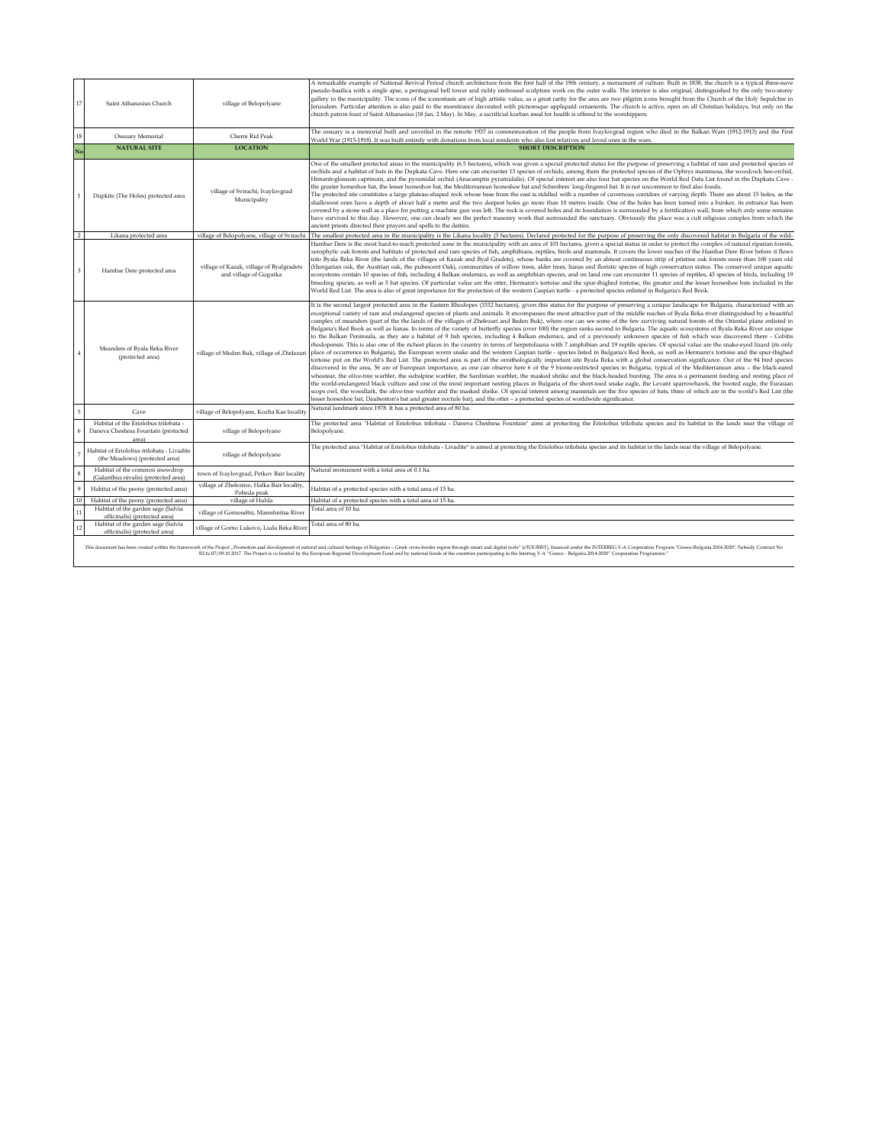| $17\,$     | Saint Athanasius Church                                                             | village of Belopolyane                                             | A remarkable example of National Revival Period church architecture from the first half of the 19th century, a monument of culture. Built in 1838, the church is a typical three-nave<br>pseudo-basilica with a single apse, a pentagonal bell tower and richly embossed sculpture work on the outer walls. The interior is also original, distinguished by the only two-storey<br>gallery in the municipality. The icons of the iconostasis are of high artistic value, as a great rarity for the area are two pilgrim icons brought from the Church of the Holy Sepulchre in<br>Jerusalem. Particular attention is also paid to the monstrance decorated with picturesque appliquéd ornaments. The church is active, open on all Christian holidays, but only on the<br>church patron feast of Saint Athanasius (18 Jan, 2 May). In May, a sacrificial kurban meal for health is offered to the worshippers.                                                                                                                                                                                                                                                                                                                                                                                                                                                                                                                                                                                                                                                                                                                                                                                                                                                                                                                                                                                                                                                                                                                                                                                                                                                                                                                                                                                                                                                                                                                              |
|------------|-------------------------------------------------------------------------------------|--------------------------------------------------------------------|---------------------------------------------------------------------------------------------------------------------------------------------------------------------------------------------------------------------------------------------------------------------------------------------------------------------------------------------------------------------------------------------------------------------------------------------------------------------------------------------------------------------------------------------------------------------------------------------------------------------------------------------------------------------------------------------------------------------------------------------------------------------------------------------------------------------------------------------------------------------------------------------------------------------------------------------------------------------------------------------------------------------------------------------------------------------------------------------------------------------------------------------------------------------------------------------------------------------------------------------------------------------------------------------------------------------------------------------------------------------------------------------------------------------------------------------------------------------------------------------------------------------------------------------------------------------------------------------------------------------------------------------------------------------------------------------------------------------------------------------------------------------------------------------------------------------------------------------------------------------------------------------------------------------------------------------------------------------------------------------------------------------------------------------------------------------------------------------------------------------------------------------------------------------------------------------------------------------------------------------------------------------------------------------------------------------------------------------------------------------------------------------------------------------------------------------|
| $18\,$     | Ossuary Memorial                                                                    | Cherni Rid Peak                                                    | The ossuary is a memorial built and unveiled in the remote 1937 in commemoration of the people from Ivaylovgrad region who died in the Balkan Wars (1912-1913) and the First<br>World War (1915-1918). It was built entirely with donations from local residents who also lost relatives and loved ones in the wars.                                                                                                                                                                                                                                                                                                                                                                                                                                                                                                                                                                                                                                                                                                                                                                                                                                                                                                                                                                                                                                                                                                                                                                                                                                                                                                                                                                                                                                                                                                                                                                                                                                                                                                                                                                                                                                                                                                                                                                                                                                                                                                                        |
| No         | <b>NATURAL SITE</b>                                                                 | <b>LOCATION</b>                                                    | <b>SHORT DESCRIPTION</b>                                                                                                                                                                                                                                                                                                                                                                                                                                                                                                                                                                                                                                                                                                                                                                                                                                                                                                                                                                                                                                                                                                                                                                                                                                                                                                                                                                                                                                                                                                                                                                                                                                                                                                                                                                                                                                                                                                                                                                                                                                                                                                                                                                                                                                                                                                                                                                                                                    |
|            | Dupkite (The Holes) protected area                                                  | village of Svirachi, Ivaylovgrad<br>Municipality                   | One of the smallest protected areas in the municipality (6.5 hectares), which was given a special protected status for the purpose of preserving a habitat of rare and protected species of<br>orchids and a habitat of bats in the Dupkata Cave. Here one can encounter 13 species of orchids, among them the protected species of the Ophrys mammosa, the woodcock bee-orchid,<br>Himantoglossum caprinum, and the pyramidal orchid (Anacamptis pyramidalis). Of special interest are also four bat species on the World Red Data List found in the Dupkata Cave -<br>the greater horseshoe bat, the lesser horseshoe bat, the Mediterranean horseshoe bat and Schreibers' long-fingered bat. It is not uncommon to find also fossils.<br>The protected site constitutes a large plateau-shaped rock whose base from the east is riddled with a number of cavernous corridors of varying depth. There are about 15 holes, as the<br>shallowest ones have a depth of about half a metre and the two deepest holes go more than 10 metres inside. One of the holes has been turned into a bunker, its entrance has been<br>covered by a stone wall as a place for putting a machine gun was left. The rock is covered holes and its foundation is surrounded by a fortification wall, from which only some remains<br>have survived to this day. However, one can clearly see the perfect masonry work that surrounded the sanctuary. Obviously the place was a cult religious complex from which the<br>ancient priests directed their prayers and spells to the deities.                                                                                                                                                                                                                                                                                                                                                                                                                                                                                                                                                                                                                                                                                                                                                                                                                                                                  |
|            | Likana protected area                                                               | village of Belopolyane, village of Svirachi                        | The smallest protected area in the municipality is the Likana locality (3 hectares). Declared protected for the purpose of preserving the only discovered habitat in Bulgaria of the wild-                                                                                                                                                                                                                                                                                                                                                                                                                                                                                                                                                                                                                                                                                                                                                                                                                                                                                                                                                                                                                                                                                                                                                                                                                                                                                                                                                                                                                                                                                                                                                                                                                                                                                                                                                                                                                                                                                                                                                                                                                                                                                                                                                                                                                                                  |
|            | Hambar Dere protected area                                                          | village of Kazak, village of Byalgradets<br>and village of Gugutka | Hambar Dere is the most hard-to-reach protected zone in the municipality with an area of 101 hectares, given a special status in order to protect the complex of natural riparian forests,<br>xerophytic oak forests and habitats of protected and rare species of fish, amphibians, reptiles, birds and mammals. It covers the lower reaches of the Hambar Dere River before it flows<br>into Byala Reka River (the lands of the villages of Kazak and Byal Gradets), whose banks are covered by an almost continuous strip of pristine oak forests more than 100 years old<br>(Hungarian oak, the Austrian oak, the pubescent Oak), communities of willow trees, alder trees, lianas and floristic species of high conservation status. The conserved unique aquatic<br>ecosystems contain 10 species of fish, including 4 Balkan endemics, as well as amphibian species, and on land one can encounter 11 species of reptiles, 43 species of birds, including 19<br>breeding species, as well as 5 bat species. Of particular value are the otter, Hermann's tortoise and the spur-thighed tortoise, the greater and the lesser horseshoe bats included in the<br>World Red List. The area is also of great importance for the protection of the western Caspian turtle - a protected species enlisted in Bulgaria's Red Book.                                                                                                                                                                                                                                                                                                                                                                                                                                                                                                                                                                                                                                                                                                                                                                                                                                                                                                                                                                                                                                                                                                           |
|            | Meanders of Byala Reka River<br>(protected area)                                    | village of Meden Buk, village of Zhelezari                         | It is the second largest protected area in the Eastern Rhodopes (1532 hectares), given this status for the purpose of preserving a unique landscape for Bulgaria, characterized with an<br>exceptional variety of rare and endangered species of plants and animals. It encompasses the most attractive part of the middle reaches of Byala Reka river distinguished by a beautiful<br>complex of meanders (part of the the lands of the villages of Zhelezari and Beden Buk), where one can see some of the few surviving natural forests of the Oriental plane enlisted in<br>Bulgaria's Red Book as well as lianas. In terms of the variety of butterfly species (over 100) the region ranks second in Bulgaria. The aquatic ecosystems of Byala Reka River are unique<br>to the Balkan Peninsula, as they are a habitat of 9 fish species, including 4 Balkan endemics, and of a previously unknown species of fish which was discovered there - Cobitis<br>rhodopensis. This is also one of the richest places in the country in terms of herpetofauna with 7 amphibian and 19 reptile species. Of special value are the snake-eyed lizard (its only<br>place of occurrence in Bulgaria), the European worm snake and the western Caspian turtle - species listed in Bulgaria's Red Book, as well as Hermann's tortoise and the spur-thighed<br>tortoise put on the World's Red List. The protected area is part of the ornithologically important site Byala Reka with a global conservation significance. Out of the 94 bird species<br>discovered in the area, 56 are of European importance, as one can observe here 6 of the 9 biome-restricted species in Bulgaria, typical of the Mediterranean area - the black-eared<br>wheatear, the olive-tree warbler, the subalpine warbler, the Sardinian warbler, the masked shrike and the black-headed bunting. The area is a permanent feeding and resting place of<br>the world-endangered black vulture and one of the most important nesting places in Bulgaria of the short-toed snake eagle, the Levant sparrowhawk, the booted eagle, the Eurasian<br>scops owl, the woodlark, the olive-tree warbler and the masked shrike. Of special interest among mammals are the five species of bats, three of which are in the world's Red List (the<br>lesser horseshoe bat, Daubenton's bat and greater noctule bat), and the otter - a protected species of worldwide significance. |
| 5          | Cave                                                                                | village of Belopolyane, Kozha Kae locality                         | Natural landmark since 1978. It has a protected area of 80 ha                                                                                                                                                                                                                                                                                                                                                                                                                                                                                                                                                                                                                                                                                                                                                                                                                                                                                                                                                                                                                                                                                                                                                                                                                                                                                                                                                                                                                                                                                                                                                                                                                                                                                                                                                                                                                                                                                                                                                                                                                                                                                                                                                                                                                                                                                                                                                                               |
|            | Habitat of the Eriolobus trilobata -<br>Daneva Cheshma Fountain (protected<br>area) | village of Belopolyane                                             | The protected area "Habitat of Eriolobus trilobata - Daneva Cheshma Fountain" aims at protecting the Eriolobus trilobata species and its habitat in the lands near the village of<br>Belopolyane.                                                                                                                                                                                                                                                                                                                                                                                                                                                                                                                                                                                                                                                                                                                                                                                                                                                                                                                                                                                                                                                                                                                                                                                                                                                                                                                                                                                                                                                                                                                                                                                                                                                                                                                                                                                                                                                                                                                                                                                                                                                                                                                                                                                                                                           |
|            | Habitat of Eriolobus trilobata - Livadite<br>(the Meadows) (protected area)         | village of Belopolyane                                             | The protected area "Habitat of Eriolobus trilobata - Livadite" is aimed at protecting the Eriolobus trilobata species and its habitat in the lands near the village of Belopolyane.                                                                                                                                                                                                                                                                                                                                                                                                                                                                                                                                                                                                                                                                                                                                                                                                                                                                                                                                                                                                                                                                                                                                                                                                                                                                                                                                                                                                                                                                                                                                                                                                                                                                                                                                                                                                                                                                                                                                                                                                                                                                                                                                                                                                                                                         |
|            | Habitat of the common snowdrop<br>(Galanthus nivalis) (protected area)              | town of Ivaylovgrad, Petkov Bair locality                          | Natural monument with a total area of 0.1 ha.                                                                                                                                                                                                                                                                                                                                                                                                                                                                                                                                                                                                                                                                                                                                                                                                                                                                                                                                                                                                                                                                                                                                                                                                                                                                                                                                                                                                                                                                                                                                                                                                                                                                                                                                                                                                                                                                                                                                                                                                                                                                                                                                                                                                                                                                                                                                                                                               |
| $\ddot{q}$ | Habitat of the peony (protected area)                                               | village of Zhelezino, Halka Bair locality,<br>Pobeda peak          | labitat of a protected species with a total area of 15 ha.                                                                                                                                                                                                                                                                                                                                                                                                                                                                                                                                                                                                                                                                                                                                                                                                                                                                                                                                                                                                                                                                                                                                                                                                                                                                                                                                                                                                                                                                                                                                                                                                                                                                                                                                                                                                                                                                                                                                                                                                                                                                                                                                                                                                                                                                                                                                                                                  |
| 10         | Habitat of the peony (protected area)                                               | village of Huhla                                                   | Habitat of a protected species with a total area of 15 ha                                                                                                                                                                                                                                                                                                                                                                                                                                                                                                                                                                                                                                                                                                                                                                                                                                                                                                                                                                                                                                                                                                                                                                                                                                                                                                                                                                                                                                                                                                                                                                                                                                                                                                                                                                                                                                                                                                                                                                                                                                                                                                                                                                                                                                                                                                                                                                                   |
| 11         | Habitat of the garden sage (Salvia<br>officinalis) (protected area)                 | village of Gornoseltsi, Mareshnitsa River                          | Total area of 10 ha.                                                                                                                                                                                                                                                                                                                                                                                                                                                                                                                                                                                                                                                                                                                                                                                                                                                                                                                                                                                                                                                                                                                                                                                                                                                                                                                                                                                                                                                                                                                                                                                                                                                                                                                                                                                                                                                                                                                                                                                                                                                                                                                                                                                                                                                                                                                                                                                                                        |
| 12         | Habitat of the garden sage (Salvia<br>officinalis) (protected area)                 | village of Gorno Lukovo, Luda Reka River                           | Total area of 80 ha.                                                                                                                                                                                                                                                                                                                                                                                                                                                                                                                                                                                                                                                                                                                                                                                                                                                                                                                                                                                                                                                                                                                                                                                                                                                                                                                                                                                                                                                                                                                                                                                                                                                                                                                                                                                                                                                                                                                                                                                                                                                                                                                                                                                                                                                                                                                                                                                                                        |

This decument has been created within the framework of the Project , Promotion and development of natural and cannot and expect of the European Regional Development Fund and the mater particulates of the committee of the c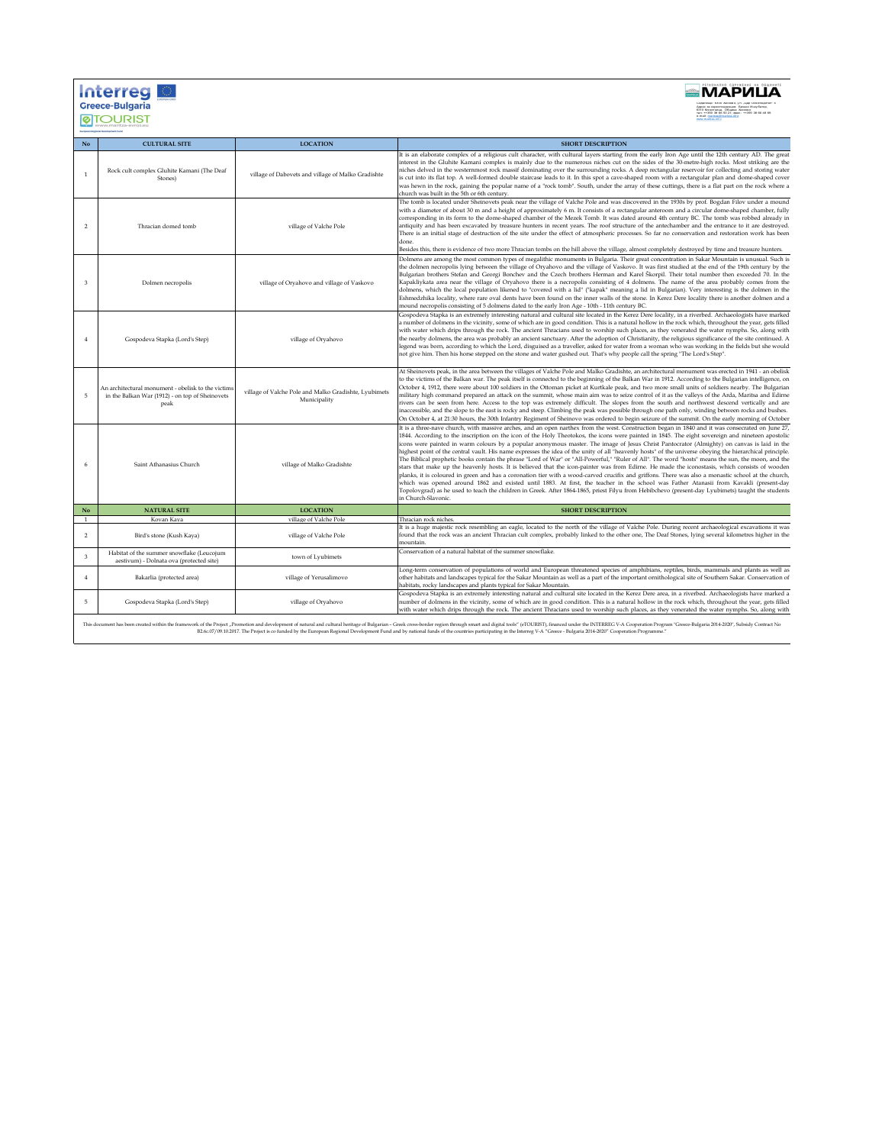| <b>Interred</b><br><b>Greece-Bulgaria</b> |  |
|-------------------------------------------|--|
|                                           |  |



| No                 | <b>CULTURAL SITE</b>                                                                                          | <b>LOCATION</b>                                                       | <b>SHORT DESCRIPTION</b>                                                                                                                                                                                                                                                                                                                                                                                                                                                                                                                                                                                                                                                                                                                                                                                                                                                                                                                                                                                                                                                                                                                                                                                                                                                                                                                                                                             |  |
|--------------------|---------------------------------------------------------------------------------------------------------------|-----------------------------------------------------------------------|------------------------------------------------------------------------------------------------------------------------------------------------------------------------------------------------------------------------------------------------------------------------------------------------------------------------------------------------------------------------------------------------------------------------------------------------------------------------------------------------------------------------------------------------------------------------------------------------------------------------------------------------------------------------------------------------------------------------------------------------------------------------------------------------------------------------------------------------------------------------------------------------------------------------------------------------------------------------------------------------------------------------------------------------------------------------------------------------------------------------------------------------------------------------------------------------------------------------------------------------------------------------------------------------------------------------------------------------------------------------------------------------------|--|
| $\mathbf{1}$       | Rock cult complex Gluhite Kamani (The Deaf<br>Stones)                                                         | village of Dabovets and village of Malko Gradishte                    | It is an elaborate complex of a religious cult character, with cultural layers starting from the early Iron Age until the 12th century AD. The great<br>interest in the Gluhite Kamani complex is mainly due to the numerous niches cut on the sides of the 30-metre-high rocks. Most striking are the<br>niches delved in the westernmost rock massif dominating over the surrounding rocks. A deep rectangular reservoir for collecting and storing water<br>is cut into its flat top. A well-formed double staircase leads to it. In this spot a cave-shaped room with a rectangular plan and dome-shaped cover<br>was hewn in the rock, gaining the popular name of a "rock tomb". South, under the array of these cuttings, there is a flat part on the rock where a<br>church was built in the 5th or 6th century.                                                                                                                                                                                                                                                                                                                                                                                                                                                                                                                                                                             |  |
| $\mathcal{P}$      | Thracian domed tomb                                                                                           | village of Valche Pole                                                | The tomb is located under Sheinovets peak near the village of Valche Pole and was discovered in the 1930s by prof. Bogdan Filov under a mound<br>with a diameter of about 30 m and a height of approximately 6 m. It consists of a rectangular anteroom and a circular dome-shaped chamber, fully<br>corresponding in its form to the dome-shaped chamber of the Mezek Tomb. It was dated around 4th century BC. The tomb was robbed already in<br>antiquity and has been excavated by treasure hunters in recent years. The roof structure of the antechamber and the entrance to it are destroyed.<br>There is an initial stage of destruction of the site under the effect of atmospheric processes. So far no conservation and restoration work has been<br>done.<br>Besides this, there is evidence of two more Thracian tombs on the hill above the village, almost completely destroyed by time and treasure hunters.                                                                                                                                                                                                                                                                                                                                                                                                                                                                         |  |
| $\mathbf{\hat{z}}$ | Dolmen necropolis                                                                                             | village of Oryahovo and village of Vaskovo                            | Dolmens are among the most common types of megalithic monuments in Bulgaria. Their great concentration in Sakar Mountain is unusual. Such is<br>the dolmen necropolis lying between the village of Oryahovo and the village of Vaskovo. It was first studied at the end of the 19th century by the<br>Bulgarian brothers Stefan and Georgi Bonchev and the Czech brothers Herman and Karel Škorpil. Their total number then exceeded 70. In the<br>Kapakliykata area near the village of Oryahovo there is a necropolis consisting of 4 dolmens. The name of the area probably comes from the<br>dolmens, which the local population likened to "covered with a lid" ("kapak" meaning a lid in Bulgarian). Very interesting is the dolmen in the<br>Eshmedzhika locality, where rare oval dents have been found on the inner walls of the stone. In Kerez Dere locality there is another dolmen and a<br>mound necropolis consisting of 5 dolmens dated to the early Iron Age - 10th - 11th century BC.                                                                                                                                                                                                                                                                                                                                                                                              |  |
|                    | Gospodeva Stapka (Lord's Step)                                                                                | village of Oryahovo                                                   | Gospodeva Stapka is an extremely interesting natural and cultural site located in the Kerez Dere locality, in a riverbed. Archaeologists have marked<br>a number of dolmens in the vicinity, some of which are in good condition. This is a natural hollow in the rock which, throughout the year, gets filled<br>with water which drips through the rock. The ancient Thracians used to worship such places, as they venerated the water nymphs. So, along with<br>the nearby dolmens, the area was probably an ancient sanctuary. After the adoption of Christianity, the religious significance of the site continued. A<br>legend was born, according to which the Lord, disguised as a traveller, asked for water from a woman who was working in the fields but she would<br>not give him. Then his horse stepped on the stone and water gushed out. That's why people call the spring "The Lord's Step".                                                                                                                                                                                                                                                                                                                                                                                                                                                                                      |  |
| 5                  | An architectural monument - obelisk to the victims<br>in the Balkan War (1912) - on top of Sheinovets<br>peak | village of Valche Pole and Malko Gradishte, Lyubimets<br>Municipality | At Sheinovets peak, in the area between the villages of Valche Pole and Malko Gradishte, an architectural monument was erected in 1941 - an obelisk<br>to the victims of the Balkan war. The peak itself is connected to the beginning of the Balkan War in 1912. According to the Bulgarian intelligence, on<br>October 4, 1912, there were about 100 soldiers in the Ottoman picket at Kurtkale peak, and two more small units of soldiers nearby. The Bulgarian<br>military high command prepared an attack on the summit, whose main aim was to seize control of it as the valleys of the Arda, Maritsa and Edirne<br>rivers can be seen from here. Access to the top was extremely difficult. The slopes from the south and northwest descend vertically and are<br>inaccessible, and the slope to the east is rocky and steep. Climbing the peak was possible through one path only, winding between rocks and bushes.<br>On October 4, at 21:30 hours, the 30th Infantry Regiment of Sheinovo was ordered to begin seizure of the summit. On the early morning of October                                                                                                                                                                                                                                                                                                                     |  |
|                    | Saint Athanasius Church                                                                                       | village of Malko Gradishte                                            | It is a three-nave church, with massive arches, and an open narthex from the west. Construction began in 1840 and it was consecrated on June 27,<br>1844. According to the inscription on the icon of the Holy Theotokos, the icons were painted in 1845. The eight sovereign and nineteen apostolic<br>icons were painted in warm colours by a popular anonymous master. The image of Jesus Christ Pantocrator (Almighty) on canvas is laid in the<br>highest point of the central vault. His name expresses the idea of the unity of all "heavenly hosts" of the universe obeying the hierarchical principle.<br>The Biblical prophetic books contain the phrase "Lord of War" or "All-Powerful," "Ruler of All". The word "hosts" means the sun, the moon, and the<br>stars that make up the heavenly hosts. It is believed that the icon-painter was from Edirne. He made the iconostasis, which consists of wooden<br>planks, it is coloured in green and has a coronation tier with a wood-carved crucifix and griffons. There was also a monastic school at the church,<br>which was opened around 1862 and existed until 1883. At first, the teacher in the school was Father Atanasii from Kavakli (present-day<br>Topolovgrad) as he used to teach the children in Greek. After 1864-1865, priest Filyu from Hebibchevo (present-day Lyubimets) taught the students<br>in Church-Slavonic. |  |
| No                 | <b>NATURAL SITE</b>                                                                                           | <b>LOCATION</b>                                                       | <b>SHORT DESCRIPTION</b>                                                                                                                                                                                                                                                                                                                                                                                                                                                                                                                                                                                                                                                                                                                                                                                                                                                                                                                                                                                                                                                                                                                                                                                                                                                                                                                                                                             |  |
| 1                  | Kovan Kava                                                                                                    | village of Valche Pole                                                | Thracian rock niches.                                                                                                                                                                                                                                                                                                                                                                                                                                                                                                                                                                                                                                                                                                                                                                                                                                                                                                                                                                                                                                                                                                                                                                                                                                                                                                                                                                                |  |
| $\overline{2}$     | Bird's stone (Kush Kaya)                                                                                      | village of Valche Pole                                                | It is a huge majestic rock resembling an eagle, located to the north of the village of Valche Pole. During recent archaeological excavations it was<br>found that the rock was an ancient Thracian cult complex, probably linked to the other one, The Deaf Stones, lying several kilometres higher in the<br>mountain.                                                                                                                                                                                                                                                                                                                                                                                                                                                                                                                                                                                                                                                                                                                                                                                                                                                                                                                                                                                                                                                                              |  |
| $\mathbf{a}$       | Habitat of the summer snowflake (Leucojum<br>aestivum) - Dolnata ova (protected site)                         | town of Lyubimets                                                     | Conservation of a natural habitat of the summer snowflake.                                                                                                                                                                                                                                                                                                                                                                                                                                                                                                                                                                                                                                                                                                                                                                                                                                                                                                                                                                                                                                                                                                                                                                                                                                                                                                                                           |  |
| $\overline{4}$     | Bakarlia (protected area)                                                                                     | village of Yerusalimovo                                               | Long-term conservation of populations of world and European threatened species of amphibians, reptiles, birds, mammals and plants as well as<br>other habitats and landscapes typical for the Sakar Mountain as well as a part of the important ornithological site of Southern Sakar. Conservation of<br>habitats, rocky landscapes and plants typical for Sakar Mountain.                                                                                                                                                                                                                                                                                                                                                                                                                                                                                                                                                                                                                                                                                                                                                                                                                                                                                                                                                                                                                          |  |
| 5                  | Gospodeva Stapka (Lord's Step)                                                                                | village of Oryahovo                                                   | Gospodeva Stapka is an extremely interesting natural and cultural site located in the Kerez Dere area, in a riverbed. Archaeologists have marked a<br>number of dolmens in the vicinity, some of which are in good condition. This is a natural hollow in the rock which, throughout the year, gets filled<br>with water which drips through the rock. The ancient Thracians used to worship such places, as they venerated the water nymphs. So, along with                                                                                                                                                                                                                                                                                                                                                                                                                                                                                                                                                                                                                                                                                                                                                                                                                                                                                                                                         |  |
|                    |                                                                                                               |                                                                       |                                                                                                                                                                                                                                                                                                                                                                                                                                                                                                                                                                                                                                                                                                                                                                                                                                                                                                                                                                                                                                                                                                                                                                                                                                                                                                                                                                                                      |  |

 $\label{t:1}$  This document has been created within the framework of the Project "Promotion and development of natural and cultural heritage of Bulgarian – Greek cross-border region through smart and digital tools" (eTOURIST),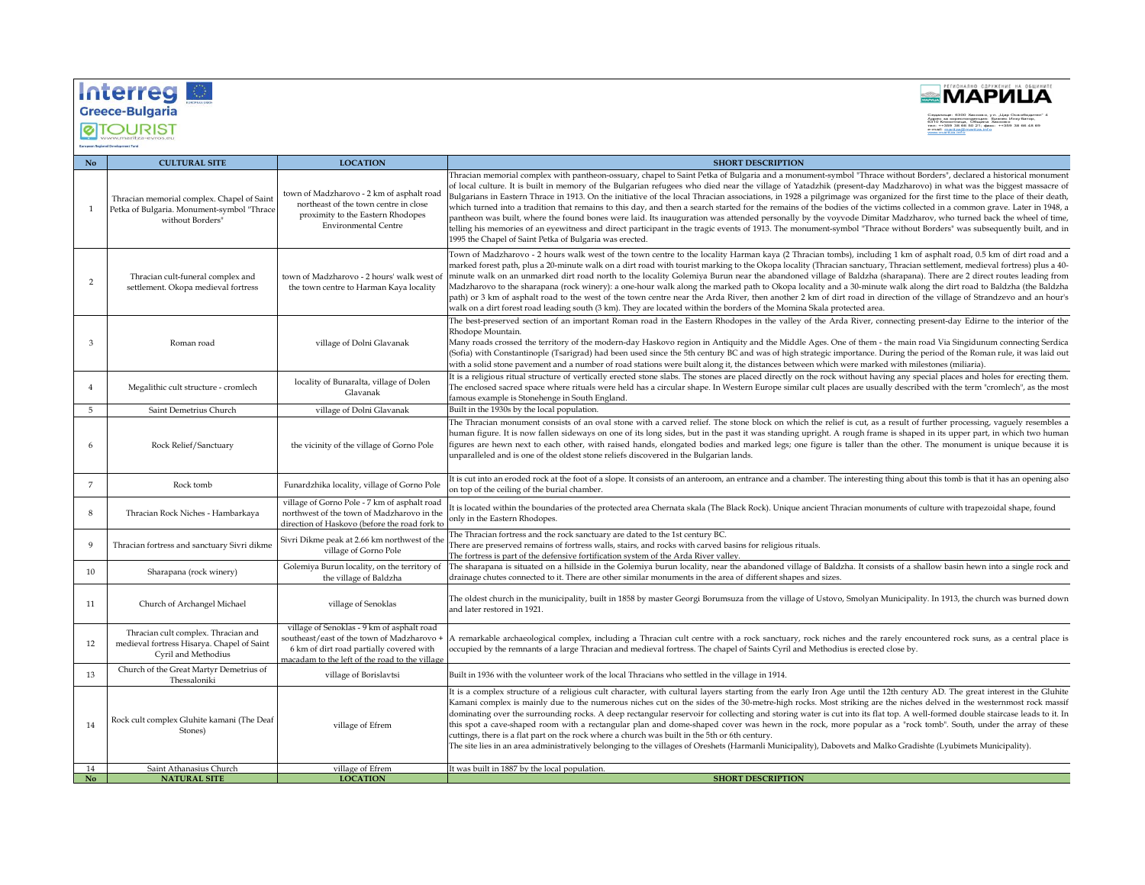## Interreg





| No                          | <b>CULTURAL SITE</b>                                                                                         | <b>LOCATION</b>                                                                                                                                                                        | <b>SHORT DESCRIPTION</b>                                                                                                                                                                                                                                                                                                                                                                                                                                                                                                                                                                                                                                                                                                                                                                                                                                                                                                                                                                                                                                                                                                |
|-----------------------------|--------------------------------------------------------------------------------------------------------------|----------------------------------------------------------------------------------------------------------------------------------------------------------------------------------------|-------------------------------------------------------------------------------------------------------------------------------------------------------------------------------------------------------------------------------------------------------------------------------------------------------------------------------------------------------------------------------------------------------------------------------------------------------------------------------------------------------------------------------------------------------------------------------------------------------------------------------------------------------------------------------------------------------------------------------------------------------------------------------------------------------------------------------------------------------------------------------------------------------------------------------------------------------------------------------------------------------------------------------------------------------------------------------------------------------------------------|
| -1                          | Thracian memorial complex. Chapel of Saint<br>Petka of Bulgaria. Monument-symbol "Thrace<br>without Borders" | town of Madzharovo - 2 km of asphalt roac<br>northeast of the town centre in close<br>proximity to the Eastern Rhodopes<br><b>Environmental Centre</b>                                 | Thracian memorial complex with pantheon-ossuary, chapel to Saint Petka of Bulgaria and a monument-symbol "Thrace without Borders", declared a historical monument<br>of local culture. It is built in memory of the Bulgarian refugees who died near the village of Yatadzhik (present-day Madzharovo) in what was the biggest massacre of<br>Bulgarians in Eastern Thrace in 1913. On the initiative of the local Thracian associations, in 1928 a pilgrimage was organized for the first time to the place of their death,<br>which turned into a tradition that remains to this day, and then a search started for the remains of the bodies of the victims collected in a common grave. Later in 1948, a<br>pantheon was built, where the found bones were laid. Its inauguration was attended personally by the voyvode Dimitar Madzharov, who turned back the wheel of time,<br>telling his memories of an eyewitness and direct participant in the tragic events of 1913. The monument-symbol "Thrace without Borders" was subsequently built, and in<br>1995 the Chapel of Saint Petka of Bulgaria was erected. |
| 2                           | Thracian cult-funeral complex and<br>settlement. Okopa medieval fortress                                     | town of Madzharovo - 2 hours' walk west of<br>the town centre to Harman Kaya locality                                                                                                  | Town of Madzharovo - 2 hours walk west of the town centre to the locality Harman kaya (2 Thracian tombs), including 1 km of asphalt road, 0.5 km of dirt road and a<br>marked forest path, plus a 20-minute walk on a dirt road with tourist marking to the Okopa locality (Thracian sanctuary, Thracian settlement, medieval fortress) plus a 40-<br>minute walk on an unmarked dirt road north to the locality Golemiya Burun near the abandoned village of Baldzha (sharapana). There are 2 direct routes leading from<br>Madzharovo to the sharapana (rock winery): a one-hour walk along the marked path to Okopa locality and a 30-minute walk along the dirt road to Baldzha (the Baldzha<br>path) or 3 km of asphalt road to the west of the town centre near the Arda River, then another 2 km of dirt road in direction of the village of Strandzevo and an hour's<br>walk on a dirt forest road leading south (3 km). They are located within the borders of the Momina Skala protected area.                                                                                                                |
| 3                           | Roman road                                                                                                   | village of Dolni Glavanak                                                                                                                                                              | The best-preserved section of an important Roman road in the Eastern Rhodopes in the valley of the Arda River, connecting present-day Edirne to the interior of the<br>Rhodope Mountain.<br>Many roads crossed the territory of the modern-day Haskovo region in Antiquity and the Middle Ages. One of them - the main road Via Singidunum connecting Serdica<br>(Sofia) with Constantinople (Tsarigrad) had been used since the 5th century BC and was of high strategic importance. During the period of the Roman rule, it was laid out<br>with a solid stone pavement and a number of road stations were built along it, the distances between which were marked with milestones (miliaria).                                                                                                                                                                                                                                                                                                                                                                                                                        |
| $\boldsymbol{\vartriangle}$ | Megalithic cult structure - cromlech                                                                         | locality of Bunaralta, village of Dolen<br>Glavanak                                                                                                                                    | It is a religious ritual structure of vertically erected stone slabs. The stones are placed directly on the rock without having any special places and holes for erecting them.<br>The enclosed sacred space where rituals were held has a circular shape. In Western Europe similar cult places are usually described with the term "cromlech", as the most<br>famous example is Stonehenge in South England.                                                                                                                                                                                                                                                                                                                                                                                                                                                                                                                                                                                                                                                                                                          |
| 5                           | Saint Demetrius Church                                                                                       | village of Dolni Glavanak                                                                                                                                                              | Built in the 1930s by the local population.                                                                                                                                                                                                                                                                                                                                                                                                                                                                                                                                                                                                                                                                                                                                                                                                                                                                                                                                                                                                                                                                             |
| 6                           | Rock Relief/Sanctuary                                                                                        | the vicinity of the village of Gorno Pole                                                                                                                                              | The Thracian monument consists of an oval stone with a carved relief. The stone block on which the relief is cut, as a result of further processing, vaguely resembles a<br>human figure. It is now fallen sideways on one of its long sides, but in the past it was standing upright. A rough frame is shaped in its upper part, in which two human<br>figures are hewn next to each other, with raised hands, elongated bodies and marked legs; one figure is taller than the other. The monument is unique because it is<br>unparalleled and is one of the oldest stone reliefs discovered in the Bulgarian lands.                                                                                                                                                                                                                                                                                                                                                                                                                                                                                                   |
| $\overline{7}$              | Rock tomb                                                                                                    | Funardzhika locality, village of Gorno Pole                                                                                                                                            | It is cut into an eroded rock at the foot of a slope. It consists of an anteroom, an entrance and a chamber. The interesting thing about this tomb is that it has an opening also<br>on top of the ceiling of the burial chamber.                                                                                                                                                                                                                                                                                                                                                                                                                                                                                                                                                                                                                                                                                                                                                                                                                                                                                       |
| 8                           | Thracian Rock Niches - Hambarkaya                                                                            | village of Gorno Pole - 7 km of asphalt road<br>northwest of the town of Madzharovo in the<br>direction of Haskovo (before the road fork to                                            | It is located within the boundaries of the protected area Chernata skala (The Black Rock). Unique ancient Thracian monuments of culture with trapezoidal shape, found<br>only in the Eastern Rhodopes.                                                                                                                                                                                                                                                                                                                                                                                                                                                                                                                                                                                                                                                                                                                                                                                                                                                                                                                  |
| 9                           | Thracian fortress and sanctuary Sivri dikme                                                                  | Sivri Dikme peak at 2.66 km northwest of the<br>village of Gorno Pole                                                                                                                  | The Thracian fortress and the rock sanctuary are dated to the 1st century BC.<br>There are preserved remains of fortress walls, stairs, and rocks with carved basins for religious rituals.<br>The fortress is part of the defensive fortification system of the Arda River valley.                                                                                                                                                                                                                                                                                                                                                                                                                                                                                                                                                                                                                                                                                                                                                                                                                                     |
| 10                          | Sharapana (rock winery)                                                                                      | Golemiya Burun locality, on the territory of<br>the village of Baldzha                                                                                                                 | The sharapana is situated on a hillside in the Golemiya burun locality, near the abandoned village of Baldzha. It consists of a shallow basin hewn into a single rock and<br>drainage chutes connected to it. There are other similar monuments in the area of different shapes and sizes.                                                                                                                                                                                                                                                                                                                                                                                                                                                                                                                                                                                                                                                                                                                                                                                                                              |
| 11                          | Church of Archangel Michael                                                                                  | village of Senoklas                                                                                                                                                                    | The oldest church in the municipality, built in 1858 by master Georgi Borumsuza from the village of Ustovo, Smolyan Municipality. In 1913, the church was burned down<br>and later restored in 1921.                                                                                                                                                                                                                                                                                                                                                                                                                                                                                                                                                                                                                                                                                                                                                                                                                                                                                                                    |
| 12                          | Thracian cult complex. Thracian and<br>medieval fortress Hisarya. Chapel of Saint<br>Cyril and Methodius     | village of Senoklas - 9 km of asphalt road<br>southeast/east of the town of Madzharovo +<br>6 km of dirt road partially covered with<br>nacadam to the left of the road to the village | A remarkable archaeological complex, including a Thracian cult centre with a rock sanctuary, rock niches and the rarely encountered rock suns, as a central place is<br>occupied by the remnants of a large Thracian and medieval fortress. The chapel of Saints Cyril and Methodius is erected close by.                                                                                                                                                                                                                                                                                                                                                                                                                                                                                                                                                                                                                                                                                                                                                                                                               |
| 13                          | Church of the Great Martyr Demetrius of<br>Thessaloniki                                                      | village of Borislavtsi                                                                                                                                                                 | Built in 1936 with the volunteer work of the local Thracians who settled in the village in 1914.                                                                                                                                                                                                                                                                                                                                                                                                                                                                                                                                                                                                                                                                                                                                                                                                                                                                                                                                                                                                                        |
| 14                          | Rock cult complex Gluhite kamani (The Deaf<br>Stones)                                                        | village of Efrem                                                                                                                                                                       | It is a complex structure of a religious cult character, with cultural layers starting from the early Iron Age until the 12th century AD. The great interest in the Gluhite<br>Kamani complex is mainly due to the numerous niches cut on the sides of the 30-metre-high rocks. Most striking are the niches delved in the westernmost rock massif<br>dominating over the surrounding rocks. A deep rectangular reservoir for collecting and storing water is cut into its flat top. A well-formed double staircase leads to it. In<br>this spot a cave-shaped room with a rectangular plan and dome-shaped cover was hewn in the rock, more popular as a "rock tomb". South, under the array of these<br>cuttings, there is a flat part on the rock where a church was built in the 5th or 6th century.<br>The site lies in an area administratively belonging to the villages of Oreshets (Harmanli Municipality), Dabovets and Malko Gradishte (Lyubimets Municipality).                                                                                                                                             |
|                             | Saint Athanasius Church                                                                                      | village of Efrem                                                                                                                                                                       | It was built in 1887 by the local population.                                                                                                                                                                                                                                                                                                                                                                                                                                                                                                                                                                                                                                                                                                                                                                                                                                                                                                                                                                                                                                                                           |
| No                          | <b>NATURAL SITE</b>                                                                                          | <b>LOCATION</b>                                                                                                                                                                        | <b>SHORT DESCRIPTION</b>                                                                                                                                                                                                                                                                                                                                                                                                                                                                                                                                                                                                                                                                                                                                                                                                                                                                                                                                                                                                                                                                                                |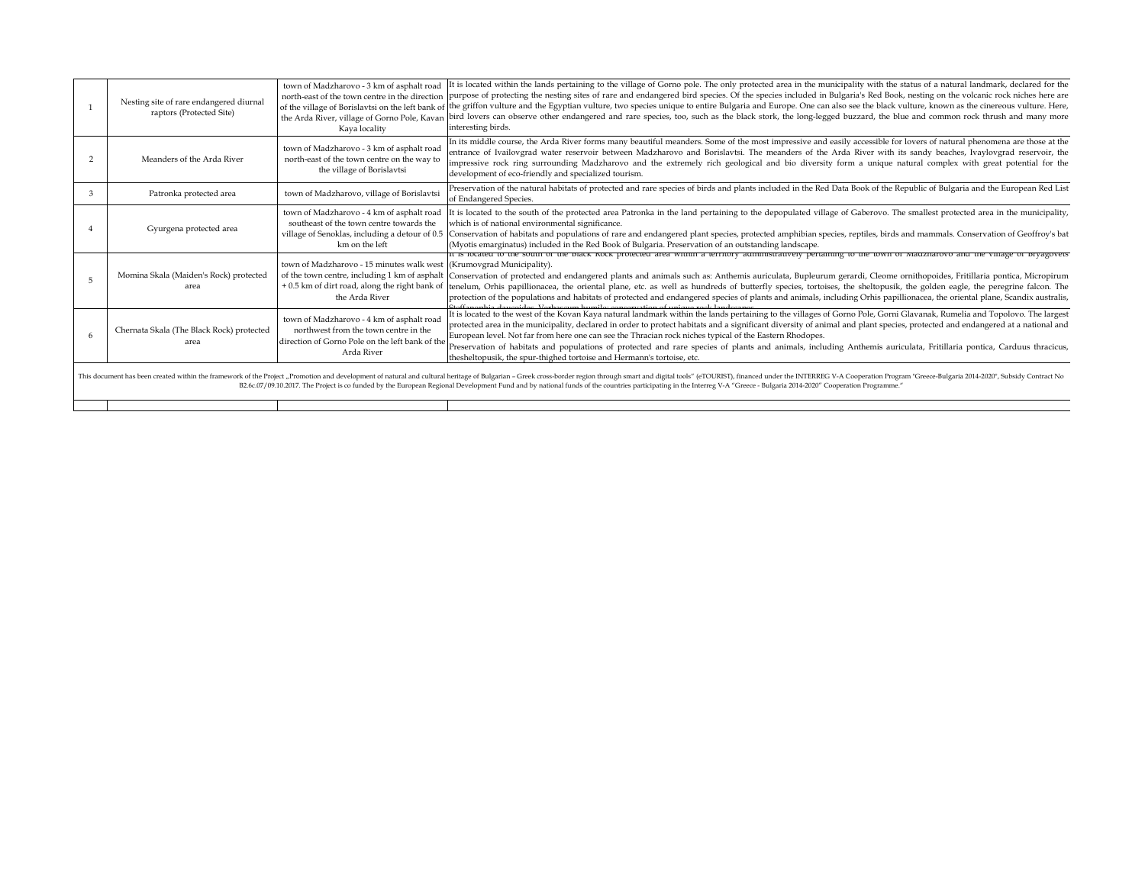|   | Nesting site of rare endangered diurnal<br>raptors (Protected Site)                                                                                                                                                                                                                                                                                                                                                                                      | Kaya locality                                                                                                                                       | town of Madzharovo - 3 km of asphalt road [It is located within the lands pertaining to the village of Gorno pole. The only protected area in the municipality with the status of a natural landmark, declared for the<br>north-east of the town centre in the direction purpose of protecting the nesting sites of rare and endangered bird species. Of the species included in Bulgaria's Red Book, nesting on the volcanic rock niches here are<br>of the village of Borislavtsi on the left bank of the griffon vulture and the Egyptian vulture, two species unique to entire Bulgaria and Europe. One can also see the black vulture, known as the cinereous vulture. Here,<br>the Arda River, village of Gorno Pole, Kavan bird lovers can observe other endangered and rare species, too, such as the black stork, the long-legged buzzard, the blue and common rock thrush and many more<br>interesting birds. |  |
|---|----------------------------------------------------------------------------------------------------------------------------------------------------------------------------------------------------------------------------------------------------------------------------------------------------------------------------------------------------------------------------------------------------------------------------------------------------------|-----------------------------------------------------------------------------------------------------------------------------------------------------|-------------------------------------------------------------------------------------------------------------------------------------------------------------------------------------------------------------------------------------------------------------------------------------------------------------------------------------------------------------------------------------------------------------------------------------------------------------------------------------------------------------------------------------------------------------------------------------------------------------------------------------------------------------------------------------------------------------------------------------------------------------------------------------------------------------------------------------------------------------------------------------------------------------------------|--|
|   | Meanders of the Arda River                                                                                                                                                                                                                                                                                                                                                                                                                               | town of Madzharovo - 3 km of asphalt road<br>north-east of the town centre on the way to<br>the village of Borislavtsi                              | In its middle course, the Arda River forms many beautiful meanders. Some of the most impressive and easily accessible for lovers of natural phenomena are those at the<br>entrance of Ivailovgrad water reservoir between Madzharovo and Borislavtsi. The meanders of the Arda River with its sandy beaches, Ivaylovgrad reservoir, the<br>impressive rock ring surrounding Madzharovo and the extremely rich geological and bio diversity form a unique natural complex with great potential for the<br>development of eco-friendly and specialized tourism.                                                                                                                                                                                                                                                                                                                                                           |  |
|   | Patronka protected area                                                                                                                                                                                                                                                                                                                                                                                                                                  | town of Madzharovo, village of Borislavtsi                                                                                                          | Preservation of the natural habitats of protected and rare species of birds and plants included in the Red Data Book of the Republic of Bulgaria and the European Red List<br>of Endangered Species.                                                                                                                                                                                                                                                                                                                                                                                                                                                                                                                                                                                                                                                                                                                    |  |
|   | Gyurgena protected area                                                                                                                                                                                                                                                                                                                                                                                                                                  | southeast of the town centre towards the<br>km on the left                                                                                          | town of Madzharovo - 4 km of asphalt road It is located to the south of the protected area Patronka in the land pertaining to the depopulated village of Gaberovo. The smallest protected area in the municipality,<br>which is of national environmental significance.<br>village of Senoklas, including a detour of 0.5 Conservation of habitats and populations of rare and endangered plant species, protected amphibian species, reptiles, birds and mammals. Conservation of Geoffroy's bat<br>(Myotis emarginatus) included in the Red Book of Bulgaria. Preservation of an outstanding landscape.                                                                                                                                                                                                                                                                                                               |  |
| 5 | Momina Skala (Maiden's Rock) protected<br>area                                                                                                                                                                                                                                                                                                                                                                                                           | town of Madzharovo - 15 minutes walk west (Krumovgrad Municipality).<br>the Arda River                                                              | It is located to the south of the black Rock protected area within a territory administratively pertaining to the town of Madzharovo and the village of bryagovets<br>of the town centre, including 1 km of asphalt Conservation of protected and endangered plants and animals such as: Anthemis auriculata, Bupleurum gerardi, Cleome ornithopoides, Fritillaria pontica, Micropirum<br>+ 0.5 km of dirt road, along the right bank of tenelum, Orhis papillionacea, the oriental plane, etc. as well as hundreds of butterfly species, tortoises, the sheltopusik, the golden eagle, the peregrine falcon. The<br>protection of the populations and habitats of protected and endangered species of plants and animals, including Orhis papillionacea, the oriental plane, Scandix australis,<br>phia dougoidos. Vorbosoum humilos conservation of unique rock landes                                                |  |
| 6 | Chernata Skala (The Black Rock) protected<br>area                                                                                                                                                                                                                                                                                                                                                                                                        | town of Madzharovo - 4 km of asphalt road<br>northwest from the town centre in the<br>direction of Gorno Pole on the left bank of the<br>Arda River | It is located to the west of the Kovan Kaya natural landmark within the lands pertaining to the villages of Gorno Pole, Gorni Glavanak, Rumelia and Topolovo. The largest<br>protected area in the municipality, declared in order to protect habitats and a significant diversity of animal and plant species, protected and endangered at a national and<br>European level. Not far from here one can see the Thracian rock niches typical of the Eastern Rhodopes.<br>Preservation of habitats and populations of protected and rare species of plants and animals, including Anthemis auriculata, Fritillaria pontica, Carduus thracicus,<br>thesheltopusik, the spur-thighed tortoise and Hermann's tortoise, etc.                                                                                                                                                                                                 |  |
|   | This document has been created within the framework of the Project "Promotion and development of natural and cultural and cultural heritage of Bulgarian - Greek cross-border region through smart and digital tools" (eTOURIS<br>B2.6c.07/09.10.2017. The Project is co funded by the European Regional Development Fund and by national funds of the countries participating in the Interreg V-A "Greece - Bulgaria 2014-2020" Cooperation Programme." |                                                                                                                                                     |                                                                                                                                                                                                                                                                                                                                                                                                                                                                                                                                                                                                                                                                                                                                                                                                                                                                                                                         |  |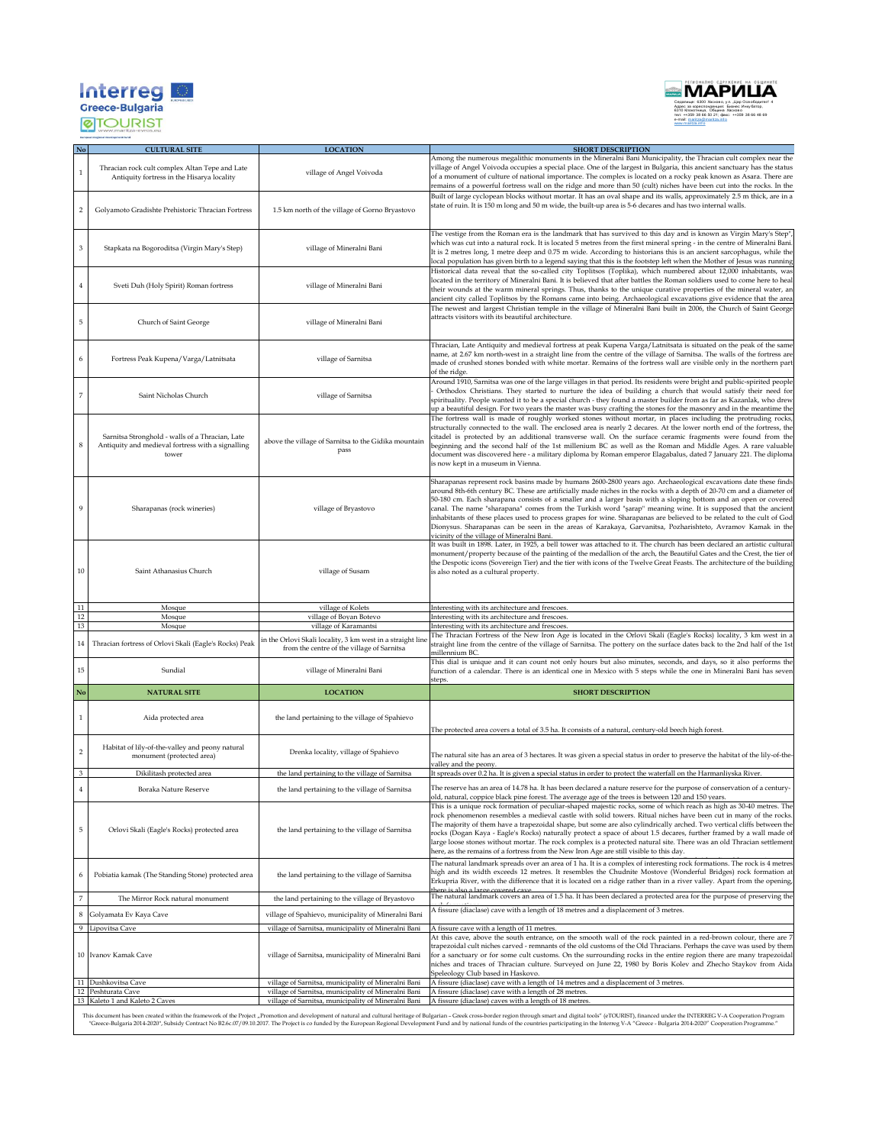



| No             | <b>CULTURAL SITE</b>                                                                                          | <b>LOCATION</b>                                                                                                                  | <b>SHORT DESCRIPTION</b>                                                                                                                                                                                                                                                                                                                                                                                                                                                                                                                                                                                                                                                                                                                                           |
|----------------|---------------------------------------------------------------------------------------------------------------|----------------------------------------------------------------------------------------------------------------------------------|--------------------------------------------------------------------------------------------------------------------------------------------------------------------------------------------------------------------------------------------------------------------------------------------------------------------------------------------------------------------------------------------------------------------------------------------------------------------------------------------------------------------------------------------------------------------------------------------------------------------------------------------------------------------------------------------------------------------------------------------------------------------|
| $\,1$          | Thracian rock cult complex Altan Tepe and Late<br>Antiquity fortress in the Hisarya locality                  | village of Angel Voivoda                                                                                                         | Among the numerous megalithic monuments in the Mineralni Bani Municipality, the Thracian cult complex near the<br>village of Angel Voivoda occupies a special place. One of the largest in Bulgaria, this ancient sanctuary has the status<br>of a monument of culture of national importance. The complex is located on a rocky peak known as Asara. There are<br>remains of a powerful fortress wall on the ridge and more than 50 (cult) niches have been cut into the rocks. In the                                                                                                                                                                                                                                                                            |
| $\overline{c}$ | Golyamoto Gradishte Prehistoric Thracian Fortress                                                             | 1.5 km north of the village of Gorno Bryastovo                                                                                   | Built of large cyclopean blocks without mortar. It has an oval shape and its walls, approximately 2.5 m thick, are in a<br>state of ruin. It is 150 m long and 50 m wide, the built-up area is 5-6 decares and has two internal walls.                                                                                                                                                                                                                                                                                                                                                                                                                                                                                                                             |
| 3              | Stapkata na Bogoroditsa (Virgin Mary's Step)<br>village of Mineralni Bani                                     |                                                                                                                                  | The vestige from the Roman era is the landmark that has survived to this day and is known as Virgin Mary's Step"<br>which was cut into a natural rock. It is located 5 metres from the first mineral spring - in the centre of Mineralni Bani.<br>It is 2 metres long, 1 metre deep and 0.75 m wide. According to historians this is an ancient sarcophagus, while the<br>local population has given birth to a legend saying that this is the footstep left when the Mother of Jesus was running                                                                                                                                                                                                                                                                  |
| 4              | Sveti Duh (Holy Spirit) Roman fortress                                                                        | village of Mineralni Bani                                                                                                        | Historical data reveal that the so-called city Toplitsos (Toplika), which numbered about 12,000 inhabitants, was<br>located in the territory of Mineralni Bani. It is believed that after battles the Roman soldiers used to come here to heal<br>their wounds at the warm mineral springs. Thus, thanks to the unique curative properties of the mineral water, an<br>ancient city called Toplitsos by the Romans came into being. Archaeological excavations give evidence that the area                                                                                                                                                                                                                                                                         |
| 5              | Church of Saint George                                                                                        | village of Mineralni Bani                                                                                                        | The newest and largest Christian temple in the village of Mineralni Bani built in 2006, the Church of Saint George<br>attracts visitors with its beautiful architecture.                                                                                                                                                                                                                                                                                                                                                                                                                                                                                                                                                                                           |
| 6              | Fortress Peak Kupena/Varga/Latnitsata                                                                         | village of Sarnitsa                                                                                                              | Thracian, Late Antiquity and medieval fortress at peak Kupena Varga/Latnitsata is situated on the peak of the same<br>name, at 2.67 km north-west in a straight line from the centre of the village of Sarnitsa. The walls of the fortress are<br>made of crushed stones bonded with white mortar. Remains of the fortress wall are visible only in the northern part<br>of the ridge.                                                                                                                                                                                                                                                                                                                                                                             |
| 7              | Saint Nicholas Church                                                                                         | village of Sarnitsa                                                                                                              | Around 1910, Sarnitsa was one of the large villages in that period. Its residents were bright and public-spirited people<br>Orthodox Christians. They started to nurture the idea of building a church that would satisfy their need for<br>spirituality. People wanted it to be a special church - they found a master builder from as far as Kazanlak, who drew<br>up a beautiful design. For two years the master was busy crafting the stones for the masonry and in the meantime the                                                                                                                                                                                                                                                                          |
| 8              | Sarnitsa Stronghold - walls of a Thracian, Late<br>Antiquity and medieval fortress with a signalling<br>tower | above the village of Sarnitsa to the Gidika mountain<br>pass                                                                     | The fortress wall is made of roughly worked stones without mortar, in places including the protruding rocks,<br>structurally connected to the wall. The enclosed area is nearly 2 decares. At the lower north end of the fortress, the<br>citadel is protected by an additional transverse wall. On the surface ceramic fragments were found from the<br>beginning and the second half of the 1st millenium BC as well as the Roman and Middle Ages. A rare valuable<br>document was discovered here - a military diploma by Roman emperor Elagabalus, dated 7 January 221. The diploma<br>is now kept in a museum in Vienna.                                                                                                                                      |
| 9              | Sharapanas (rock wineries)<br>village of Bryastovo                                                            |                                                                                                                                  | Sharapanas represent rock basins made by humans 2600-2800 years ago. Archaeological excavations date these finds<br>around 8th-6th century BC. These are artificially made niches in the rocks with a depth of 20-70 cm and a diameter of<br>50-180 cm. Each sharapana consists of a smaller and a larger basin with a sloping bottom and an open or covered<br>canal. The name "sharapana" comes from the Turkish word "şarap" meaning wine. It is supposed that the ancient<br>inhabitants of these places used to process grapes for wine. Sharapanas are believed to be related to the cult of God<br>Dionysus. Sharapanas can be seen in the areas of Karakaya, Garvanitsa, Pozharishteto, Avramov Kamak in the<br>vicinity of the village of Mineralni Bani. |
| $10\,$         | Saint Athanasius Church                                                                                       | village of Susam                                                                                                                 | It was built in 1898. Later, in 1925, a bell tower was attached to it. The church has been declared an artistic cultural<br>monument/property because of the painting of the medallion of the arch, the Beautiful Gates and the Crest, the tier of<br>the Despotic icons (Sovereign Tier) and the tier with icons of the Twelve Great Feasts. The architecture of the building<br>is also noted as a cultural property.                                                                                                                                                                                                                                                                                                                                            |
|                |                                                                                                               |                                                                                                                                  |                                                                                                                                                                                                                                                                                                                                                                                                                                                                                                                                                                                                                                                                                                                                                                    |
| 11             | Mosque                                                                                                        | village of Kolets                                                                                                                | Interesting with its architecture and frescoes.                                                                                                                                                                                                                                                                                                                                                                                                                                                                                                                                                                                                                                                                                                                    |
| 12             | Mosque                                                                                                        | village of Boyan Botevo                                                                                                          | Interesting with its architecture and frescoes.                                                                                                                                                                                                                                                                                                                                                                                                                                                                                                                                                                                                                                                                                                                    |
| $13\,$<br>14   | Mosque<br>Thracian fortress of Orlovi Skali (Eagle's Rocks) Peak                                              | village of Karamantsi<br>in the Orlovi Skali locality, 3 km west in a straight lin<br>from the centre of the village of Sarnitsa | Interesting with its architecture and frescoes.<br>The Thracian Fortress of the New Iron Age is located in the Orlovi Skali (Eagle's Rocks) locality, 3 km west in a<br>straight line from the centre of the village of Sarnitsa. The pottery on the surface dates back to the 2nd half of the 1st<br>millennium BC.                                                                                                                                                                                                                                                                                                                                                                                                                                               |
| 15             | Sundial                                                                                                       | village of Mineralni Bani                                                                                                        | This dial is unique and it can count not only hours but also minutes, seconds, and days, so it also performs the<br>function of a calendar. There is an identical one in Mexico with 5 steps while the one in Mineralni Bani has seven<br>steps.                                                                                                                                                                                                                                                                                                                                                                                                                                                                                                                   |
| No             | <b>NATURAL SITE</b>                                                                                           | <b>LOCATION</b>                                                                                                                  | <b>SHORT DESCRIPTION</b>                                                                                                                                                                                                                                                                                                                                                                                                                                                                                                                                                                                                                                                                                                                                           |
| $\mathbf{1}$   | Aida protected area                                                                                           | the land pertaining to the village of Spahievo                                                                                   | The protected area covers a total of 3.5 ha. It consists of a natural, century-old beech high forest                                                                                                                                                                                                                                                                                                                                                                                                                                                                                                                                                                                                                                                               |
| $\,2$          | Habitat of lily-of-the-valley and peony natural<br>monument (protected area)                                  | Drenka locality, village of Spahievo                                                                                             | The natural site has an area of 3 hectares. It was given a special status in order to preserve the habitat of the lily-of-the-<br>valley and the peony.                                                                                                                                                                                                                                                                                                                                                                                                                                                                                                                                                                                                            |
| 3              | Dikilitash protected area                                                                                     | the land pertaining to the village of Sarnitsa                                                                                   | It spreads over 0.2 ha. It is given a special status in order to protect the waterfall on the Harmanliyska River.                                                                                                                                                                                                                                                                                                                                                                                                                                                                                                                                                                                                                                                  |
| $\overline{4}$ | Boraka Nature Reserve                                                                                         | the land pertaining to the village of Sarnitsa                                                                                   | The reserve has an area of 14.78 ha. It has been declared a nature reserve for the purpose of conservation of a century-<br>old, natural, coppice black pine forest. The average age of the trees is between 120 and 150 years.                                                                                                                                                                                                                                                                                                                                                                                                                                                                                                                                    |
| 5              | Orlovi Skali (Eagle's Rocks) protected area                                                                   | the land pertaining to the village of Sarnitsa                                                                                   | This is a unique rock formation of peculiar-shaped majestic rocks, some of which reach as high as 30-40 metres. The<br>rock phenomenon resembles a medieval castle with solid towers. Ritual niches have been cut in many of the rocks.<br>The majority of them have a trapezoidal shape, but some are also cylindrically arched. Two vertical cliffs between the<br>rocks (Dogan Kaya - Eagle's Rocks) naturally protect a space of about 1.5 decares, further framed by a wall made of<br>large loose stones without mortar. The rock complex is a protected natural site. There was an old Thracian settlement<br>here, as the remains of a fortress from the New Iron Age are still visible to this day.                                                       |
| 6              | Pobiatia kamak (The Standing Stone) protected area                                                            | the land pertaining to the village of Sarnitsa                                                                                   | The natural landmark spreads over an area of 1 ha. It is a complex of interesting rock formations. The rock is 4 metres<br>high and its width exceeds 12 metres. It resembles the Chudnite Mostove (Wonderful Bridges) rock formation at<br>Erkupria River, with the difference that it is located on a ridge rather than in a river valley. Apart from the opening,<br>there is also a large covered car                                                                                                                                                                                                                                                                                                                                                          |
| $\,7$          | The Mirror Rock natural monument                                                                              | the land pertaining to the village of Bryastovo                                                                                  | The natural landmark covers an area of 1.5 ha. It has been declared a protected area for the purpose of preserving the                                                                                                                                                                                                                                                                                                                                                                                                                                                                                                                                                                                                                                             |
| 8              | Golyamata Ev Kaya Cave                                                                                        | village of Spahievo, municipality of Mineralni Bani                                                                              | A fissure (diaclase) cave with a length of 18 metres and a displacement of 3 metres.                                                                                                                                                                                                                                                                                                                                                                                                                                                                                                                                                                                                                                                                               |
| 9              | Lipovitsa Cave                                                                                                | village of Sarnitsa, municipality of Mineralni Bani                                                                              | A fissure cave with a length of 11 metres.                                                                                                                                                                                                                                                                                                                                                                                                                                                                                                                                                                                                                                                                                                                         |
|                | 10 Ivanov Kamak Cave                                                                                          | village of Sarnitsa, municipality of Mineralni Bani                                                                              | At this cave, above the south entrance, on the smooth wall of the rock painted in a red-brown colour, there are 7<br>trapezoidal cult niches carved - remnants of the old customs of the Old Thracians. Perhaps the cave was used by them<br>for a sanctuary or for some cult customs. On the surrounding rocks in the entire region there are many trapezoidal<br>niches and traces of Thracian culture. Surveyed on June 22, 1980 by Boris Kolev and Zhecho Staykov from Aida<br>Speleology Club based in Haskovo.                                                                                                                                                                                                                                               |
|                | 11 Dushkovitsa Cave<br>12 Peshturata Cave                                                                     | village of Sarnitsa, municipality of Mineralni Bani<br>village of Sarnitsa, municipality of Mineralni Bani                       | A fissure (diaclase) cave with a length of 14 metres and a displacement of 3 metres.<br>A fissure (diaclase) cave with a length of 28 metres.                                                                                                                                                                                                                                                                                                                                                                                                                                                                                                                                                                                                                      |

This document has been created within the framework of the Project, Promotion and development of natural and cultural heritage of Bulgarian - Greek cross-border region through smart and digital tools (eTOURISI), financed u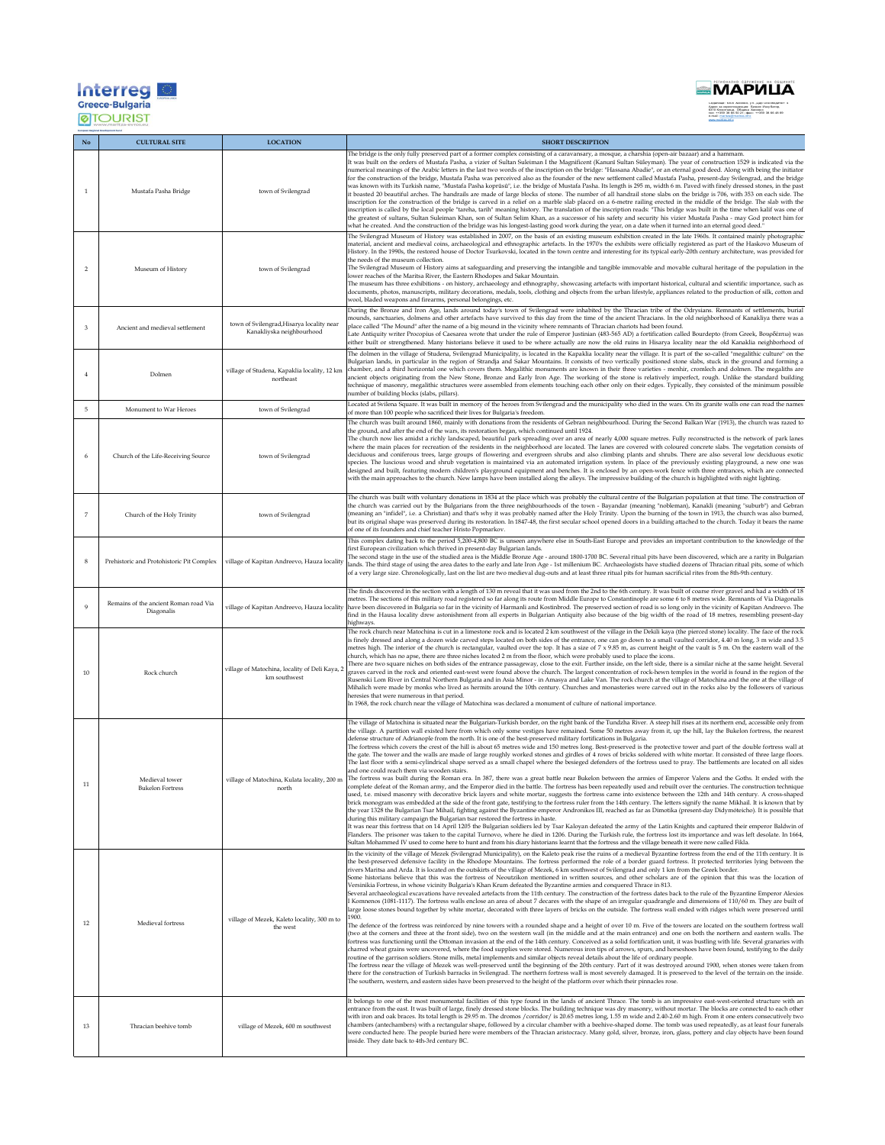| <b>Interre</b>                 |  |
|--------------------------------|--|
| <b>Greece-Bulgaria</b>         |  |
| an Espional Genelescourt Eurol |  |



Седалище: 6300 Хасково, у л. <u>"Цар</u> Освободител" 4<br>Адрес за кореспонденция: Бизнес Инку батор,<br>6310 Клокотница, Община Хасково<br>е-mail: maritza.inf omail:za.info<br>www.maritza.info

| $\mathbf{No}$           | <b>CULTURAL SITE</b>                                | <b>LOCATION</b>                                                        | <b>SHORT DESCRIPTION</b>                                                                                                                                                                                                                                                                                                                                                                                                                                                                                                                                                                                                                                                                                                                                                                                                                                                                                                                                                                                                                                                                                                                                                                                                                                                                                                                                                                                                                                                                                                                                                                                                                                                                                                                                                                                                                                                                                                                                                                                                                                                                                                                                                                                                                                                                                                                                                                                                                                                                                                                                                                                                                                                                                  |
|-------------------------|-----------------------------------------------------|------------------------------------------------------------------------|-----------------------------------------------------------------------------------------------------------------------------------------------------------------------------------------------------------------------------------------------------------------------------------------------------------------------------------------------------------------------------------------------------------------------------------------------------------------------------------------------------------------------------------------------------------------------------------------------------------------------------------------------------------------------------------------------------------------------------------------------------------------------------------------------------------------------------------------------------------------------------------------------------------------------------------------------------------------------------------------------------------------------------------------------------------------------------------------------------------------------------------------------------------------------------------------------------------------------------------------------------------------------------------------------------------------------------------------------------------------------------------------------------------------------------------------------------------------------------------------------------------------------------------------------------------------------------------------------------------------------------------------------------------------------------------------------------------------------------------------------------------------------------------------------------------------------------------------------------------------------------------------------------------------------------------------------------------------------------------------------------------------------------------------------------------------------------------------------------------------------------------------------------------------------------------------------------------------------------------------------------------------------------------------------------------------------------------------------------------------------------------------------------------------------------------------------------------------------------------------------------------------------------------------------------------------------------------------------------------------------------------------------------------------------------------------------------------|
| $\overline{1}$          | Mustafa Pasha Bridge                                | town of Svilengrad                                                     | The bridge is the only fully preserved part of a former complex consisting of a caravansary, a mosque, a charshia (open-air bazaar) and a hammam.<br>It was built on the orders of Mustafa Pasha, a vizier of Sultan Suleiman I the Magnificent (Kanunî Sultan Süleyman). The year of construction 1529 is indicated via the<br>numerical meanings of the Arabic letters in the last two words of the inscription on the bridge: "Hassana Abadie", or an eternal good deed. Along with being the initiator<br>for the construction of the bridge, Mustafa Pasha was perceived also as the founder of the new settlement called Mustafa Pasha, present-day Svilengrad, and the bridge<br>was known with its Turkish name, "Mustafa Pasha koprûsû", i.e. the bridge of Mustafa Pasha. Its length is 295 m, width 6 m. Paved with finely dressed stones, in the past<br>it boasted 20 beautiful arches. The handrails are made of large blocks of stone. The number of all handrail stone slabs on the bridge is 706, with 353 on each side. The<br>inscription for the construction of the bridge is carved in a relief on a marble slab placed on a 6-metre railing erected in the middle of the bridge. The slab with the<br>inscription is called by the local people "tareha, tarih" meaning history. The translation of the inscription reads: "This bridge was built in the time when kalif was one of<br>the greatest of sultans, Sultan Suleiman Khan, son of Sultan Selim Khan, as a successor of his safety and security his vizier Mustafa Pasha - may God protect him for<br>what he created. And the construction of the bridge was his longest-lasting good work during the year, on a date when it turned into an eternal good deed."                                                                                                                                                                                                                                                                                                                                                                                                                                                                                                                                                                                                                                                                                                                                                                                                                                                                                                                                                        |
| $\overline{2}$          | Museum of History                                   | town of Svilengrad                                                     | The Svilengrad Museum of History was established in 2007, on the basis of an existing museum exhibition created in the late 1960s. It contained mainly photographic<br>material, ancient and medieval coins, archaeological and ethnographic artefacts. In the 1970's the exhibits were officially registered as part of the Haskovo Museum of<br>History. In the 1990s, the restored house of Doctor Tsurkovski, located in the town centre and interesting for its typical early-20th century architecture, was provided for<br>the needs of the museum collection.<br>The Svilengrad Museum of History aims at safeguarding and preserving the intangible and tangible immovable and movable cultural heritage of the population in the<br>lower reaches of the Maritsa River, the Eastern Rhodopes and Sakar Mountain.<br>The museum has three exhibitions - on history, archaeology and ethnography, showcasing artefacts with important historical, cultural and scientific importance, such as<br>documents, photos, manuscripts, military decorations, medals, tools, clothing and objects from the urban lifestyle, appliances related to the production of silk, cotton and<br>wool, bladed weapons and firearms, personal belongings, etc.                                                                                                                                                                                                                                                                                                                                                                                                                                                                                                                                                                                                                                                                                                                                                                                                                                                                                                                                                                                                                                                                                                                                                                                                                                                                                                                                                                                                                                                     |
| $\overline{\mathbf{3}}$ | Ancient and medieval settlement                     | town of Svilengrad, Hisarya locality near<br>Kanakliyska neighbourhood | During the Bronze and Iron Age, lands around today's town of Svilengrad were inhabited by the Thracian tribe of the Odrysians. Remnants of settlements, burial<br>mounds, sanctuaries, dolmens and other artefacts have survived to this day from the time of the ancient Thracians. In the old neighborhood of Kanakliya there was a<br>place called "The Mound" after the name of a big mound in the vicinity where remnants of Thracian chariots had been found.<br>Late Antiquity writer Procopius of Caesarea wrote that under the rule of Emperor Justinian (483-565 AD) a fortification called Bourdepto (from Greek, Βουρδέπτω) was<br>either built or strengthened. Many historians believe it used to be where actually are now the old ruins in Hisarya locality near the old Kanaklia neighborhood of                                                                                                                                                                                                                                                                                                                                                                                                                                                                                                                                                                                                                                                                                                                                                                                                                                                                                                                                                                                                                                                                                                                                                                                                                                                                                                                                                                                                                                                                                                                                                                                                                                                                                                                                                                                                                                                                                         |
| $\overline{4}$          | Dolmen                                              | village of Studena, Kapaklia locality, 12 km<br>northeast              | The dolmen in the village of Studena, Svilengrad Municipality, is located in the Kapaklia locality near the village. It is part of the so-called "megalithic culture" on the<br>Bulgarian lands, in particular in the region of Strandja and Sakar Mountains. It consists of two vertically positioned stone slabs, stuck in the ground and forming a<br>chamber, and a third horizontal one which covers them. Megalithic monuments are known in their three varieties - menhir, cromlech and dolmen. The megaliths are<br>ancient objects originating from the New Stone, Bronze and Early Iron Age. The working of the stone is relatively imperfect, rough. Unlike the standard building<br>technique of masonry, megalithic structures were assembled from elements touching each other only on their edges. Typically, they consisted of the minimum possible<br>number of building blocks (slabs, pillars).                                                                                                                                                                                                                                                                                                                                                                                                                                                                                                                                                                                                                                                                                                                                                                                                                                                                                                                                                                                                                                                                                                                                                                                                                                                                                                                                                                                                                                                                                                                                                                                                                                                                                                                                                                                        |
| 5                       | Monument to War Heroes                              | town of Svilengrad                                                     | Located at Svilena Square. It was built in memory of the heroes from Svilengrad and the municipality who died in the wars. On its granite walls one can read the names<br>of more than 100 people who sacrificed their lives for Bulgaria's freedom.<br>The church was built around 1860, mainly with donations from the residents of Gebran neighbourhood. During the Second Balkan War (1913), the church was razed to<br>the ground, and after the end of the wars, its restoration began, which continued until 1924.                                                                                                                                                                                                                                                                                                                                                                                                                                                                                                                                                                                                                                                                                                                                                                                                                                                                                                                                                                                                                                                                                                                                                                                                                                                                                                                                                                                                                                                                                                                                                                                                                                                                                                                                                                                                                                                                                                                                                                                                                                                                                                                                                                                 |
| 6                       | Church of the Life-Receiving Source                 | town of Svilengrad                                                     | The church now lies amidst a richly landscaped, beautiful park spreading over an area of nearly 4,000 square metres. Fully reconstructed is the network of park lanes<br>where the main places for recreation of the residents in the neighborhood are located. The lanes are covered with coloured concrete slabs. The vegetation consists of<br>deciduous and coniferous trees, large groups of flowering and evergreen shrubs and also climbing plants and shrubs. There are also several low deciduous exotic<br>species. The luscious wood and shrub vegetation is maintained via an automated irrigation system. In place of the previously existing playground, a new one was<br>designed and built, featuring modern children's playground equipment and benches. It is enclosed by an open-work fence with three entrances, which are connected<br>with the main approaches to the church. New lamps have been installed along the alleys. The impressive building of the church is highlighted with night lighting.                                                                                                                                                                                                                                                                                                                                                                                                                                                                                                                                                                                                                                                                                                                                                                                                                                                                                                                                                                                                                                                                                                                                                                                                                                                                                                                                                                                                                                                                                                                                                                                                                                                                             |
| $\scriptstyle\rm 7$     | Church of the Holy Trinity                          | town of Svilengrad                                                     | The church was built with voluntary donations in 1834 at the place which was probably the cultural centre of the Bulgarian population at that time. The construction of<br>the church was carried out by the Bulgarians from the three neighbourhoods of the town - Bayandar (meaning "nobleman), Kanakli (meaning "suburb") and Gebran<br>(meaning an "infidel", i.e. a Christian) and that's why it was probably named after the Holy Trinity. Upon the burning of the town in 1913, the church was also burned,<br>but its original shape was preserved during its restoration. In 1847-48, the first secular school opened doors in a building attached to the church. Today it bears the name<br>of one of its founders and chief teacher Hristo Popmarkov.                                                                                                                                                                                                                                                                                                                                                                                                                                                                                                                                                                                                                                                                                                                                                                                                                                                                                                                                                                                                                                                                                                                                                                                                                                                                                                                                                                                                                                                                                                                                                                                                                                                                                                                                                                                                                                                                                                                                          |
| 8                       | Prehistoric and Protohistoric Pit Complex           | village of Kapitan Andreevo, Hauza locality                            | This complex dating back to the period 5,200-4,800 BC is unseen anywhere else in South-East Europe and provides an important contribution to the knowledge of the<br>first European civilization which thrived in present-day Bulgarian lands.<br>The second stage in the use of the studied area is the Middle Bronze Age - around 1800-1700 BC. Several ritual pits have been discovered, which are a rarity in Bulgarian<br>lands. The third stage of using the area dates to the early and late Iron Age - 1st millenium BC. Archaeologists have studied dozens of Thracian ritual pits, some of which<br>of a very large size. Chronologically, last on the list are two medieval dug-outs and at least three ritual pits for human sacrificial rites from the 8th-9th century.                                                                                                                                                                                                                                                                                                                                                                                                                                                                                                                                                                                                                                                                                                                                                                                                                                                                                                                                                                                                                                                                                                                                                                                                                                                                                                                                                                                                                                                                                                                                                                                                                                                                                                                                                                                                                                                                                                                      |
| $\ddot{9}$              | Remains of the ancient Roman road Via<br>Diagonalis | village of Kapitan Andreevo, Hauza locality                            | The finds discovered in the section with a length of 130 m reveal that it was used from the 2nd to the 6th century. It was built of coarse river gravel and had a width of 18<br>metres. The sections of this military road registered so far along its route from Middle Europe to Constantinople are some 6 to 8 metres wide. Remnants of Via Diagonalis<br>have been discovered in Bulgaria so far in the vicinity of Harmanli and Kostinbrod. The preserved section of road is so long only in the vicinity of Kapitan Andreevo. The<br>find in the Hausa locality drew astonishment from all experts in Bulgarian Antiquity also because of the big width of the road of 18 metres, resembling present-day<br>highways                                                                                                                                                                                                                                                                                                                                                                                                                                                                                                                                                                                                                                                                                                                                                                                                                                                                                                                                                                                                                                                                                                                                                                                                                                                                                                                                                                                                                                                                                                                                                                                                                                                                                                                                                                                                                                                                                                                                                                               |
| 10                      | Rock church                                         | village of Matochina, locality of Deli Kaya, 2<br>km southwest         | The rock church near Matochina is cut in a limestone rock and is located 2 km southwest of the village in the Dekili kaya (the pierced stone) locality. The face of the rock<br>is finely dressed and along a dozen wide carved steps located on both sides of the entrance, one can go down to a small vaulted corridor, 4.40 m long, 3 m wide and 3.5<br>metres high. The interior of the church is rectangular, vaulted over the top. It has a size of 7 x 9.85 m, as current height of the vault is 5 m. On the eastern wall of the<br>church, which has no apse, there are three niches located 2 m from the floor, which were probably used to place the icons.<br>There are two square niches on both sides of the entrance passageway, close to the exit. Further inside, on the left side, there is a similar niche at the same height. Several<br>graves carved in the rock and oriented east-west were found above the church. The largest concentration of rock-hewn temples in the world is found in the region of the<br>Rusenski Lom River in Central Northern Bulgaria and in Asia Minor - in Amasya and Lake Van. The rock church at the village of Matochina and the one at the village of<br>Mihalich were made by monks who lived as hermits around the 10th century. Churches and monasteries were carved out in the rocks also by the followers of various<br>heresies that were numerous in that period.<br>In 1968, the rock church near the village of Matochina was declared a monument of culture of national importance.                                                                                                                                                                                                                                                                                                                                                                                                                                                                                                                                                                                                                                                                                                                                                                                                                                                                                                                                                                                                                                                                                                                                                      |
|                         | Medieval tower<br><b>Bukelon Fortress</b>           | village of Matochina, Kulata locality, 200 m<br>north                  | The village of Matochina is situated near the Bulgarian-Turkish border, on the right bank of the Tundzha River. A steep hill rises at its northern end, accessible only from<br>the village. A partition wall existed here from which only some vestiges have remained. Some 50 metres away from it, up the hill, lay the Bukelon fortress, the nearest<br>defense structure of Adrianople from the north. It is one of the best-preserved military fortifications in Bulgaria.<br>The fortress which covers the crest of the hill is about 65 metres wide and 150 metres long. Best-preserved is the protective tower and part of the double fortress wall at<br>the gate. The tower and the walls are made of large roughly worked stones and girdles of 4 rows of bricks soldered with white mortar. It consisted of three large floors.<br>The last floor with a semi-cylindrical shape served as a small chapel where the besieged defenders of the fortress used to pray. The battlements are located on all sides<br>and one could reach them via wooden stairs.<br>The fortress was built during the Roman era. In 387, there was a great battle near Bukelon between the armies of Emperor Valens and the Goths. It ended with the<br>complete defeat of the Roman army, and the Emperor died in the battle. The fortress has been repeatedly used and rebuilt over the centuries. The construction technique<br>used, t.e. mixed masonry with decorative brick layers and white mortar, suggests the fortress came into existence between the 12th and 14th century. A cross-shaped<br>brick monogram was embedded at the side of the front gate, testifying to the fortress ruler from the 14th century. The letters signify the name Mikhail. It is known that by<br>the year 1328 the Bulgarian Tsar Mihail, fighting against the Byzantine emperor Andronikos III, reached as far as Dimotika (present-day Didymóteicho). It is possible that<br>during this military campaign the Bulgarian tsar restored the fortress in haste.<br>It was near this fortress that on 14 April 1205 the Bulgarian soldiers led by Tsar Kaloyan defeated the army of the Latin Knights and captured their emperor Baldwin of<br>Flanders. The prisoner was taken to the capital Turnovo, where he died in 1206. During the Turkish rule, the fortress lost its importance and was left desolate. In 1664,<br>Sultan Mohammed IV used to come here to hunt and from his diary historians learnt that the fortress and the village beneath it were now called Fikla.                                                                                                                                          |
| 12                      | Medieval fortress                                   | village of Mezek, Kaleto locality, 300 m to<br>the west                | In the vicinity of the village of Mezek (Svilengrad Municipality), on the Kaleto peak rise the ruins of a medieval Byzantine fortress from the end of the 11th century. It is<br>the best-preserved defensive facility in the Rhodope Mountains. The fortress performed the role of a border guard fortress. It protected territories lying between the<br>rivers Maritsa and Arda. It is located on the outskirts of the village of Mezek, 6 km southwest of Svilengrad and only 1 km from the Greek border.<br>Some historians believe that this was the fortress of Neoutzikon mentioned in written sources, and other scholars are of the opinion that this was the location of<br>Versinikia Fortress, in whose vicinity Bulgaria's Khan Krum defeated the Byzantine armies and conquered Thrace in 813.<br>Several archaeological excavations have revealed artefacts from the 11th century. The construction of the fortress dates back to the rule of the Byzantine Emperor Alexios<br>I Komnenos (1081-1117). The fortress walls enclose an area of about 7 decares with the shape of an irregular quadrangle and dimensions of 110/60 m. They are built of<br>large loose stones bound together by white mortar, decorated with three layers of bricks on the outside. The fortress wall ended with ridges which were preserved until<br>1900.<br>The defence of the fortress was reinforced by nine towers with a rounded shape and a height of over 10 m. Five of the towers are located on the southern fortress wall<br>(two at the corners and three at the front side), two on the western wall (in the middle and at the main entrance) and one on both the northern and eastern walls. The<br>fortress was functioning until the Ottoman invasion at the end of the 14th century. Conceived as a solid fortification unit, it was bustling with life. Several granaries with<br>charred wheat grains were uncovered, where the food supplies were stored. Numerous iron tips of arrows, spurs, and horseshoes have been found, testifying to the daily<br>routine of the garrison soldiers. Stone mills, metal implements and similar objects reveal details about the life of ordinary people.<br>The fortress near the village of Mezek was well-preserved until the beginning of the 20th century. Part of it was destroyed around 1900, when stones were taken from<br>there for the construction of Turkish barracks in Svilengrad. The northern fortress wall is most severely damaged. It is preserved to the level of the terrain on the inside.<br>The southern, western, and eastern sides have been preserved to the height of the platform over which their pinnacles rose. |
| 13                      | Thracian beehive tomb                               | village of Mezek, 600 m southwest                                      | It belongs to one of the most monumental facilities of this type found in the lands of ancient Thrace. The tomb is an impressive east-west-oriented structure with an<br>entrance from the east. It was built of large, finely dressed stone blocks. The building technique was dry masonry, without mortar. The blocks are connected to each other<br>with iron and oak braces. Its total length is 29.95 m. The dromos /corridor/ is 20.65 metres long, 1.55 m wide and 2.40-2.60 m high. From it one enters consecutively two<br>chambers (antechambers) with a rectangular shape, followed by a circular chamber with a beehive-shaped dome. The tomb was used repeatedly, as at least four funerals<br>were conducted here. The people buried here were members of the Thracian aristocracy. Many gold, silver, bronze, iron, glass, pottery and clay objects have been found<br>inside. They date back to 4th-3rd century BC.                                                                                                                                                                                                                                                                                                                                                                                                                                                                                                                                                                                                                                                                                                                                                                                                                                                                                                                                                                                                                                                                                                                                                                                                                                                                                                                                                                                                                                                                                                                                                                                                                                                                                                                                                                       |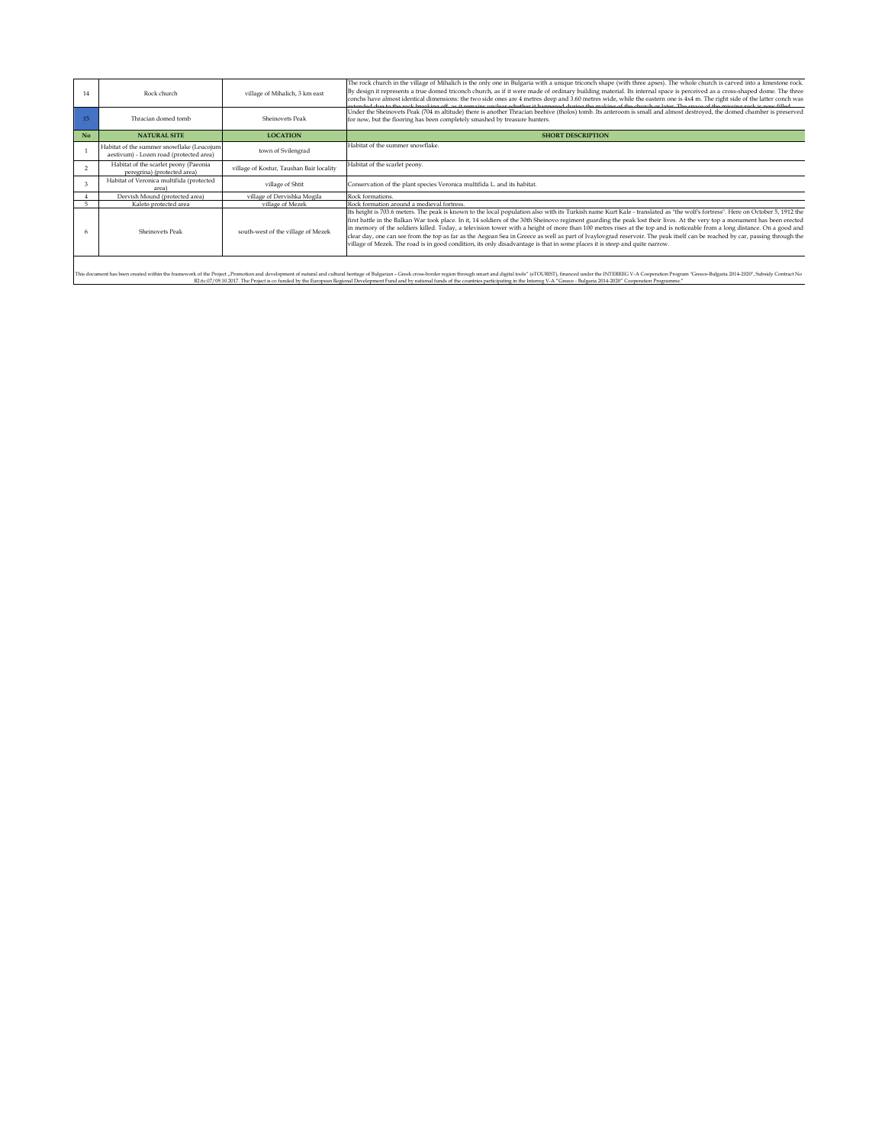| 14             | Rock church                                                                          | village of Mihalich, 3 km east           | The rock church in the village of Mihalich is the only one in Bulgaria with a unique triconch shape (with three apses). The whole church is carved into a limestone rock.<br>By design it represents a true domed triconch church, as if it were made of ordinary building material. Its internal space is perceived as a cross-shaped dome. The three<br>conchs have almost identical dimensions: the two side ones are 4 metres deep and 3.60 metres wide, while the eastern one is 4x4 m. The right side of the latter conch was<br>and at the seal based for the seal of the contraction of the seal of the based of the seal of the seal of the seal of the seal of the seal of the seal of the seal of the seal of the seal of the seal of the seal of the seal                                                                                  |
|----------------|--------------------------------------------------------------------------------------|------------------------------------------|--------------------------------------------------------------------------------------------------------------------------------------------------------------------------------------------------------------------------------------------------------------------------------------------------------------------------------------------------------------------------------------------------------------------------------------------------------------------------------------------------------------------------------------------------------------------------------------------------------------------------------------------------------------------------------------------------------------------------------------------------------------------------------------------------------------------------------------------------------|
|                | Thracian domed tomb                                                                  | Sheinovets Peak                          | Under the Sheinovets Peak (704 m altitude) there is another Thracian beehive (tholos) tomb. Its anteroom is small and almost destroyed, the domed chamber is preserved<br>for now, but the flooring has been completely smashed by treasure hunters.                                                                                                                                                                                                                                                                                                                                                                                                                                                                                                                                                                                                   |
| N <sub>o</sub> | <b>NATURAL SITE</b>                                                                  | <b>LOCATION</b>                          | <b>SHORT DESCRIPTION</b>                                                                                                                                                                                                                                                                                                                                                                                                                                                                                                                                                                                                                                                                                                                                                                                                                               |
|                | Habitat of the summer snowflake (Leucojum<br>aestivum) - Lozen road (protected area) | town of Svilengrad                       | Habitat of the summer snowflake.                                                                                                                                                                                                                                                                                                                                                                                                                                                                                                                                                                                                                                                                                                                                                                                                                       |
|                | Habitat of the scarlet peony (Paeonia<br>peregrina) (protected area)                 | village of Kostur, Taushan Bair locality | Habitat of the scarlet peony.                                                                                                                                                                                                                                                                                                                                                                                                                                                                                                                                                                                                                                                                                                                                                                                                                          |
| $\mathbf{3}$   | Habitat of Veronica multifida (protected<br>area                                     | village of Shtit                         | Conservation of the plant species Veronica multifida L. and its habitat.                                                                                                                                                                                                                                                                                                                                                                                                                                                                                                                                                                                                                                                                                                                                                                               |
|                | Dervish Mound (protected area)                                                       | village of Dervishka Mogila              | Rock formations.                                                                                                                                                                                                                                                                                                                                                                                                                                                                                                                                                                                                                                                                                                                                                                                                                                       |
|                | Kaleto protected area                                                                | village of Mezek                         | Rock formation around a medieval fortress.                                                                                                                                                                                                                                                                                                                                                                                                                                                                                                                                                                                                                                                                                                                                                                                                             |
|                | Sheinovets Peak                                                                      | south-west of the village of Mezek       | Its height is 703.6 meters. The peak is known to the local population also with its Turkish name Kurt Kale - translated as "the wolf's fortress". Here on October 5, 1912 the<br>first battle in the Balkan War took place. In it, 14 soldiers of the 30th Sheinovo regiment guarding the peak lost their lives. At the very top a monument has been erected<br>in memory of the soldiers killed. Today, a television tower with a height of more than 100 metres rises at the top and is noticeable from a long distance. On a good and<br>clear day, one can see from the top as far as the Aegean Sea in Greece as well as part of Ivaylovgrad reservoir. The peak itself can be reached by car, passing through the<br>village of Mezek. The road is in good condition, its only disadvantage is that in some places it is steep and quite narrow. |

This document has been created within the framework of the Project , Pronotion and development of natural and neir and energy of Bugatam - Green Create respects the comments and randial busines of (FOURE), financed unter e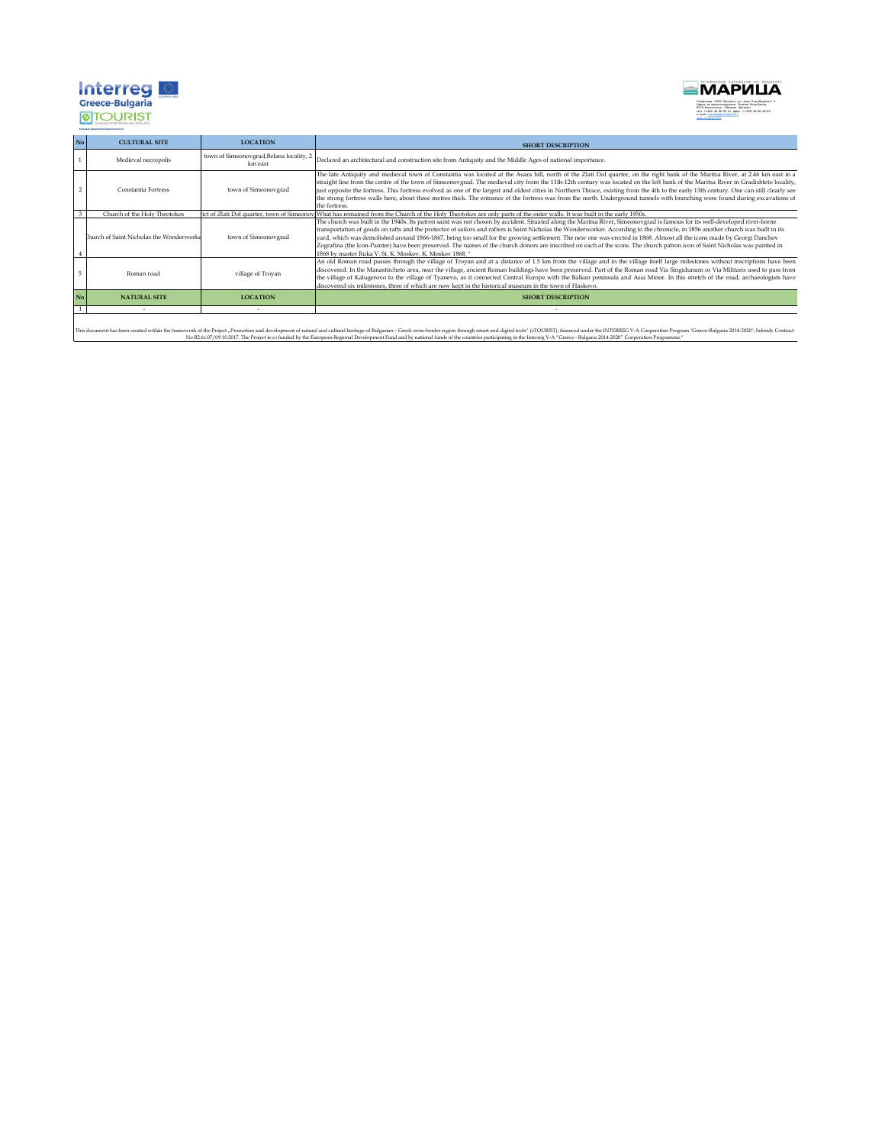

**MAPVILLA** Седалище: 6300 Хасково, у л. "Цар Освободител" 4<br>Адрес за кореспонденция: Бизнес Инку батор,<br>6310 Клокотница, Община Хасково<br>тел: ++359 38 66 50 21; факс: ++359 38 66 48 69<br>www.maritra.info.maritza.info.

| No | <b>CULTURAL SITE</b>                    | <b>LOCATION</b>                                     | <b>SHORT DESCRIPTION</b>                                                                                                                                                                                                                                                                                                                                                                                                                                                                                                                                                                                                                                                                                                                                                             |
|----|-----------------------------------------|-----------------------------------------------------|--------------------------------------------------------------------------------------------------------------------------------------------------------------------------------------------------------------------------------------------------------------------------------------------------------------------------------------------------------------------------------------------------------------------------------------------------------------------------------------------------------------------------------------------------------------------------------------------------------------------------------------------------------------------------------------------------------------------------------------------------------------------------------------|
|    | Medieval necropolis                     | town of Simeonovgrad, Belana locality, 2<br>km east | Declared an architectural and construction site from Antiquity and the Middle Ages of national importance.                                                                                                                                                                                                                                                                                                                                                                                                                                                                                                                                                                                                                                                                           |
|    | Constantia Fortress                     | town of Simeonovgrad                                | The late Antiquity and medieval town of Constantia was located at the Asara hill, north of the Zlati Dol quarter, on the right bank of the Maritsa River, at 2.46 km east in a<br>straight line from the centre of the town of Simeonovgrad. The medieval city from the 11th-12th century was located on the left bank of the Maritsa River in Gradishteto locality,<br>just opposite the fortress. This fortress evolved as one of the largest and oldest cities in Northern Thrace, existing from the 4th to the early 13th century. One can still clearly see<br>the strong fortress walls here, about three metres thick. The entrance of the fortress was from the north. Underground tunnels with branching were found during excavations of<br>the fortress.                  |
|    | Church of the Holy Theotokos            |                                                     | rict of Zlati Dol quarter, town of Simeonov What has remained from the Church of the Holy Theotokos are only parts of the outer walls. It was built in the early 1950s.                                                                                                                                                                                                                                                                                                                                                                                                                                                                                                                                                                                                              |
|    | hurch of Saint Nicholas the Wonderworke | town of Simeonovgrad                                | The church was built in the 1940s. Its patron saint was not chosen by accident. Situated along the Maritsa River, Simeonovgrad is famous for its well-developed river-borne<br>transportation of goods on rafts and the protector of sailors and rafters is Saint Nicholas the Wonderworker. According to the chronicle, in 1856 another church was built in its<br>vard, which was demolished around 1866-1867, being too small for the growing settlement. The new one was erected in 1868. Almost all the icons made by Georgi Danchov<br>Zografina (the Icon-Painter) have been preserved. The names of the church donors are inscribed on each of the icons. The church patron icon of Saint Nicholas was painted in<br>1868 by master Ruka V. St. K. Moskov. K. Moskov 1868. " |
|    | Roman road                              | village of Troyan                                   | An old Roman road passes through the village of Troyan and at a distance of 1.5 km from the village and in the village itself large milestones without inscriptions have been<br>discovered. In the Manastircheto area, near the village, ancient Roman buildings have been preserved. Part of the Roman road Via Singidunum or Via Militaris used to pass from<br>the village of Kalugerovo to the village of Tyanevo, as it connected Central Europe with the Balkan peninsula and Asia Minor. In this stretch of the road, archaeologists have<br>discovered six milestones, three of which are now kept in the historical museum in the town of Haskovo.                                                                                                                         |
| No | <b>NATURAL SITE</b>                     | <b>LOCATION</b>                                     | <b>SHORT DESCRIPTION</b>                                                                                                                                                                                                                                                                                                                                                                                                                                                                                                                                                                                                                                                                                                                                                             |
|    |                                         |                                                     |                                                                                                                                                                                                                                                                                                                                                                                                                                                                                                                                                                                                                                                                                                                                                                                      |

This document has been created within the framework of the Project , Promotion and development of natural and tradity effect the form of exect creek creates of many and present ending the Burgean Concept of the COURS of th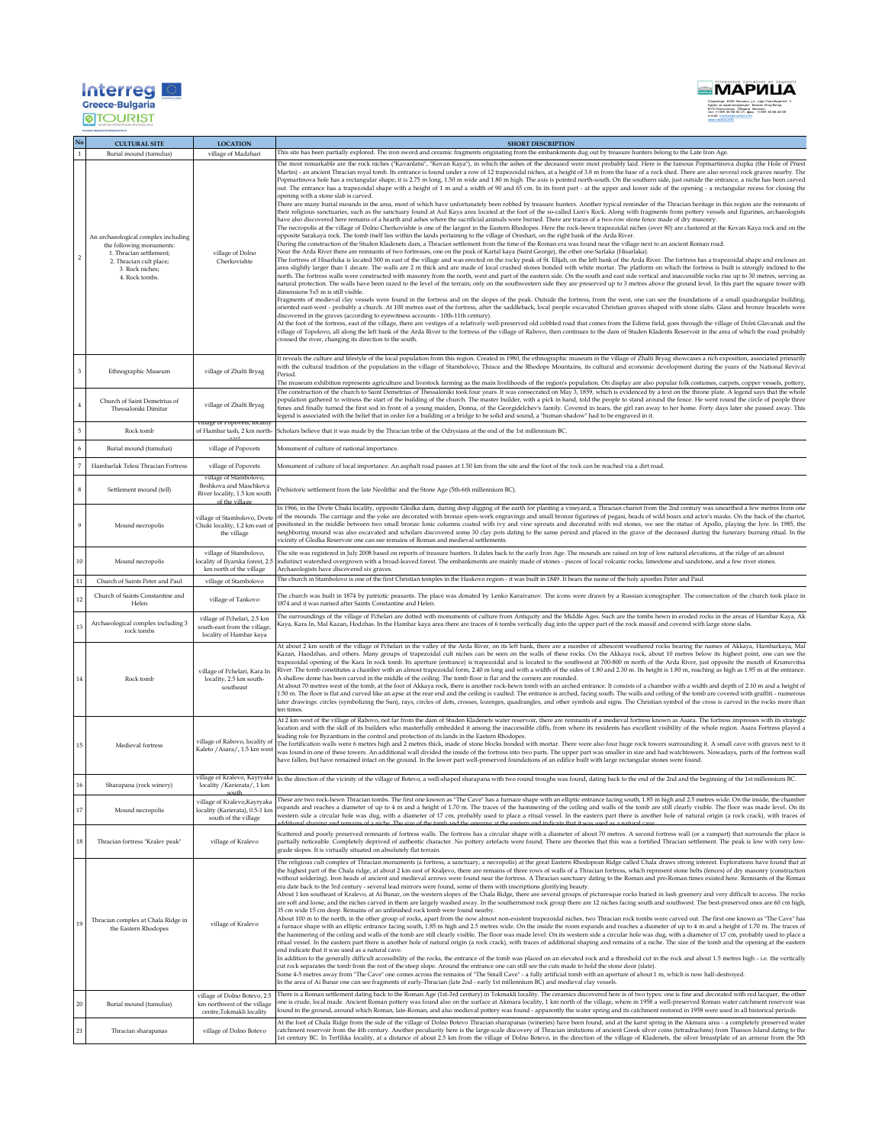## **Interreged**<br>**Greece-Bulgaria**<br>©TOURIST



|                | <b>CULTURAL SITE</b>                                                                                                                                       | <b>LOCATION</b>                                                                        | <b>SHORT DESCRIPTION</b>                                                                                                                                                                                                                                                                                                                                                                                                                                                                                                                                                                                                                                                                                                                                                                                                                                                                                                                                                                                                                                                                                                                                                                                                                                                                                                                                                                                                                                                                                                                                                                                                                                                                                                                                                                                                                                                                                                                                                                                                                                                                                                                                                                                                                                                                                                                                                                                                                                                                                                                                                                                                                                                                                                                                                                                                                                                                                                                                                                                                                                                                                                                                                                                                                                                                                                                                                                                                                                                                                                                                                                                                                                                                                                                                                                                                                                                                                                                                                       |
|----------------|------------------------------------------------------------------------------------------------------------------------------------------------------------|----------------------------------------------------------------------------------------|--------------------------------------------------------------------------------------------------------------------------------------------------------------------------------------------------------------------------------------------------------------------------------------------------------------------------------------------------------------------------------------------------------------------------------------------------------------------------------------------------------------------------------------------------------------------------------------------------------------------------------------------------------------------------------------------------------------------------------------------------------------------------------------------------------------------------------------------------------------------------------------------------------------------------------------------------------------------------------------------------------------------------------------------------------------------------------------------------------------------------------------------------------------------------------------------------------------------------------------------------------------------------------------------------------------------------------------------------------------------------------------------------------------------------------------------------------------------------------------------------------------------------------------------------------------------------------------------------------------------------------------------------------------------------------------------------------------------------------------------------------------------------------------------------------------------------------------------------------------------------------------------------------------------------------------------------------------------------------------------------------------------------------------------------------------------------------------------------------------------------------------------------------------------------------------------------------------------------------------------------------------------------------------------------------------------------------------------------------------------------------------------------------------------------------------------------------------------------------------------------------------------------------------------------------------------------------------------------------------------------------------------------------------------------------------------------------------------------------------------------------------------------------------------------------------------------------------------------------------------------------------------------------------------------------------------------------------------------------------------------------------------------------------------------------------------------------------------------------------------------------------------------------------------------------------------------------------------------------------------------------------------------------------------------------------------------------------------------------------------------------------------------------------------------------------------------------------------------------------------------------------------------------------------------------------------------------------------------------------------------------------------------------------------------------------------------------------------------------------------------------------------------------------------------------------------------------------------------------------------------------------------------------------------------------------------------------------------------------|
|                | Burial mound (tumulus)                                                                                                                                     | village of Madzhari                                                                    | This site has been partially explored. The iron sword and ceramic fragments originating from the embankments dug out by treasure hunters belong to the Late Iron Age                                                                                                                                                                                                                                                                                                                                                                                                                                                                                                                                                                                                                                                                                                                                                                                                                                                                                                                                                                                                                                                                                                                                                                                                                                                                                                                                                                                                                                                                                                                                                                                                                                                                                                                                                                                                                                                                                                                                                                                                                                                                                                                                                                                                                                                                                                                                                                                                                                                                                                                                                                                                                                                                                                                                                                                                                                                                                                                                                                                                                                                                                                                                                                                                                                                                                                                                                                                                                                                                                                                                                                                                                                                                                                                                                                                                           |
|                | An archaeological complex including<br>the following monuments:<br>1. Thracian settlement;<br>2. Thracian cult place;<br>3. Rock niches;<br>4. Rock tombs. | village of Dolno<br>Cherkovishte                                                       | The most remarkable are the rock niches ("Kavanlatsi", "Kovan Kaya"), in which the ashes of the deceased were most probably laid. Here is the famous Popmartinova dupka (the Hole of Priest<br>Martin) - an ancient Thracian royal tomb. Its entrance is found under a row of 12 trapezoidal niches, at a height of 3.8 m from the base of a rock shed. There are also several rock graves nearby. The<br>Popmartinova hole has a rectangular shape, it is 2.75 m long, 1.50 m wide and 1.80 m high. The axis is pointed north-south. On the southern side, just outside the entrance, a niche has been carved<br>out. The entrance has a trapezoidal shape with a height of 1 m and a width of 90 and 65 cm. In its front part - at the upper and lower side of the opening - a rectangular recess for closing the<br>opening with a stone slab is carved.<br>There are many burial mounds in the area, most of which have unfortunately been robbed by treasure hunters. Another typical reminder of the Thracian heritage in this region are the remnants of<br>their religious sanctuaries, such as the sanctuary found at Aul Kaya area located at the foot of the so-called Lion's Rock. Along with fragments from pottery vessels and figurines, archaeologists<br>have also discovered here remains of a hearth and ashes where the sacrificial animals were burned. There are traces of a two-row stone fence made of dry masonry.<br>The necropolis at the village of Dolno Cherkovishte is one of the largest in the Eastern Rhodopes. Here the rock-hewn trapezoidal niches (over 80) are clustered at the Kovan Kaya rock and on the<br>opposite Sarakaya rock. The tomb itself lies within the lands pertaining to the village of Oreshari, on the right bank of the Arda River.<br>During the construction of the Studen Kladenets dam, a Thracian settlement from the time of the Roman era was found near the village next to an ancient Roman road.<br>Near the Arda River there are remnants of two fortresses, one on the peak of Kartal kaya (Saint George), the other one Sarlaka (Hisarlaka).<br>The fortress of Hisarluka is located 500 m east of the village and was erected on the rocky peak of St. Elijah, on the left bank of the Arda River. The fortress has a trapezoidal shape and encloses an<br>area slightly larger than 1 decare. The walls are 2 m thick and are made of local crushed stones bonded with white mortar. The platform on which the fortress is built is strongly inclined to the<br>north. The fortress walls were constructed with masonry from the north, west and part of the eastern side. On the south and east side vertical and inaccessible rocks rise up to 30 metres, serving as<br>natural protection. The walls have been razed to the level of the terrain; only on the southwestern side they are preserved up to 3 metres above the ground level. In this part the square tower with<br>dimensions 5x5 m is still visible.<br>Fragments of medieval clay vessels were found in the fortress and on the slopes of the peak. Outside the fortress, from the west, one can see the foundations of a small quadrangular building,<br>oriented east-west - probably a church. At 100 metres east of the fortress, after the saddleback, local people excavated Christian graves shaped with stone slabs. Glass and bronze bracelets were<br>discovered in the graves (according to eyewitness accounts - 10th-11th century).<br>At the foot of the fortress, east of the village, there are vestiges of a relatively well-preserved old cobbled road that comes from the Edirne field, goes through the village of Dolni Glavanak and the<br>village of Topolovo, all along the left bank of the Arda River to the fortress of the village of Rabovo, then continues to the dam of Studen Kladents Reservoir in the area of which the road probably<br>crossed the river, changing its direction to the south. |
|                | Ethnographic Museum                                                                                                                                        | village of Zhalti Bryag                                                                | It reveals the culture and lifestyle of the local population from this region. Created in 1980, the ethnographic museum in the village of Zhalti Bryag showcases a rich exposition, associated primarily<br>with the cultural tradition of the population in the village of Stambolovo, Thrace and the Rhodope Mountains, its cultural and economic development during the years of the National Revival<br>Period.<br>The museum exhibition represents agriculture and livestock farming as the main livelihoods of the region's population. On display are also popular folk costumes, carpets, copper vessels, pottery,                                                                                                                                                                                                                                                                                                                                                                                                                                                                                                                                                                                                                                                                                                                                                                                                                                                                                                                                                                                                                                                                                                                                                                                                                                                                                                                                                                                                                                                                                                                                                                                                                                                                                                                                                                                                                                                                                                                                                                                                                                                                                                                                                                                                                                                                                                                                                                                                                                                                                                                                                                                                                                                                                                                                                                                                                                                                                                                                                                                                                                                                                                                                                                                                                                                                                                                                                     |
| $\overline{4}$ | Church of Saint Demetrius of<br>Thessaloniki Dimitar                                                                                                       | village of Zhalti Bryag<br>mage or Popovets, iocal                                     | The construction of the church to Saint Demetrius of Thessaloniki took four years. It was consecrated on May 3, 1859, which is evidenced by a text on the throne plate. A legend says that the whole<br>population gathered to witness the start of the building of the church. The master builder, with a pick in hand, told the people to stand around the fence. He went round the circle of people three<br>times and finally turned the first sod in front of a young maiden, Donna, of the Georgidelchev's family. Covered in tears, the girl ran away to her home. Forty days later she passed away. This<br>legend is associated with the belief that in order for a building or a bridge to be solid and sound, a "human shadow" had to be engraved in it.                                                                                                                                                                                                                                                                                                                                                                                                                                                                                                                                                                                                                                                                                                                                                                                                                                                                                                                                                                                                                                                                                                                                                                                                                                                                                                                                                                                                                                                                                                                                                                                                                                                                                                                                                                                                                                                                                                                                                                                                                                                                                                                                                                                                                                                                                                                                                                                                                                                                                                                                                                                                                                                                                                                                                                                                                                                                                                                                                                                                                                                                                                                                                                                                            |
| $\overline{5}$ | Rock tomb                                                                                                                                                  | of Hambar tash, 2 km north-                                                            | Scholars believe that it was made by the Thracian tribe of the Odrysians at the end of the 1st millennium BC.                                                                                                                                                                                                                                                                                                                                                                                                                                                                                                                                                                                                                                                                                                                                                                                                                                                                                                                                                                                                                                                                                                                                                                                                                                                                                                                                                                                                                                                                                                                                                                                                                                                                                                                                                                                                                                                                                                                                                                                                                                                                                                                                                                                                                                                                                                                                                                                                                                                                                                                                                                                                                                                                                                                                                                                                                                                                                                                                                                                                                                                                                                                                                                                                                                                                                                                                                                                                                                                                                                                                                                                                                                                                                                                                                                                                                                                                  |
|                | Burial mound (tumulus)                                                                                                                                     | village of Popovets                                                                    | Monument of culture of national importance.                                                                                                                                                                                                                                                                                                                                                                                                                                                                                                                                                                                                                                                                                                                                                                                                                                                                                                                                                                                                                                                                                                                                                                                                                                                                                                                                                                                                                                                                                                                                                                                                                                                                                                                                                                                                                                                                                                                                                                                                                                                                                                                                                                                                                                                                                                                                                                                                                                                                                                                                                                                                                                                                                                                                                                                                                                                                                                                                                                                                                                                                                                                                                                                                                                                                                                                                                                                                                                                                                                                                                                                                                                                                                                                                                                                                                                                                                                                                    |
| $\overline{7}$ | Hambarlak Telesi Thracian Fortress                                                                                                                         | village of Popovets<br>village of Stambolovo.                                          | Monument of culture of local importance. An asphalt road passes at 1.50 km from the site and the foot of the rock can be reached via a dirt road.                                                                                                                                                                                                                                                                                                                                                                                                                                                                                                                                                                                                                                                                                                                                                                                                                                                                                                                                                                                                                                                                                                                                                                                                                                                                                                                                                                                                                                                                                                                                                                                                                                                                                                                                                                                                                                                                                                                                                                                                                                                                                                                                                                                                                                                                                                                                                                                                                                                                                                                                                                                                                                                                                                                                                                                                                                                                                                                                                                                                                                                                                                                                                                                                                                                                                                                                                                                                                                                                                                                                                                                                                                                                                                                                                                                                                              |
| 8              | Settlement mound (tell)                                                                                                                                    | Beshkova and Maschkova<br>River locality, 1.5 km south<br>of the village               | Prehistoric settlement from the late Neolithic and the Stone Age (5th-6th millennium BC).                                                                                                                                                                                                                                                                                                                                                                                                                                                                                                                                                                                                                                                                                                                                                                                                                                                                                                                                                                                                                                                                                                                                                                                                                                                                                                                                                                                                                                                                                                                                                                                                                                                                                                                                                                                                                                                                                                                                                                                                                                                                                                                                                                                                                                                                                                                                                                                                                                                                                                                                                                                                                                                                                                                                                                                                                                                                                                                                                                                                                                                                                                                                                                                                                                                                                                                                                                                                                                                                                                                                                                                                                                                                                                                                                                                                                                                                                      |
|                | Mound necropolis                                                                                                                                           | village of Stambolovo, Dvet<br>the village                                             | In 1966, in the Dvete Chuki locality, opposite Gledka dam, during deep digging of the earth for planting a vineyard, a Thracian chariot from the 2nd century was unearthed a few metres from one<br>of the mounds. The carriage and the yoke are decorated with bronze open-work engravings and small bronze figurines of pegasi, heads of wild boars and actor's masks. On the back of the chariot,<br>Chuki locality, 1.2 km east of positioned in the middle between two small bronze Ionic columns coated with ivy and vine sprouts and decorated with red stones, we see the statue of Apollo, playing the lyre. In 1985, the<br>neighboring mound was also excavated and scholars discovered some 30 clay pots dating to the same period and placed in the grave of the deceased during the funerary burning ritual. In the<br>vicinity of Gledka Reservoir one can see remains of Roman and medieval settlements.                                                                                                                                                                                                                                                                                                                                                                                                                                                                                                                                                                                                                                                                                                                                                                                                                                                                                                                                                                                                                                                                                                                                                                                                                                                                                                                                                                                                                                                                                                                                                                                                                                                                                                                                                                                                                                                                                                                                                                                                                                                                                                                                                                                                                                                                                                                                                                                                                                                                                                                                                                                                                                                                                                                                                                                                                                                                                                                                                                                                                                                       |
| 10             | Mound necropolis                                                                                                                                           | village of Stambolovo,<br>ocality of Ilyarska forest, 2.<br>km north of the village    | The site was registered in July 2008 based on reports of treasure hunters. It dates back to the early Iron Age. The mounds are raised on top of low natural elevations, at the ridge of an almost<br>indistinct watershed overgrown with a broad-leaved forest. The embankments are mainly made of stones - pieces of local volcanic rocks, limestone and sandstone, and a few river stones.<br>Archaeologists have discovered six graves                                                                                                                                                                                                                                                                                                                                                                                                                                                                                                                                                                                                                                                                                                                                                                                                                                                                                                                                                                                                                                                                                                                                                                                                                                                                                                                                                                                                                                                                                                                                                                                                                                                                                                                                                                                                                                                                                                                                                                                                                                                                                                                                                                                                                                                                                                                                                                                                                                                                                                                                                                                                                                                                                                                                                                                                                                                                                                                                                                                                                                                                                                                                                                                                                                                                                                                                                                                                                                                                                                                                      |
| $11\,$         | Church of Saints Peter and Paul                                                                                                                            | village of Stambolovo                                                                  | The church in Stambolovo is one of the first Christian temples in the Haskovo region - it was built in 1849. It bears the name of the holy apostles Peter and Paul.                                                                                                                                                                                                                                                                                                                                                                                                                                                                                                                                                                                                                                                                                                                                                                                                                                                                                                                                                                                                                                                                                                                                                                                                                                                                                                                                                                                                                                                                                                                                                                                                                                                                                                                                                                                                                                                                                                                                                                                                                                                                                                                                                                                                                                                                                                                                                                                                                                                                                                                                                                                                                                                                                                                                                                                                                                                                                                                                                                                                                                                                                                                                                                                                                                                                                                                                                                                                                                                                                                                                                                                                                                                                                                                                                                                                            |
| 12             | Church of Saints Constantine and<br>Helen                                                                                                                  | village of Tankovo                                                                     | The church was built in 1874 by patriotic peasants. The place was donated by Lenko Karaivanov. The icons were drawn by a Russian iconographer. The consecration of the church took place in<br>1874 and it was named after Saints Constantine and Helen.                                                                                                                                                                                                                                                                                                                                                                                                                                                                                                                                                                                                                                                                                                                                                                                                                                                                                                                                                                                                                                                                                                                                                                                                                                                                                                                                                                                                                                                                                                                                                                                                                                                                                                                                                                                                                                                                                                                                                                                                                                                                                                                                                                                                                                                                                                                                                                                                                                                                                                                                                                                                                                                                                                                                                                                                                                                                                                                                                                                                                                                                                                                                                                                                                                                                                                                                                                                                                                                                                                                                                                                                                                                                                                                       |
| 13             | Archaeological complex including 3<br>rock tombs                                                                                                           | village of Pchelari, 2.5 km<br>south-east from the village,<br>locality of Hambar kaya | The surroundings of the village of Pchelari are dotted with monuments of culture from Antiquity and the Middle Ages. Such are the tombs hewn in eroded rocks in the areas of Hambar Kaya, Ak<br>Kaya, Kara In, Mal Kazan, Hodzhas. In the Hambar kaya area there are traces of 6 tombs vertically dug into the upper part of the rock massif and covered with large stone slabs.                                                                                                                                                                                                                                                                                                                                                                                                                                                                                                                                                                                                                                                                                                                                                                                                                                                                                                                                                                                                                                                                                                                                                                                                                                                                                                                                                                                                                                                                                                                                                                                                                                                                                                                                                                                                                                                                                                                                                                                                                                                                                                                                                                                                                                                                                                                                                                                                                                                                                                                                                                                                                                                                                                                                                                                                                                                                                                                                                                                                                                                                                                                                                                                                                                                                                                                                                                                                                                                                                                                                                                                               |
| 14             | Rock tomb                                                                                                                                                  | village of Pchelari, Kara In<br>locality, 2.5 km south-<br>southeast                   | At about 2 km south of the village of Pchelari in the valley of the Arda River, on its left bank, there are a number of albescent weathered rocks bearing the names of Akkaya, Hambarkaya, Mal<br>Kazan, Haodzhas, and others. Many groups of trapezoidal cult niches can be seen on the walls of these rocks. On the Akkaya rock, about 10 metres below its highest point, one can see the<br>trapezoidal opening of the Kara In rock tomb. Its aperture (entrance) is trapezoidal and is located to the southwest at 700-800 m north of the Arda River, just opposite the mouth of Krumovitsa<br>River. The tomb constitutes a chamber with an almost trapezoidal form, 2.40 m long and with a width of the sides of 1.80 and 2.30 m. Its height is 1.80 m, reaching as high as 1.95 m at the entrance.<br>A shallow dome has been carved in the middle of the ceiling. The tomb floor is flat and the corners are rounded.<br>At about 70 metres west of the tomb, at the foot of Akkaya rock, there is another rock-hewn tomb with an arched entrance. It consists of a chamber with a width and depth of 2.10 m and a height of<br>1.50 m. The floor is flat and curved like an apse at the rear end and the ceiling is vaulted. The entrance is arched, facing south. The walls and ceiling of the tomb are covered with graffiti - numerous<br>later drawings: circles (symbolizing the Sun), rays, circles of dots, crosses, lozenges, quadrangles, and other symbols and signs. The Christian symbol of the cross is carved in the rocks more than<br>ten times<br>At 2 km west of the village of Rabovo, not far from the dam of Studen Kladenets water reservoir, there are remnants of a medieval fortress known as Asara. The fortress impresses with its strategic                                                                                                                                                                                                                                                                                                                                                                                                                                                                                                                                                                                                                                                                                                                                                                                                                                                                                                                                                                                                                                                                                                                                                                                                                                                                                                                                                                                                                                                                                                                                                                                                                                                                                                                                                                                                                                                                                                                                                                                                                                                                                                                                                                                               |
| 15             | Medieval fortress                                                                                                                                          | village of Rabovo, locality of<br>Kaleto / Asara/, 1.5 km west                         | location and with the skill of its builders who masterfully embedded it among the inaccessible cliffs, from where its residents has excellent visibility of the whole region. Asara Fortress played a<br>leading role for Byzantium in the control and protection of its lands in the Eastern Rhodopes.<br>The fortification walls were 6 metres high and 2 metres thick, made of stone blocks bonded with mortar. There were also four huge rock towers surrounding it. A small cave with graves next to it<br>was found in one of these towers. An additional wall divided the inside of the fortress into two parts. The upper part was smaller in size and had watchtowers. Nowadays, parts of the fortress wall<br>have fallen, but have remained intact on the ground. In the lower part well-preserved foundations of an edifice built with large rectangular stones were found.                                                                                                                                                                                                                                                                                                                                                                                                                                                                                                                                                                                                                                                                                                                                                                                                                                                                                                                                                                                                                                                                                                                                                                                                                                                                                                                                                                                                                                                                                                                                                                                                                                                                                                                                                                                                                                                                                                                                                                                                                                                                                                                                                                                                                                                                                                                                                                                                                                                                                                                                                                                                                                                                                                                                                                                                                                                                                                                                                                                                                                                                                        |
| 16             | Sharapana (rock winery)                                                                                                                                    | locality / Karierata/, 1 km<br>nuth                                                    | village of Kralevo, Kayryaka In the direction of the vicinity of the village of Botevo, a well-shaped sharapana with two round troughs was found, dating back to the end of the 2nd and the beginning of the 1st millennium BC                                                                                                                                                                                                                                                                                                                                                                                                                                                                                                                                                                                                                                                                                                                                                                                                                                                                                                                                                                                                                                                                                                                                                                                                                                                                                                                                                                                                                                                                                                                                                                                                                                                                                                                                                                                                                                                                                                                                                                                                                                                                                                                                                                                                                                                                                                                                                                                                                                                                                                                                                                                                                                                                                                                                                                                                                                                                                                                                                                                                                                                                                                                                                                                                                                                                                                                                                                                                                                                                                                                                                                                                                                                                                                                                                 |
| 17             | Mound necropolis                                                                                                                                           | village of Kralevo, Kayryaka<br>locality (Karierata), 0.5-1 km<br>south of the village | These are two rock-hewn Thracian tombs. The first one known as "The Cave" has a furnace shape with an elliptic entrance facing south, 1.85 m high and 2.5 metres wide. On the inside, the chamber<br>xpands and reaches a diameter of up to 4 m and a height of 1.70 m. The traces of the hammering of the ceiling and walls of the tomb are still clearly visible. The floor was made level. On its<br>western side a circular hole was dug, with a diameter of 17 cm, probably used to place a ritual vessel. In the eastern part there is another hole of natural origin (a rock crack), with traces of<br>and romaine of a nicho. The cive of the tomb and the ononine at the eactorn ond indicate that it was weed as a natural car                                                                                                                                                                                                                                                                                                                                                                                                                                                                                                                                                                                                                                                                                                                                                                                                                                                                                                                                                                                                                                                                                                                                                                                                                                                                                                                                                                                                                                                                                                                                                                                                                                                                                                                                                                                                                                                                                                                                                                                                                                                                                                                                                                                                                                                                                                                                                                                                                                                                                                                                                                                                                                                                                                                                                                                                                                                                                                                                                                                                                                                                                                                                                                                                                                       |
| 18             | Thracian fortress "Kralev peak"                                                                                                                            | village of Kralevo                                                                     | Scattered and poorly preserved remnants of fortress walls. The fortress has a circular shape with a diameter of about 70 metres. A second fortress wall (or a rampart) that surrounds the place is<br>partially noticeable. Completely deprived of authentic character. No pottery artefacts were found. There are theories that this was a fortified Thracian settlement. The peak is low with very low-<br>grade slopes. It is virtually situated on absolutely flat terrain.                                                                                                                                                                                                                                                                                                                                                                                                                                                                                                                                                                                                                                                                                                                                                                                                                                                                                                                                                                                                                                                                                                                                                                                                                                                                                                                                                                                                                                                                                                                                                                                                                                                                                                                                                                                                                                                                                                                                                                                                                                                                                                                                                                                                                                                                                                                                                                                                                                                                                                                                                                                                                                                                                                                                                                                                                                                                                                                                                                                                                                                                                                                                                                                                                                                                                                                                                                                                                                                                                                |
| 19             | Thracian complex at Chala Ridge in<br>the Eastern Rhodopes                                                                                                 | village of Kralevo                                                                     | The religious cult complex of Thracian monuments (a fortress, a sanctuary, a necropolis) at the great Eastern Rhodopean Ridge called Chala draws strong interest. Explorations have found that at<br>the highest part of the Chala ridge, at about 2 km east of Kraljevo, there are remains of three rows of walls of a Thracian fortress, which represent stone belts (fences) of dry masonry (construction<br>without soldering). Iron heads of ancient and medieval arrows were found near the fortress. A Thracian sanctuary dating to the Roman and pre-Roman times existed here. Remnants of the Roman<br>era date back to the 3rd century - several lead mirrors were found, some of them with inscriptions glorifying beauty.<br>About 1 km southeast of Kralevo, at Ai Bunar, on the western slopes of the Chala Ridge, there are several groups of picturesque rocks buried in lush greenery and very difficult to access. The rocks<br>are soft and loose, and the niches carved in them are largely washed away. In the southernmost rock group there are 12 niches facing south and southwest. The best-preserved ones are 60 cm high,<br>35 cm wide 15 cm deep. Remains of an unfinished rock tomb were found nearby.<br>About 100 m to the north, in the other group of rocks, apart from the now almost non-existent trapezoidal niches, two Thracian rock tombs were carved out. The first one known as "The Cave" has<br>a furnace shape with an elliptic entrance facing south, 1.85 m high and 2.5 metres wide. On the inside the room expands and reaches a diameter of up to 4 m and a height of 1.70 m. The traces of<br>the hammering of the ceiling and walls of the tomb are still clearly visible. The floor was made level. On its western side a circular hole was dug, with a diameter of 17 cm, probably used to place a<br>ritual vessel. In the eastern part there is another hole of natural origin (a rock crack), with traces of additional shaping and remains of a niche. The size of the tomb and the opening at the eastern<br>end indicate that it was used as a natural cave.<br>In addition to the generally difficult accessibility of the rocks, the entrance of the tomb was placed on an elevated rock and a threshold cut in the rock and about 1.5 metres high - i.e. the vertically<br>cut rock separates the tomb from the rest of the steep slope. Around the entrance one can still see the cuts made to hold the stone door (slate).<br>Some 4-5 metres away from "The Cave" one comes across the remains of "The Small Cave" - a fully artificial tomb with an aperture of about 1 m, which is now half-destroyed.<br>In the area of Ai Bunar one can see fragments of early-Thracian (late 2nd - early 1st millennium BC) and medieval clay vessels.                                                                                                                                                                                                                                                                                                                                                                                                                                                                                                                                                                                                                                                                                                                                                                                                                                                                                                                                                                                                                                                                                                                                                                   |
| $20\,$         | Burial mound (tumulus)                                                                                                                                     | village of Dolno Botevo, 2.5<br>km northwest of the village                            | There is a Roman settlement dating back to the Roman Age (1st-3rd century) in Tokmakli locality. The ceramics discovered here is of two types: one is fine and decorated with red lacquer, the other<br>one is crude, local made. Ancient Roman pottery was found also on the surface at Akmara locality, 1 km north of the village, where in 1958 a well-preserved Roman water catchment reservoir was                                                                                                                                                                                                                                                                                                                                                                                                                                                                                                                                                                                                                                                                                                                                                                                                                                                                                                                                                                                                                                                                                                                                                                                                                                                                                                                                                                                                                                                                                                                                                                                                                                                                                                                                                                                                                                                                                                                                                                                                                                                                                                                                                                                                                                                                                                                                                                                                                                                                                                                                                                                                                                                                                                                                                                                                                                                                                                                                                                                                                                                                                                                                                                                                                                                                                                                                                                                                                                                                                                                                                                        |
| 21             | Thracian sharapanas                                                                                                                                        | centre, Tokmakli locality<br>village of Dolno Botevo                                   | found in the ground, around which Roman, late-Roman, and also medieval pottery was found - apparently the water spring and its catchment restored in 1958 were used in all historical periods.<br>At the foot of Chala Ridge from the side of the village of Dolno Botevo Thracian sharapanas (wineries) have been found, and at the karst spring in the Akmara area - a completely preserved water<br>catchment reservoir from the 4th century. Another peculiarity here is the large-scale discovery of Thracian imitations of ancient Greek silver coins (tetradrachms) from Thassos Island dating to the                                                                                                                                                                                                                                                                                                                                                                                                                                                                                                                                                                                                                                                                                                                                                                                                                                                                                                                                                                                                                                                                                                                                                                                                                                                                                                                                                                                                                                                                                                                                                                                                                                                                                                                                                                                                                                                                                                                                                                                                                                                                                                                                                                                                                                                                                                                                                                                                                                                                                                                                                                                                                                                                                                                                                                                                                                                                                                                                                                                                                                                                                                                                                                                                                                                                                                                                                                   |
|                |                                                                                                                                                            |                                                                                        | 1st century BC. In Terfilika locality, at a distance of about 2.5 km from the village of Dolno Botevo, in the direction of the village of Kladenets, the silver breastplate of an armour from the 5th                                                                                                                                                                                                                                                                                                                                                                                                                                                                                                                                                                                                                                                                                                                                                                                                                                                                                                                                                                                                                                                                                                                                                                                                                                                                                                                                                                                                                                                                                                                                                                                                                                                                                                                                                                                                                                                                                                                                                                                                                                                                                                                                                                                                                                                                                                                                                                                                                                                                                                                                                                                                                                                                                                                                                                                                                                                                                                                                                                                                                                                                                                                                                                                                                                                                                                                                                                                                                                                                                                                                                                                                                                                                                                                                                                          |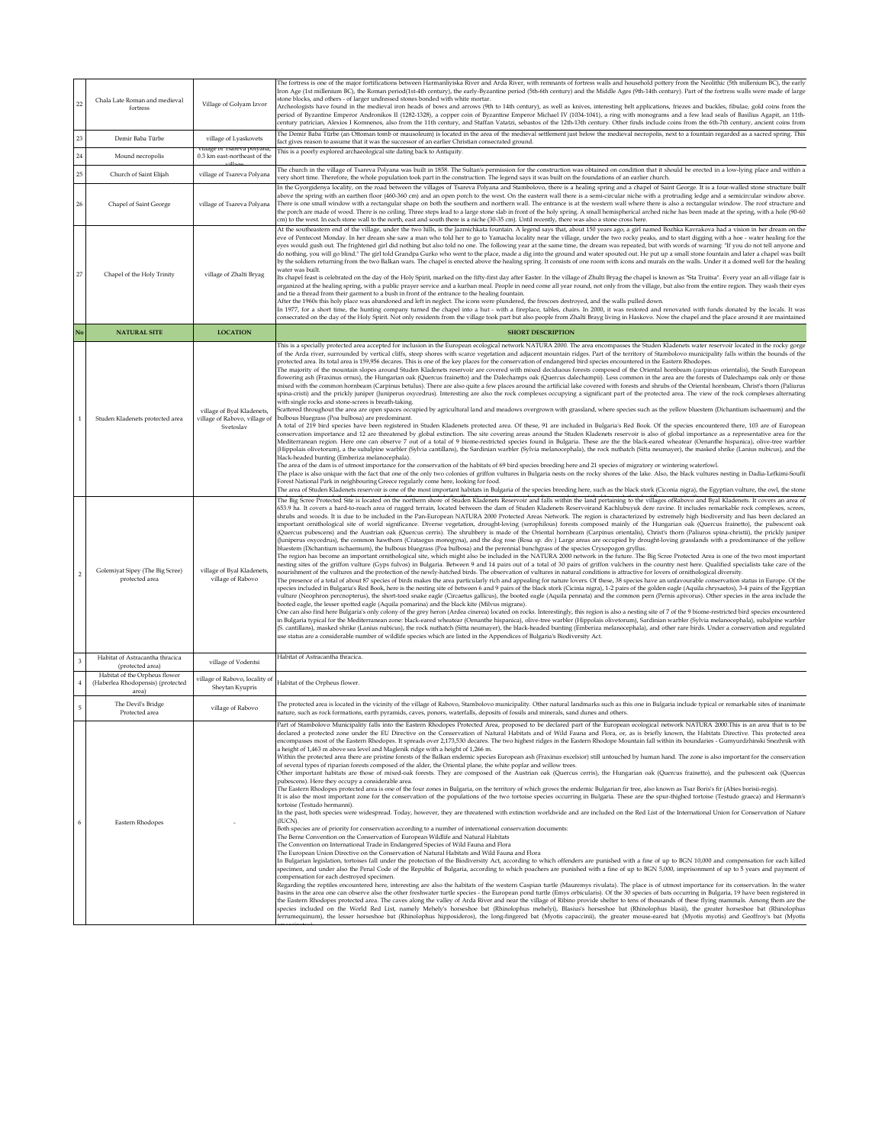| $22\,$          | Chala Late Roman and medieval<br>fortress                                   | Village of Golyam Izvor                                                  | The fortress is one of the major fortifications between Harmanliyiska River and Arda River, with remnants of fortress walls and household pottery from the Neolithic (5th millenium BC), the early<br>Iron Age (1st millenium BC), the Roman period(1st-4th century), the early-Byzantine period (5th-6th century) and the Middle Ages (9th-14th century). Part of the fortress walls were made of large<br>stone blocks, and others - of larger undressed stones bonded with white mortar.<br>Archeologists have found in the medieval iron heads of bows and arrows (9th to 14th century), as well as knives, interesting belt applications, friezes and buckles, fibulae, gold coins from the<br>period of Byzantine Emperor Andronikos II (1282-1328), a copper coin of Byzantine Emperor Michael IV (1034-1041), a ring with monograms and a few lead seals of Basilius Agapit, an 11th-<br>century patrician, Alexios I Komnenos, also from the 11th century, and Staffan Vatatzi, sebastos of the 12th-13th century. Other finds include coins from the 6th-7th century, ancient coins from                                                                                                                                                                                                                                                                                                                                                                                                                                                                                                                                                                                                                                                                                                                                                                                                                                                                                                                                                                                                                                                                                                                                                                                                                                                                                                                                                                                                                                                                                                                                                                                                                                                                                                                                                                                                                                                                                                                                                                                                                                                                                                                                                                                                                                                                                                                                                                                                                                                                                                                                                                                                                                 |
|-----------------|-----------------------------------------------------------------------------|--------------------------------------------------------------------------|------------------------------------------------------------------------------------------------------------------------------------------------------------------------------------------------------------------------------------------------------------------------------------------------------------------------------------------------------------------------------------------------------------------------------------------------------------------------------------------------------------------------------------------------------------------------------------------------------------------------------------------------------------------------------------------------------------------------------------------------------------------------------------------------------------------------------------------------------------------------------------------------------------------------------------------------------------------------------------------------------------------------------------------------------------------------------------------------------------------------------------------------------------------------------------------------------------------------------------------------------------------------------------------------------------------------------------------------------------------------------------------------------------------------------------------------------------------------------------------------------------------------------------------------------------------------------------------------------------------------------------------------------------------------------------------------------------------------------------------------------------------------------------------------------------------------------------------------------------------------------------------------------------------------------------------------------------------------------------------------------------------------------------------------------------------------------------------------------------------------------------------------------------------------------------------------------------------------------------------------------------------------------------------------------------------------------------------------------------------------------------------------------------------------------------------------------------------------------------------------------------------------------------------------------------------------------------------------------------------------------------------------------------------------------------------------------------------------------------------------------------------------------------------------------------------------------------------------------------------------------------------------------------------------------------------------------------------------------------------------------------------------------------------------------------------------------------------------------------------------------------------------------------------------------------------------------------------------------------------------------------------------------------------------------------------------------------------------------------------------------------------------------------------------------------------------------------------------------------------------------------------------------------------------------------------------------------------------------------------------------------------------------------------------------------------------------------------------------------|
| $\overline{23}$ | Demir Baba Türbe                                                            | village of Lyaskovets                                                    | The Demir Baba Türbe (an Ottoman tomb or mausoleum) is located in the area of the medieval settlement just below the medieval necropolis, next to a fountain regarded as a sacred spring. This<br>fact gives reason to assume that it was the successor of an earlier Christian consecrated ground.                                                                                                                                                                                                                                                                                                                                                                                                                                                                                                                                                                                                                                                                                                                                                                                                                                                                                                                                                                                                                                                                                                                                                                                                                                                                                                                                                                                                                                                                                                                                                                                                                                                                                                                                                                                                                                                                                                                                                                                                                                                                                                                                                                                                                                                                                                                                                                                                                                                                                                                                                                                                                                                                                                                                                                                                                                                                                                                                                                                                                                                                                                                                                                                                                                                                                                                                                                                                                                |
| $^{24}$         | Mound necropolis                                                            | .<br>Tuage or 1 sareva poiyana,<br>0.3 km east-northeast of the          | This is a poorly explored archaeological site dating back to Antiquity.                                                                                                                                                                                                                                                                                                                                                                                                                                                                                                                                                                                                                                                                                                                                                                                                                                                                                                                                                                                                                                                                                                                                                                                                                                                                                                                                                                                                                                                                                                                                                                                                                                                                                                                                                                                                                                                                                                                                                                                                                                                                                                                                                                                                                                                                                                                                                                                                                                                                                                                                                                                                                                                                                                                                                                                                                                                                                                                                                                                                                                                                                                                                                                                                                                                                                                                                                                                                                                                                                                                                                                                                                                                            |
| 25              | Church of Saint Elijah                                                      | village of Tsareva Polyana                                               | The church in the village of Tsareva Polyana was built in 1858. The Sultan's permission for the construction was obtained on condition that it should be erected in a low-lying place and within a<br>very short time. Therefore, the whole population took part in the construction. The legend says it was built on the foundations of an earlier church.                                                                                                                                                                                                                                                                                                                                                                                                                                                                                                                                                                                                                                                                                                                                                                                                                                                                                                                                                                                                                                                                                                                                                                                                                                                                                                                                                                                                                                                                                                                                                                                                                                                                                                                                                                                                                                                                                                                                                                                                                                                                                                                                                                                                                                                                                                                                                                                                                                                                                                                                                                                                                                                                                                                                                                                                                                                                                                                                                                                                                                                                                                                                                                                                                                                                                                                                                                        |
| 26              | Chapel of Saint George                                                      | village of Tsareva Polyana                                               | In the Gyorgidenya locality, on the road between the villages of Tsareva Polyana and Stambolovo, there is a healing spring and a chapel of Saint George. It is a four-walled stone structure built<br>above the spring with an earthen floor (460-360 cm) and an open porch to the west. On the eastern wall there is a semi-circular niche with a protruding ledge and a semicircular window above.<br>There is one small window with a rectangular shape on both the southern and northern wall. The entrance is at the western wall where there is also a rectangular window. The roof structure and<br>the porch are made of wood. There is no ceiling. Three steps lead to a large stone slab in front of the holy spring. A small hemispherical arched niche has been made at the spring, with a hole (90-60<br>cm) to the west. In each stone wall to the north, east and south there is a niche (30-35 cm). Until recently, there was also a stone cross here.                                                                                                                                                                                                                                                                                                                                                                                                                                                                                                                                                                                                                                                                                                                                                                                                                                                                                                                                                                                                                                                                                                                                                                                                                                                                                                                                                                                                                                                                                                                                                                                                                                                                                                                                                                                                                                                                                                                                                                                                                                                                                                                                                                                                                                                                                                                                                                                                                                                                                                                                                                                                                                                                                                                                                             |
| 27              | Chapel of the Holy Trinity                                                  | village of Zhalti Bryag                                                  | At the southeastern end of the village, under the two hills, is the Jazmichkata fountain. A legend says that, about 150 years ago, a girl named Bozhka Kavrakova had a vision in her dream on the<br>eve of Pentecost Monday. In her dream she saw a man who told her to go to Yamacha locality near the village, under the two rocky peaks, and to start digging with a hoe - water healing for the<br>eyes would gush out. The frightened girl did nothing but also told no one. The following year at the same time, the dream was repeated, but with words of warning: "If you do not tell anyone and<br>do nothing, you will go blind." The girl told Grandpa Gurko who went to the place, made a dig into the ground and water spouted out. He put up a small stone fountain and later a chapel was built<br>by the soldiers returning from the two Balkan wars. The chapel is erected above the healing spring. It consists of one room with icons and murals on the walls. Under it a domed well for the healing<br>water was built.<br>Its chapel feast is celebrated on the day of the Holy Spirit, marked on the fifty-first day after Easter. In the village of Zhulti Bryag the chapel is known as "Sta Truitsa". Every year an all-village fair is<br>organized at the healing spring, with a public prayer service and a kurban meal. People in need come all year round, not only from the village, but also from the entire region. They wash their eyes<br>and tie a thread from their garment to a bush in front of the entrance to the healing fountain.<br>After the 1960s this holy place was abandoned and left in neglect. The icons were plundered, the frescoes destroyed, and the walls pulled down.<br>In 1977, for a short time, the hunting company turned the chapel into a hut - with a fireplace, tables, chairs. In 2000, it was restored and renovated with funds donated by the locals. It was<br>consecrated on the day of the Holy Spirit. Not only residents from the village took part but also people from Zhalti Brayg living in Haskovo. Now the chapel and the place around it are maintained                                                                                                                                                                                                                                                                                                                                                                                                                                                                                                                                                                                                                                                                                                                                                                                                                                                                                                                                                                                                                                                                                                                                                                                                                                                                                                                                                                                                                                                                                                                                                                                          |
|                 | <b>NATURAL SITE</b>                                                         | <b>LOCATION</b>                                                          | <b>SHORT DESCRIPTION</b>                                                                                                                                                                                                                                                                                                                                                                                                                                                                                                                                                                                                                                                                                                                                                                                                                                                                                                                                                                                                                                                                                                                                                                                                                                                                                                                                                                                                                                                                                                                                                                                                                                                                                                                                                                                                                                                                                                                                                                                                                                                                                                                                                                                                                                                                                                                                                                                                                                                                                                                                                                                                                                                                                                                                                                                                                                                                                                                                                                                                                                                                                                                                                                                                                                                                                                                                                                                                                                                                                                                                                                                                                                                                                                           |
|                 | Studen Kladenets protected area                                             | village of Byal Kladenets,<br>village of Rabovo, village of<br>Svetoslav | This is a specially protected area accepted for inclusion in the European ecological network NATURA 2000. The area encompasses the Studen Kladenets water reservoir located in the rocky gorge<br>of the Arda river, surrounded by vertical cliffs, steep shores with scarce vegetation and adjacent mountain ridges. Part of the territory of Stambolovo municipality falls within the bounds of the<br>protected area. Its total area is 159,956 decares. This is one of the key places for the conservation of endangered bird species encountered in the Eastern Rhodopes.<br>The majority of the mountain slopes around Studen Kladenets reservoir are covered with mixed deciduous forests composed of the Oriental hornbeam (carpinus orientalis), the South European<br>flowering ash (Fraxinus ornus), the Hungarian oak (Quercus frainetto) and the Dalechamps oak (Quercus dalechampii). Less common in the area are the forests of Dalechamps oak only or those<br>mixed with the common hornbeam (Carpinus betulus). There are also quite a few places around the artificial lake covered with forests and shrubs of the Oriental hornbeam, Christ's thorn (Paliurus<br>spina-cristi) and the prickly juniper (Juniperus oxycedrus). Interesting are also the rock complexes occupying a significant part of the protected area. The view of the rock complexes alternating<br>with single rocks and stone-screes is breath-taking.<br>Scattered throughout the area are open spaces occupied by agricultural land and meadows overgrown with grassland, where species such as the yellow bluestem (Dichantium ischaemum) and the<br>bulbous bluegrass (Poa bulbosa) are predominant.<br>A total of 219 bird species have been registered in Studen Kladenets protected area. Of these, 91 are included in Bulgaria's Red Book. Of the species encountered there, 103 are of European<br>conservation importance and 12 are threatened by global extinction. The site covering areas around the Studen Kladenets reservoir is also of global importance as a representative area for the<br>Mediterranean region. Here one can observe 7 out of a total of 9 biome-restricted species found in Bulgaria. These are the the black-eared wheatear (Oenanthe hispanica), olive-tree warbler<br>(Hippolais olivetorum), a the subalpine warbler (Sylvia cantillans), the Sardinian warbler (Sylvia melanocephala), the rock nuthatch (Sitta neumayer), the masked shrike (Lanius nubicus), and the<br>black-headed bunting (Emberiza melanocephala).<br>The area of the dam is of utmost importance for the conservation of the habitats of 69 bird species breeding here and 21 species of migratory or wintering waterfowl.<br>The place is also unique with the fact that one of the only two colonies of griffon vultures in Bulgaria nests on the rocky shores of the lake. Also, the black vultures nesting in Dadia-Lefkimi-Soufli<br>Forest National Park in neighbouring Greece regularly come here, looking for food.<br>The area of Studen Kladenets reservoir is one of the most important habitats in Bulgaria of the species breeding here, such as the black stork (Ciconia nigra), the Egyptian vulture, the owl, the stone                                                                                                                                                                                                                                                                                                                                                                                                                                                                               |
|                 | Golemiyat Sipey (The Big Scree)<br>protected area                           | village of Byal Kladenets,<br>village of Rabovo                          | The Big Scree Protected Site is located on the northern shore of Studen Kladenets Reservoir and falls within the land pertaining to the villages ofRabovo and Byal Kladenets. It covers an area of<br>653.9 ha. It covers a hard-to-reach area of rugged terrain, located between the dam of Studen Kladenets Reservoirand Kachlubuyuk dere ravine. It includes remarkable rock complexes, screes,<br>shrubs and woods. It is due to be included in the Pan-European NATURA 2000 Protected Areas Network. The region is characterized by extremely high biodiversity and has been declared an<br>important ornithological site of world significance. Diverse vegetation, drought-loving (xerophilous) forests composed mainly of the Hungarian oak (Quercus frainetto), the pubescent oak<br>(Quercus pubescens) and the Austrian oak (Quercus cerris). The shrubbery is made of the Oriental hornbeam (Carpinus orientalis), Christ's thorn (Paliuros spina-christii), the prickly juniper<br>(Juniperus oxycedrus), the common hawthorn (Crataegus monogyna), and the dog rose (Rosa sp. div.) Large areas are occupied by drought-loving grasslands with a predominance of the yellow<br>bluestem (Dichantium ischaemum), the bulbous bluegrass (Poa bulbosa) and the perennial bunchgrass of the species Crysopogon gryllus.<br>The region has become an important ornithological site, which might also be included in the NATURA 2000 network in the future. The Big Scree Protected Area is one of the two most important<br>nesting sites of the griffon vulture (Gyps fulvos) in Bulgaria. Between 9 and 14 pairs out of a total of 30 pairs of griffon vulchers in the country nest here. Qualified specialists take care of the<br>nourishment of the vultures and the protection of the newly-hatched birds. The observation of vultures in natural conditions is attractive for lovers of ornithological diversity.<br>The presence of a total of about 87 species of birds makes the area particularly rich and appealing for nature lovers. Of these, 38 species have an unfavourable conservation status in Europe. Of the<br>species included in Bulgaria's Red Book, here is the nesting site of between 6 and 9 pairs of the black stork (Cicinia nigra), 1-2 pairs of the golden eagle (Aquila chrysaetos), 3-4 pairs of the Egyptian<br>vulture (Neophron percnopterus), the short-toed snake eagle (Circaetus gallicus), the booted eagle (Aquila pennata) and the common pern (Pernis apivorus). Other species in the area include the<br>booted eagle, the lesser spotted eagle (Aquila pomarina) and the black kite (Milvus migrans).<br>One can also find here Bulgaria's only colony of the grey heron (Ardea cinerea) located on rocks. Interestingly, this region is also a nesting site of 7 of the 9 biome-restricted bird species encountered<br>in Bulgaria typical for the Mediterranean zone: black-eared wheatear (Oenanthe hispanica), olive-tree warbler (Hippolais olivetorum), Sardinian warbler (Sylvia melanocephala), subalpine warbler<br>(S. cantillans), masked shrike (Lanius nubicus), the rock nuthatch (Sitta neumayer), the black-headed bunting (Emberiza melanocephala), and other rare birds. Under a conservation and regulated<br>use status are a considerable number of wildlife species which are listed in the Appendices of Bulgaria's Biodiversity Act.                                                                                                                                                                                                                                                                                                             |
|                 | Habitat of Astracantha thracica<br>(protected area)                         | village of Vodentsi                                                      | Habitat of Astracantha thracica.                                                                                                                                                                                                                                                                                                                                                                                                                                                                                                                                                                                                                                                                                                                                                                                                                                                                                                                                                                                                                                                                                                                                                                                                                                                                                                                                                                                                                                                                                                                                                                                                                                                                                                                                                                                                                                                                                                                                                                                                                                                                                                                                                                                                                                                                                                                                                                                                                                                                                                                                                                                                                                                                                                                                                                                                                                                                                                                                                                                                                                                                                                                                                                                                                                                                                                                                                                                                                                                                                                                                                                                                                                                                                                   |
|                 | Habitat of the Orpheus flower<br>(Haberlea Rhodopensis) (protected<br>area) | village of Rabovo, locality of<br>Sheytan Kyupris                        | Habitat of the Orpheus flower.                                                                                                                                                                                                                                                                                                                                                                                                                                                                                                                                                                                                                                                                                                                                                                                                                                                                                                                                                                                                                                                                                                                                                                                                                                                                                                                                                                                                                                                                                                                                                                                                                                                                                                                                                                                                                                                                                                                                                                                                                                                                                                                                                                                                                                                                                                                                                                                                                                                                                                                                                                                                                                                                                                                                                                                                                                                                                                                                                                                                                                                                                                                                                                                                                                                                                                                                                                                                                                                                                                                                                                                                                                                                                                     |
|                 | The Devil's Bridge<br>Protected area                                        | village of Rabovo                                                        | The protected area is located in the vicinity of the village of Rabovo, Stambolovo municipality. Other natural landmarks such as this one in Bulgaria include typical or remarkable sites of inanimate<br>nature, such as rock formations, earth pyramids, caves, ponors, waterfalls, deposits of fossils and minerals, sand dunes and others.                                                                                                                                                                                                                                                                                                                                                                                                                                                                                                                                                                                                                                                                                                                                                                                                                                                                                                                                                                                                                                                                                                                                                                                                                                                                                                                                                                                                                                                                                                                                                                                                                                                                                                                                                                                                                                                                                                                                                                                                                                                                                                                                                                                                                                                                                                                                                                                                                                                                                                                                                                                                                                                                                                                                                                                                                                                                                                                                                                                                                                                                                                                                                                                                                                                                                                                                                                                     |
|                 | Eastern Rhodopes                                                            |                                                                          | mbolovo Municipality falls into the Eastern Rhodopes Protected Area, proposed to be declared part of the European ecological network NATURA 2000.This is an area<br>declared a protected zone under the EU Directive on the Conservation of Natural Habitats and of Wild Fauna and Flora, or, as is briefly known, the Habitats Directive. This protected area<br>encompasses most of the Eastern Rhodopes. It spreads over 2,173,530 decares. The two highest ridges in the Eastern Rhodope Mountain fall within its boundaries - Gumyurdzhinski Snezhnik with<br>a height of 1,463 m above sea level and Maglenik ridge with a height of 1,266 m.<br>Within the protected area there are pristine forests of the Balkan endemic species European ash (Fraxinus excelsior) still untouched by human hand. The zone is also important for the conservation<br>of several types of riparian forests composed of the alder, the Oriental plane, the white poplar and willow trees.<br>Other important habitats are those of mixed-oak forests. They are composed of the Austrian oak (Quercus cerris), the Hungarian oak (Quercus frainetto), and the pubescent oak (Quercus<br>pubescens). Here they occupy a considerable area.<br>The Eastern Rhodopes protected area is one of the four zones in Bulgaria, on the territory of which grows the endemic Bulgarian fir tree, also known as Tsar Boris's fir (Abies borisii-regis).<br>It is also the most important zone for the conservation of the populations of the two tortoise species occurring in Bulgaria. These are the spur-thighed tortoise (Testudo graeca) and Hermann's<br>tortoise (Testudo hermanni).<br>In the past, both species were widespread. Today, however, they are threatened with extinction worldwide and are included on the Red List of the International Union for Conservation of Nature<br>(IUCN).<br>Both species are of priority for conservation according to a number of international conservation documents:<br>The Berne Convention on the Conservation of European Wildlife and Natural Habitats<br>The Convention on International Trade in Endangered Species of Wild Fauna and Flora<br>The European Union Directive on the Conservation of Natural Habitats and Wild Fauna and Flora<br>In Bulgarian legislation, tortoises fall under the protection of the Biodiversity Act, according to which offenders are punished with a fine of up to BGN 10,000 and compensation for each killed<br>specimen, and under also the Penal Code of the Republic of Bulgaria, according to which poachers are punished with a fine of up to BGN 5,000, imprisonment of up to 5 years and payment of<br>compensation for each destroyed specimen.<br>Regarding the reptiles encountered here, interesting are also the habitats of the western Caspian turtle (Mauremys rivulata). The place is of utmost importance for its conservation. In the water<br>basins in the area one can observe also the other freshwater turtle species - the European pond turtle (Emys orbicularis). Of the 30 species of bats occurring in Bulgaria, 19 have been registered in<br>the Eastern Rhodopes protected area. The caves along the valley of Arda River and near the village of Ribino provide shelter to tens of thousands of these flying mammals. Among them are the<br>species included on the World Red List, namely Mehely's horseshoe bat (Rhinolophus mehelyi), Blasius's horseshoe bat (Rhinolophus blasii), the greater horseshoe bat (Rhinolophus<br>ferrumequinum), the lesser horseshoe bat (Rhinolophus hipposideros), the long-fingered bat (Myotis capaccinii), the greater mouse-eared bat (Myotis myotis) and Geoffroy's bat (Myotis |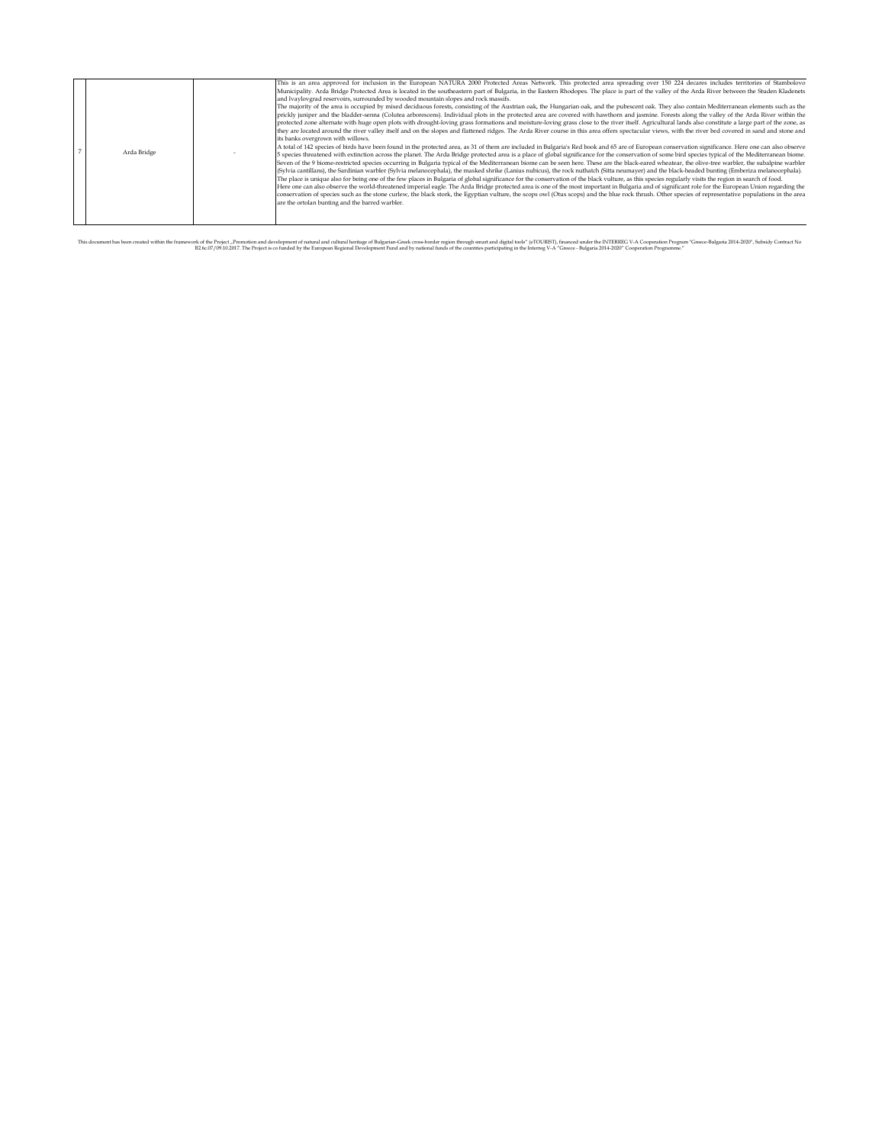This document has been created within the framewords the Friend Commetion and development of natural and comment particle and results and results and digital to be including the District Commet From the Comment From the Co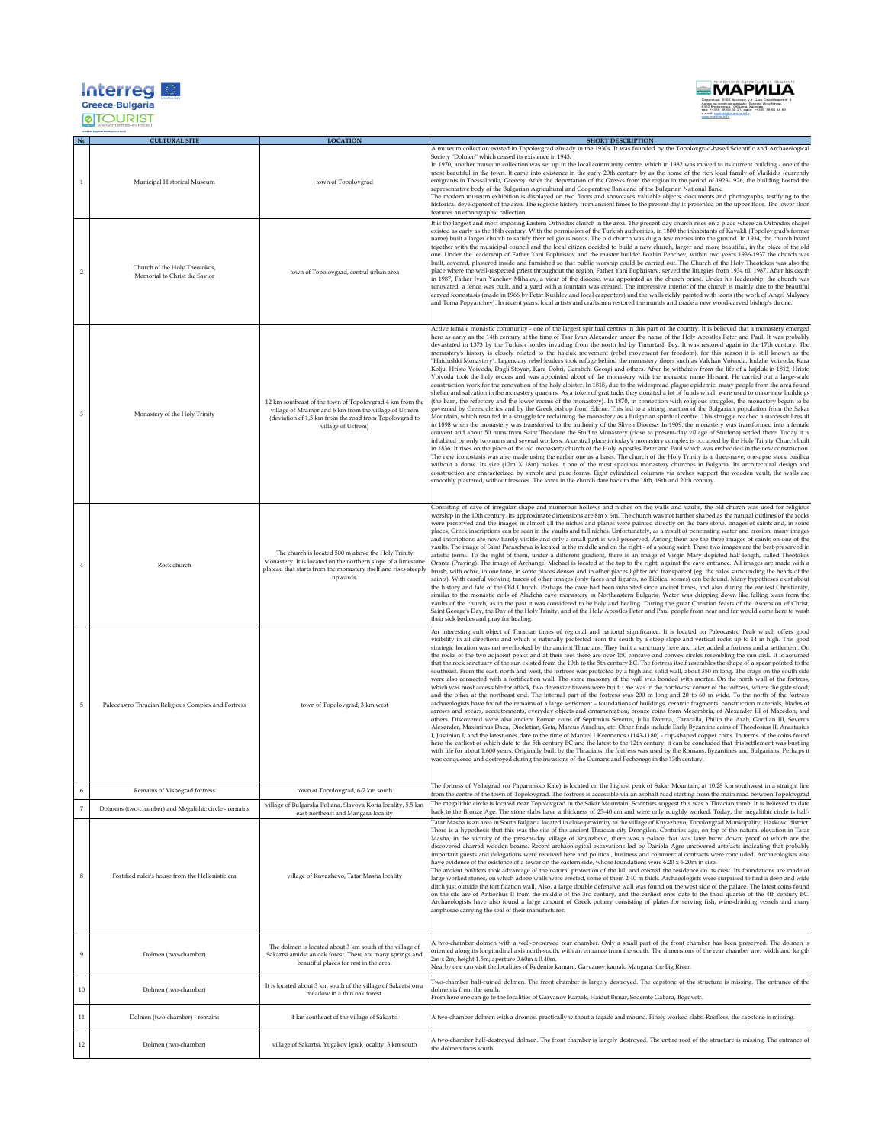| <b>Interre</b><br><b>Greece-Bulgaria</b> |  |
|------------------------------------------|--|
|                                          |  |



|                | <b>Greece-Bulgaria</b><br><b>ØTOURIST</b>                      |                                                                                                                                                                                                    |                                                                                                                                                                                                                                                                                                                                                                                                                                                                                                                                                                                                                                                                                                                                                                                                                                                                                                                                                                                                                                                                                                                                                                                                                                                                                                                                                                                                                                                                                                                                                                                                                                                                                                                                                                                                                                                                                                                                                                                                                                                                                                                                                                                                                                                                                                                                                                                                                                                                                                                                                                                                                                                                                                                                                                                                                                                                            |
|----------------|----------------------------------------------------------------|----------------------------------------------------------------------------------------------------------------------------------------------------------------------------------------------------|----------------------------------------------------------------------------------------------------------------------------------------------------------------------------------------------------------------------------------------------------------------------------------------------------------------------------------------------------------------------------------------------------------------------------------------------------------------------------------------------------------------------------------------------------------------------------------------------------------------------------------------------------------------------------------------------------------------------------------------------------------------------------------------------------------------------------------------------------------------------------------------------------------------------------------------------------------------------------------------------------------------------------------------------------------------------------------------------------------------------------------------------------------------------------------------------------------------------------------------------------------------------------------------------------------------------------------------------------------------------------------------------------------------------------------------------------------------------------------------------------------------------------------------------------------------------------------------------------------------------------------------------------------------------------------------------------------------------------------------------------------------------------------------------------------------------------------------------------------------------------------------------------------------------------------------------------------------------------------------------------------------------------------------------------------------------------------------------------------------------------------------------------------------------------------------------------------------------------------------------------------------------------------------------------------------------------------------------------------------------------------------------------------------------------------------------------------------------------------------------------------------------------------------------------------------------------------------------------------------------------------------------------------------------------------------------------------------------------------------------------------------------------------------------------------------------------------------------------------------------------|
|                | <b>CULTURAL SITE</b>                                           | <b>LOCATION</b>                                                                                                                                                                                    | <b>SHORT DESCRIPTION</b>                                                                                                                                                                                                                                                                                                                                                                                                                                                                                                                                                                                                                                                                                                                                                                                                                                                                                                                                                                                                                                                                                                                                                                                                                                                                                                                                                                                                                                                                                                                                                                                                                                                                                                                                                                                                                                                                                                                                                                                                                                                                                                                                                                                                                                                                                                                                                                                                                                                                                                                                                                                                                                                                                                                                                                                                                                                   |
| $1\,$          | Municipal Historical Museum                                    | town of Topolovgrad                                                                                                                                                                                | A museum collection existed in Topolovgrad already in the 1930s. It was founded by the Topolovgrad-based Scientific and Archaeological<br>Society "Dolmen" which ceased its existence in 1943<br>In 1970, another museum collection was set up in the local community centre, which in 1982 was moved to its current building - one of the<br>most beautiful in the town. It came into existence in the early 20th century by as the home of the rich local family of Vlaikidis (currently<br>emigrants in Thessaloniki, Greece). After the deportation of the Greeks from the region in the period of 1923-1926, the building hosted the<br>representative body of the Bulgarian Agricultural and Cooperative Bank and of the Bulgarian National Bank.<br>The modern museum exhibition is displayed on two floors and showcases valuable objects, documents and photographs, testifying to the<br>historical development of the area. The region's history from ancient times to the present day is presented on the upper floor. The lower floor<br>features an ethnographic collection.                                                                                                                                                                                                                                                                                                                                                                                                                                                                                                                                                                                                                                                                                                                                                                                                                                                                                                                                                                                                                                                                                                                                                                                                                                                                                                                                                                                                                                                                                                                                                                                                                                                                                                                                                                                 |
| $\sqrt{2}$     | Church of the Holy Theotokos,<br>Memorial to Christ the Savior | town of Topolovgrad, central urban area                                                                                                                                                            | It is the largest and most imposing Eastern Orthodox church in the area. The present-day church rises on a place where an Orthodox chapel<br>existed as early as the 18th century. With the permission of the Turkish authorities, in 1800 the inhabitants of Kavakli (Topolovgrad's former<br>name) built a larger church to satisfy their religious needs. The old church was dug a few metres into the ground. In 1934, the church board<br>together with the municipal council and the local citizen decided to build a new church, larger and more beautiful, in the place of the old<br>one. Under the leadership of Father Yani Pophristov and the master builder Bozhin Penchev, within two years 1936-1937 the church was<br>built, covered, plastered inside and furnished so that public worship could be carried out. The Church of the Holy Theotokos was also the<br>place where the well-respected priest throughout the region, Father Yani Pophristov, served the liturgies from 1934 till 1987. After his death<br>in 1987, Father Ivan Yanchev Mihalev, a vicar of the diocese, was appointed as the church priest. Under his leadership, the church was<br>renovated, a fence was built, and a yard with a fountain was created. The impressive interior of the church is mainly due to the beautiful<br>carved iconostasis (made in 1966 by Petar Kushlev and local carpenters) and the walls richly painted with icons (the work of Angel Malyaev<br>and Toma Popyanchev). In recent years, local artists and craftsmen restored the murals and made a new wood-carved bishop's throne.                                                                                                                                                                                                                                                                                                                                                                                                                                                                                                                                                                                                                                                                                                                                                                                                                                                                                                                                                                                                                                                                                                                                                                                                                                                              |
| $\overline{3}$ | Monastery of the Holy Trinity                                  | 12 km southeast of the town of Topolovgrad 4 km from the<br>village of Mramor and 6 km from the village of Ustrem<br>(deviation of 1,5 km from the road from Topolovgrad to<br>village of Ustrem)  | Active female monastic community - one of the largest spiritual centres in this part of the country. It is believed that a monastery emerged<br>here as early as the 14th century at the time of Tsar Ivan Alexander under the name of the Holy Apostles Peter and Paul. It was probably<br>devastated in 1373 by the Turkish hordes invading from the north led by Timurtash Bey. It was restored again in the 17th century. The<br>monastery's history is closely related to the hajduk movement (rebel movement for freedom), for this reason it is still known as the<br>"Haidushki Monastery". Legendary rebel leaders took refuge behind the monastery doors such as Valchan Voivoda, Indzhe Voivoda, Kara<br>Kolju, Hristo Voivoda, Dagli Stoyan, Kara Dobri, Garabchi Georgi and others. After he withdrew from the life of a hajduk in 1812, Hristo<br>Voivoda took the holy orders and was appointed abbot of the monastery with the monastic name Hrisant. He carried out a large-scale<br>construction work for the renovation of the holy cloister. In 1818, due to the widespread plague epidemic, many people from the area found<br>shelter and salvation in the monastery quarters. As a token of gratitude, they donated a lot of funds which were used to make new buildings<br>(the barn, the refectory and the lower rooms of the monastery). In 1870, in connection with religious struggles, the monastery began to be<br>governed by Greek clerics and by the Greek bishop from Edirne. This led to a strong reaction of the Bulgarian population from the Sakar<br>Mountain, which resulted in a struggle for reclaiming the monastery as a Bulgarian spiritual centre. This struggle reached a successful result<br>in 1898 when the monastery was transferred to the authority of the Sliven Diocese. In 1909, the monastery was transformed into a female<br>convent and about 50 nuns from Saint Theodore the Studite Monastery (close to present-day village of Studena) settled there. Today it is<br>inhabited by only two nuns and several workers. A central place in today's monastery complex is occupied by the Holy Trinity Church built<br>in 1836. It rises on the place of the old monastery church of the Holy Apostles Peter and Paul which was embedded in the new construction.<br>The new iconostasis was also made using the earlier one as a basis. The church of the Holy Trinity is a three-nave, one-apse stone basilica<br>without a dome. Its size (12m X 18m) makes it one of the most spacious monastery churches in Bulgaria. Its architectural design and<br>construction are characterized by simple and pure forms. Eight cylindrical columns via arches support the wooden vault, the walls are<br>smoothly plastered, without frescoes. The icons in the church date back to the 18th, 19th and 20th century. |
| $\overline{4}$ | Rock church                                                    | The church is located 500 m above the Holy Trinity<br>Monastery. It is located on the northern slope of a limestone<br>plateau that starts from the monastery itself and rises steeply<br>upwards. | Consisting of cave of irregular shape and numerous hollows and niches on the walls and vaults, the old church was used for religious<br>worship in the 10th century. Its approximate dimensions are 8m x 6m. The church was not further shaped as the natural outlines of the rocks<br>were preserved and the images in almost all the niches and planes were painted directly on the bare stone. Images of saints and, in some<br>places, Greek inscriptions can be seen in the vaults and tall niches. Unfortunately, as a result of penetrating water and erosion, many images<br>and inscriptions are now barely visible and only a small part is well-preserved. Among them are the three images of saints on one of the<br>vaults. The image of Saint Parascheva is located in the middle and on the right - of a young saint. These two images are the best-preserved in<br>artistic terms. To the right of them, under a different gradient, there is an image of Virgin Mary depicted half-length, called Theotokos<br>Oranta (Praying). The image of Archangel Michael is located at the top to the right, against the cave entrance. All images are made with a<br>prush, with ochre, in one tone, in some places denser and in other places lighter and transparent (eg. the halos surrounding the heads of the<br>saints). With careful viewing, traces of other images (only faces and figures, no Biblical scenes) can be found. Many hypotheses exist about<br>the history and fate of the Old Church. Perhaps the cave had been inhabited since ancient times, and also during the earliest Christianity,<br>similar to the monastic cells of Aladzha cave monastery in Northeastern Bulgaria. Water was dripping down like falling tears from the<br>vaults of the church, as in the past it was considered to be holy and healing. During the great Christian feasts of the Ascension of Christ,<br>Saint George's Day, the Day of the Holy Trinity, and of the Holy Apostles Peter and Paul people from near and far would come here to wash<br>their sick bodies and pray for healing.                                                                                                                                                                                                                                                                                                                                                                                                                                                                                                                                                                                                                                                                                                                                                                |
| 5              | Paleocastro Thracian Religious Complex and Fortress            | town of Topolovgrad, 3 km west                                                                                                                                                                     | An interesting cult object of Thracian times of regional and national significance. It is located on Paleocastro Peak which offers good<br>visibility in all directions and which is naturally protected from the south by a steep slope and vertical rocks up to 14 m high. This good<br>strategic location was not overlooked by the ancient Thracians. They built a sanctuary here and later added a fortress and a settlement. On<br>the rocks of the two adjacent peaks and at their foot there are over 150 concave and convex circles resembling the sun disk. It is assumed<br>that the rock sanctuary of the sun existed from the 10th to the 5th century BC. The fortress itself resembles the shape of a spear pointed to the<br>southeast. From the east, north and west, the fortress was protected by a high and solid wall, about 350 m long. The crags on the south side<br>were also connected with a fortification wall. The stone masonry of the wall was bonded with mortar. On the north wall of the fortress,<br>which was most accessible for attack, two defensive towers were built. One was in the northwest corner of the fortress, where the gate stood,<br>and the other at the northeast end. The internal part of the fortress was 200 m long and 20 to 60 m wide. To the north of the fortress<br>archaeologists have found the remains of a large settlement - foundations of buildings, ceramic fragments, construction materials, blades of<br>arrows and spears, accoutrements, everyday objects and ornamentation, bronze coins from Mesembria, of Alexander III of Macedon, and<br>others. Discovered were also ancient Roman coins of Septimius Severus, Julia Domna, Caracalla, Philip the Arab, Gordian III, Severus<br>Alexander, Maximinus Daza, Diocletian, Geta, Marcus Aurelius, etc. Other finds include Early Byzantine coins of Theodosius II, Anastasius<br>I, Justinian I, and the latest ones date to the time of Manuel I Komnenos (1143-1180) - cup-shaped copper coins. In terms of the coins found<br>here the earliest of which date to the 5th century BC and the latest to the 12th century, it can be concluded that this settlement was bustling<br>with life for about 1,600 years. Originally built by the Thracians, the fortress was used by the Romans, Byzantines and Bulgarians. Perhaps it<br>was conquered and destroyed during the invasions of the Cumans and Pechenegs in the 13th century.                                                                                                                                                                                                                                                                                                                                                                                                       |
| 6              | Remains of Vishegrad fortress                                  | town of Topolovgrad, 6-7 km south                                                                                                                                                                  | The fortress of Vishegrad (or Paparimsko Kale) is located on the highest peak of Sakar Mountain, at 10.28 km southwest in a straight line<br>from the centre of the town of Topolovgrad. The fortress is accessible via an asphalt road starting from the main road between Topolovgrad                                                                                                                                                                                                                                                                                                                                                                                                                                                                                                                                                                                                                                                                                                                                                                                                                                                                                                                                                                                                                                                                                                                                                                                                                                                                                                                                                                                                                                                                                                                                                                                                                                                                                                                                                                                                                                                                                                                                                                                                                                                                                                                                                                                                                                                                                                                                                                                                                                                                                                                                                                                    |
| $\overline{7}$ | Dolmens (two-chamber) and Megalithic circle - remains          | village of Bulgarska Poliana, Slavova Koria locality, 5.5 km<br>east-northeast and Mangara locality                                                                                                | The megalithic circle is located near Topolovgrad in the Sakar Mountain. Scientists suggest this was a Thracian tomb. It is believed to date<br>back to the Bronze Age. The stone slabs have a thickness of 25-40 cm and were only roughly worked. Today, the megalithic circle is half-                                                                                                                                                                                                                                                                                                                                                                                                                                                                                                                                                                                                                                                                                                                                                                                                                                                                                                                                                                                                                                                                                                                                                                                                                                                                                                                                                                                                                                                                                                                                                                                                                                                                                                                                                                                                                                                                                                                                                                                                                                                                                                                                                                                                                                                                                                                                                                                                                                                                                                                                                                                   |
| 8              | Fortified ruler's house from the Hellenistic era               | village of Knyazhevo, Tatar Masha locality                                                                                                                                                         | Tatar Masha is an area in South Bulgaria located in close proximity to the village of Knyazhevo, Topolovgrad Municipality, Haskovo district.<br>There is a hypothesis that this was the site of the ancient Thracian city Drongilon. Centuries ago, on top of the natural elevation in Tatar<br>Masha, in the vicinity of the present-day village of Knyazhevo, there was a palace that was later burnt down, proof of which are the<br>discovered charred wooden beams. Recent archaeological excavations led by Daniela Agre uncovered artefacts indicating that probably<br>important guests and delegations were received here and political, business and commercial contracts were concluded. Archaeologists also<br>have evidence of the existence of a tower on the eastern side, whose foundations were 6.20 x 6.20m in size.<br>The ancient builders took advantage of the natural protection of the hill and erected the residence on its crest. Its foundations are made of<br>large worked stones, on which adobe walls were erected, some of them 2.40 m thick. Archaeologists were surprised to find a deep and wide<br>ditch just outside the fortification wall. Also, a large double defensive wall was found on the west side of the palace. The latest coins found<br>on the site are of Antiochus II from the middle of the 3rd century, and the earliest ones date to the third quarter of the 4th century BC<br>Archaeologists have also found a large amount of Greek pottery consisting of plates for serving fish, wine-drinking vessels and many<br>amphorae carrying the seal of their manufacturer.                                                                                                                                                                                                                                                                                                                                                                                                                                                                                                                                                                                                                                                                                                                                                                                                                                                                                                                                                                                                                                                                                                                                                                                                                                           |
| $\overline{9}$ | Dolmen (two-chamber)                                           | The dolmen is located about 3 km south of the village of<br>Sakartsi amidst an oak forest. There are many springs and<br>beautiful places for rest in the area.                                    | A two-chamber dolmen with a well-preserved rear chamber. Only a small part of the front chamber has been preserved. The dolmen is<br>oriented along its longitudinal axis north-south, with an entrance from the south. The dimensions of the rear chamber are: width and length<br>2m x 2m; height 1.5m; aperture 0.60m x 0.40m.<br>Nearby one can visit the localities of Redenite kamani, Garvanov kamak, Mangara, the Big River.                                                                                                                                                                                                                                                                                                                                                                                                                                                                                                                                                                                                                                                                                                                                                                                                                                                                                                                                                                                                                                                                                                                                                                                                                                                                                                                                                                                                                                                                                                                                                                                                                                                                                                                                                                                                                                                                                                                                                                                                                                                                                                                                                                                                                                                                                                                                                                                                                                       |
| 10             | Dolmen (two-chamber)                                           | It is located about 3 km south of the village of Sakartsi on a<br>meadow in a thin oak forest.                                                                                                     | Two-chamber half-ruined dolmen. The front chamber is largely destroyed. The capstone of the structure is missing. The entrance of the<br>dolmen is from the south.<br>From here one can go to the localities of Garvanov Kamak, Haidut Bunar, Sedemte Gabara, Bogovets.                                                                                                                                                                                                                                                                                                                                                                                                                                                                                                                                                                                                                                                                                                                                                                                                                                                                                                                                                                                                                                                                                                                                                                                                                                                                                                                                                                                                                                                                                                                                                                                                                                                                                                                                                                                                                                                                                                                                                                                                                                                                                                                                                                                                                                                                                                                                                                                                                                                                                                                                                                                                    |
| 11             | Dolmen (two-chamber) - remains                                 | 4 km southeast of the village of Sakartsi                                                                                                                                                          | A two-chamber dolmen with a dromos, practically without a façade and mound. Finely worked slabs. Roofless, the capstone is missing.                                                                                                                                                                                                                                                                                                                                                                                                                                                                                                                                                                                                                                                                                                                                                                                                                                                                                                                                                                                                                                                                                                                                                                                                                                                                                                                                                                                                                                                                                                                                                                                                                                                                                                                                                                                                                                                                                                                                                                                                                                                                                                                                                                                                                                                                                                                                                                                                                                                                                                                                                                                                                                                                                                                                        |
| 12             | Dolmen (two-chamber)                                           | village of Sakartsi, Yugakov Igrek locality, 3 km south                                                                                                                                            | A two-chamber half-destroyed dolmen. The front chamber is largely destroyed. The entire roof of the structure is missing. The entrance of<br>he dolmen faces south.                                                                                                                                                                                                                                                                                                                                                                                                                                                                                                                                                                                                                                                                                                                                                                                                                                                                                                                                                                                                                                                                                                                                                                                                                                                                                                                                                                                                                                                                                                                                                                                                                                                                                                                                                                                                                                                                                                                                                                                                                                                                                                                                                                                                                                                                                                                                                                                                                                                                                                                                                                                                                                                                                                        |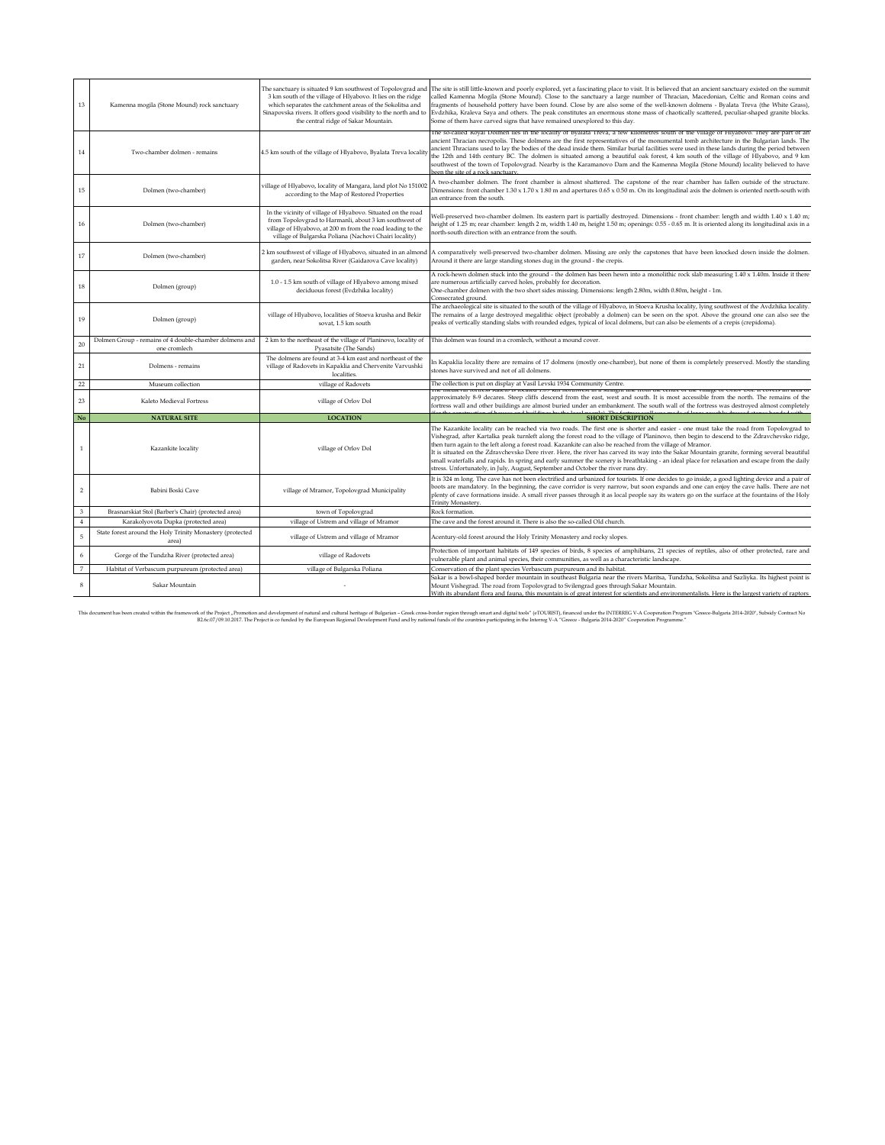| 13             | Kamenna mogila (Stone Mound) rock sanctuary                            | 3 km south of the village of Hlyabovo. It lies on the ridge<br>which separates the catchment areas of the Sokolitsa and<br>Sinapovska rivers. It offers good visibility to the north and to<br>the central ridge of Sakar Mountain.           | The sanctuary is situated 9 km southwest of Topolovgrad and The site is still little-known and poorly explored, yet a fascinating place to visit. It is believed that an ancient sanctuary existed on the summit<br>called Kamenna Mogila (Stone Mound). Close to the sanctuary a large number of Thracian, Macedonian, Celtic and Roman coins and<br>ragments of household pottery have been found. Close by are also some of the well-known dolmens - Byalata Treva (the White Grass),<br>Evdzhika, Kraleva Saya and others. The peak constitutes an enormous stone mass of chaotically scattered, peculiar-shaped granite blocks.<br>Some of them have carved signs that have remained unexplored to this day.                                                                        |
|----------------|------------------------------------------------------------------------|-----------------------------------------------------------------------------------------------------------------------------------------------------------------------------------------------------------------------------------------------|------------------------------------------------------------------------------------------------------------------------------------------------------------------------------------------------------------------------------------------------------------------------------------------------------------------------------------------------------------------------------------------------------------------------------------------------------------------------------------------------------------------------------------------------------------------------------------------------------------------------------------------------------------------------------------------------------------------------------------------------------------------------------------------|
| $14\,$         | Two-chamber dolmen - remains                                           | 4.5 km south of the village of Hlyabovo, Byalata Treva locality                                                                                                                                                                               | The so-called Royal Dolmen lies in the locality of Byalata Treva, a few kilometres south of the village of Hlyabovo. They are part of an<br>ancient Thracian necropolis. These dolmens are the first representatives of the monumental tomb architecture in the Bulgarian lands. The<br>ancient Thracians used to lay the bodies of the dead inside them. Similar burial facilities were used in these lands during the period between<br>the 12th and 14th century BC. The dolmen is situated among a beautiful oak forest, 4 km south of the village of Hlyabovo, and 9 km<br>southwest of the town of Topolovgrad. Nearby is the Karamanovo Dam and the Kamenna Mogila (Stone Mound) locality believed to have<br>hoon the site of a rock sanctuary                                   |
| 15             | Dolmen (two-chamber)                                                   | village of Hlyabovo, locality of Mangara, land plot No 151002<br>according to the Map of Restored Properties                                                                                                                                  | A two-chamber dolmen. The front chamber is almost shattered. The capstone of the rear chamber has fallen outside of the structure.<br>Dimensions: front chamber $1.30 \times 1.70 \times 1.80$ m and apertures $0.65 \times 0.50$ m. On its longitudinal axis the dolmen is oriented north-south with<br>an entrance from the south.                                                                                                                                                                                                                                                                                                                                                                                                                                                     |
| 16             | Dolmen (two-chamber)                                                   | In the vicinity of village of Hlyabovo. Situated on the road<br>from Topolovgrad to Harmanli, about 3 km southwest of<br>village of Hlyabovo, at 200 m from the road leading to the<br>village of Bulgarska Poliana (Nachovi Chairi locality) | Well-preserved two-chamber dolmen. Its eastern part is partially destroyed. Dimensions - front chamber: length and width 1.40 x 1.40 m;<br>height of 1.25 m; rear chamber: length 2 m, width 1.40 m, height 1.50 m; openings: 0.55 - 0.65 m. It is oriented along its longitudinal axis in a<br>north-south direction with an entrance from the south.                                                                                                                                                                                                                                                                                                                                                                                                                                   |
| 17             | Dolmen (two-chamber)                                                   | 2 km southwest of village of Hlyabovo, situated in an almond<br>garden, near Sokolitsa River (Gaidarova Cave locality)                                                                                                                        | A comparatively well-preserved two-chamber dolmen. Missing are only the capstones that have been knocked down inside the dolmen.<br>Around it there are large standing stones dug in the ground - the crepis.                                                                                                                                                                                                                                                                                                                                                                                                                                                                                                                                                                            |
| 18             | Dolmen (group)                                                         | 1.0 - 1.5 km south of village of Hlyabovo among mixed<br>deciduous forest (Evdzhika locality)                                                                                                                                                 | A rock-hewn dolmen stuck into the ground - the dolmen has been hewn into a monolithic rock slab measuring 1.40 x 1.40m. Inside it there<br>are numerous artificially carved holes, probably for decoration.<br>One-chamber dolmen with the two short sides missing. Dimensions: length 2.80m, width 0.80m, height - 1m.<br>Consecrated ground.                                                                                                                                                                                                                                                                                                                                                                                                                                           |
| 19             | Dolmen (group)                                                         | village of Hlyabovo, localities of Stoeva krusha and Bekir<br>sovat, 1.5 km south                                                                                                                                                             | The archaeological site is situated to the south of the village of Hlyabovo, in Stoeva Krusha locality, lying southwest of the Avdzhika locality.<br>The remains of a large destroyed megalithic object (probably a dolmen) can be seen on the spot. Above the ground one can also see the<br>peaks of vertically standing slabs with rounded edges, typical of local dolmens, but can also be elements of a crepis (crepidoma).                                                                                                                                                                                                                                                                                                                                                         |
| 20             | Dolmen Group - remains of 4 double-chamber dolmens and<br>one cromlech | 2 km to the northeast of the village of Planinovo, locality of<br>Pyasatsite (The Sands)                                                                                                                                                      | This dolmen was found in a cromlech, without a mound cover.                                                                                                                                                                                                                                                                                                                                                                                                                                                                                                                                                                                                                                                                                                                              |
| 21             | Dolmens - remains                                                      | The dolmens are found at 3-4 km east and northeast of the<br>village of Radovets in Kapaklia and Chervenite Varvushki<br>localities.                                                                                                          | In Kapaklia locality there are remains of 17 dolmens (mostly one-chamber), but none of them is completely preserved. Mostly the standing<br>stones have survived and not of all dolmens.                                                                                                                                                                                                                                                                                                                                                                                                                                                                                                                                                                                                 |
| 22             | Museum collection                                                      | village of Radovets                                                                                                                                                                                                                           | The collection is put on display at Vasil Levski 1934 Community Centre.                                                                                                                                                                                                                                                                                                                                                                                                                                                                                                                                                                                                                                                                                                                  |
| 23             | Kaleto Medieval Fortress                                               | village of Orlov Dol                                                                                                                                                                                                                          | rne medieval fortress Kaleto is located 1.09 km horthwest in a straight line from the centre of the vinage of OHOV Dol. It covers an area of<br>approximately 8-9 decares. Steep cliffs descend from the east, west and south. It is most accessible from the north. The remains of the<br>fortress wall and other buildings are almost buried under an embankment. The south wall of the fortress was destroyed almost completely                                                                                                                                                                                                                                                                                                                                                       |
| No             | <b>NATURAL SITE</b>                                                    | <b>LOCATION</b>                                                                                                                                                                                                                               | <b>SHORT DESCRIPTION</b>                                                                                                                                                                                                                                                                                                                                                                                                                                                                                                                                                                                                                                                                                                                                                                 |
|                | Kazankite locality                                                     | village of Orlov Dol                                                                                                                                                                                                                          | The Kazankite locality can be reached via two roads. The first one is shorter and easier - one must take the road from Topolovgrad to<br>Vishegrad, after Kartalka peak turnleft along the forest road to the village of Planinovo, then begin to descend to the Zdravchevsko ridge,<br>then turn again to the left along a forest road. Kazankite can also be reached from the village of Mramor.<br>It is situated on the Zdravchevsko Dere river. Here, the river has carved its way into the Sakar Mountain granite, forming several beautiful<br>small waterfalls and rapids. In spring and early summer the scenery is breathtaking - an ideal place for relaxation and escape from the daily<br>stress. Unfortunately, in July, August, September and October the river runs dry. |
| $\overline{2}$ | Babini Boski Cave                                                      | village of Mramor, Topolovgrad Municipality                                                                                                                                                                                                   | It is 324 m long. The cave has not been electrified and urbanized for tourists. If one decides to go inside, a good lighting device and a pair of<br>boots are mandatory. In the beginning, the cave corridor is very narrow, but soon expands and one can enjoy the cave halls. There are not<br>plenty of cave formations inside. A small river passes through it as local people say its waters go on the surface at the fountains of the Holy<br>Trinity Monastery.                                                                                                                                                                                                                                                                                                                  |
| $\mathbf{3}$   | Brasnarskiat Stol (Barber's Chair) (protected area)                    | town of Topolovgrad                                                                                                                                                                                                                           | Rock formation.                                                                                                                                                                                                                                                                                                                                                                                                                                                                                                                                                                                                                                                                                                                                                                          |
| $\overline{4}$ | Karakolyovota Dupka (protected area)                                   | village of Ustrem and village of Mramor                                                                                                                                                                                                       | The cave and the forest around it. There is also the so-called Old church.                                                                                                                                                                                                                                                                                                                                                                                                                                                                                                                                                                                                                                                                                                               |
| $\sqrt{5}$     | State forest around the Holy Trinity Monastery (protected<br>area)     | village of Ustrem and village of Mramor                                                                                                                                                                                                       | Acentury-old forest around the Holy Trinity Monastery and rocky slopes.                                                                                                                                                                                                                                                                                                                                                                                                                                                                                                                                                                                                                                                                                                                  |
| $\,$ 6 $\,$    | Gorge of the Tundzha River (protected area)                            | village of Radovets                                                                                                                                                                                                                           | Protection of important habitats of 149 species of birds, 8 species of amphibians, 21 species of reptiles, also of other protected, rare and<br>vulnerable plant and animal species, their communities, as well as a characteristic landscape.                                                                                                                                                                                                                                                                                                                                                                                                                                                                                                                                           |
| $\overline{7}$ | Habitat of Verbascum purpureum (protected area)                        | village of Bulgarska Poliana                                                                                                                                                                                                                  | Conservation of the plant species Verbascum purpureum and its habitat.                                                                                                                                                                                                                                                                                                                                                                                                                                                                                                                                                                                                                                                                                                                   |
| 8              | Sakar Mountain                                                         |                                                                                                                                                                                                                                               | Sakar is a bowl-shaped border mountain in southeast Bulgaria near the rivers Maritsa, Tundzha, Sokolitsa and Sazliyka. Its highest point is<br>Mount Vishegrad. The road from Topolovgrad to Svilengrad goes through Sakar Mountain.<br>With its abundant flora and fauna. this mountain is of great interest for scientists and environmentalists. Here is the largest variety of raptors                                                                                                                                                                                                                                                                                                                                                                                               |

This document has been created within the framework of the Project , Promotion and development of natural and neigh and bereing of Bulgatim - Green Create created metal mand and digit look" (FOURSE), financed under by mini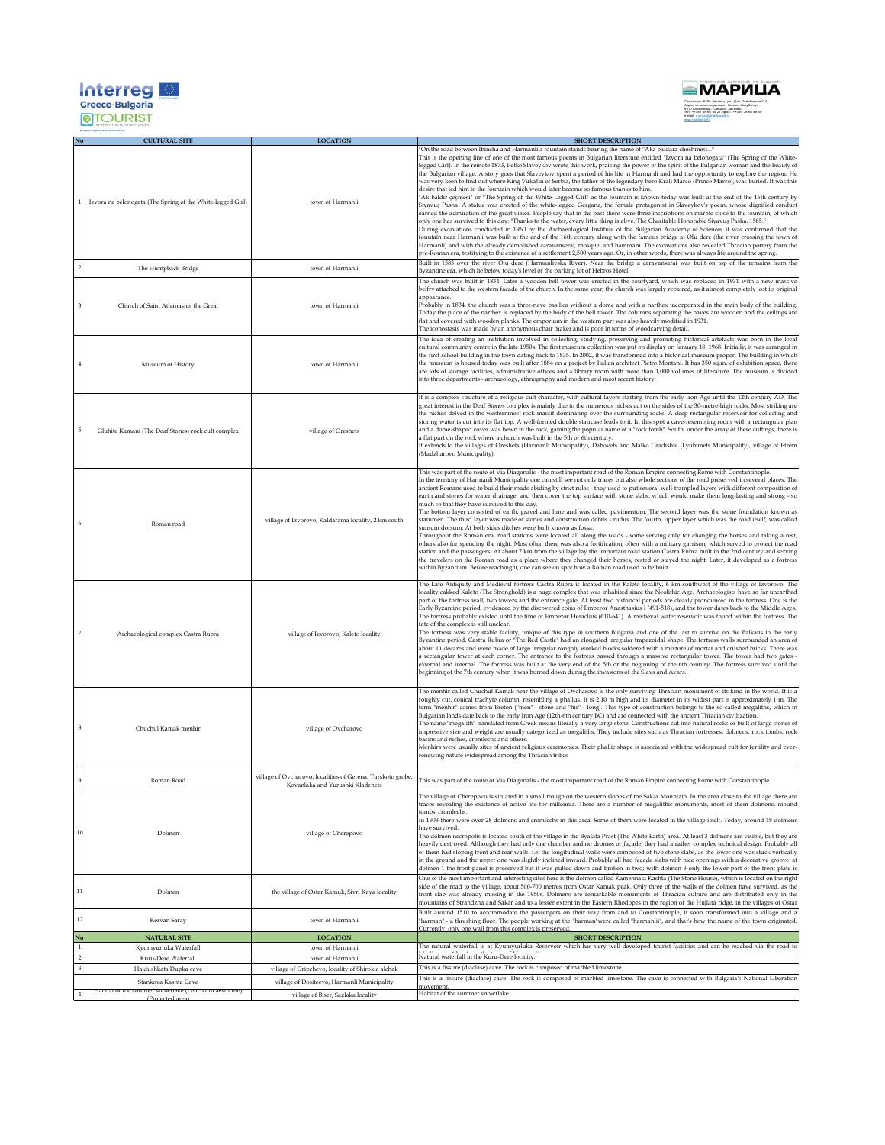| <b>Interre</b><br><b>Greece-Bulgaria</b> |  |
|------------------------------------------|--|
|                                          |  |



|         | <b>CULTURAL SITE</b>                                                        | <b>LOCATION</b>                                                                                 | <b>SHORT DESCRIPTION</b>                                                                                                                                                                                                                                                                                                                                                                                                                                                                                                                                                                                                                                                                                                                                                                                                                                                                                                                                                                                                                                                                                                                                                                                                                                                                                                                                                                                                                                                                                                                                                                                                                                                                                                                                                                                                                                                                                                                                |
|---------|-----------------------------------------------------------------------------|-------------------------------------------------------------------------------------------------|---------------------------------------------------------------------------------------------------------------------------------------------------------------------------------------------------------------------------------------------------------------------------------------------------------------------------------------------------------------------------------------------------------------------------------------------------------------------------------------------------------------------------------------------------------------------------------------------------------------------------------------------------------------------------------------------------------------------------------------------------------------------------------------------------------------------------------------------------------------------------------------------------------------------------------------------------------------------------------------------------------------------------------------------------------------------------------------------------------------------------------------------------------------------------------------------------------------------------------------------------------------------------------------------------------------------------------------------------------------------------------------------------------------------------------------------------------------------------------------------------------------------------------------------------------------------------------------------------------------------------------------------------------------------------------------------------------------------------------------------------------------------------------------------------------------------------------------------------------------------------------------------------------------------------------------------------------|
|         | 1<br>Izvora na belonogata (The Spring of the White-legged Girl)             | town of Harmanli                                                                                | On the road between Ibincha and Harmanli a fountain stands bearing the name of "Aka baldara cheshmesi"<br>This is the opening line of one of the most famous poems in Bulgarian literature entitled "Izvora na belonogata" (The Spring of the White-<br>legged Girl). In the remote 1873, Petko Slaveykov wrote this work, praising the power of the spirit of the Bulgarian woman and the beauty of<br>the Bulgarian village. A story goes that Slaveykov spent a period of his life in Harmanli and had the opportunity to explore the region. He<br>was very keen to find out where King Vukašin of Serbia, the father of the legendary hero Krali Marco (Prince Marco), was buried. It was this<br>desire that led him to the fountain which would later become so famous thanks to him.<br>'Ak baldır çeşmesi" or "The Spring of the White-Legged Girl" as the fountain is known today was built at the end of the 16th century by<br>Siyavuş Pasha. A statue was erected of the white-legged Gergana, the female protagonist in Slaveykov's poem, whose dignified conduct<br>earned the admiration of the great vizier. People say that in the past there were three inscriptions on marble close to the fountain, of which<br>".1585. "Donly one has survived to this day: "Thanks to the water, every little thing is alive. The Charitable Honorable Siyavuş Pasha. 1585.<br>During excavations conducted in 1960 by the Archaeological Institute of the Bulgarian Academy of Sciences it was confirmed that the<br>ountain near Harmanli was built at the end of the 16th century along with the famous bridge at Olu dere (the river crossing the town of<br>Harmanli) and with the already demolished caravanserai, mosque, and hammam. The excavations also revealed Thracian pottery from the<br>pre-Roman era, testifying to the existence of a settlement 2,500 years ago. Or, in other words, there was always life around the spring. |
|         | The Humpback Bridge                                                         | town of Harmanli                                                                                | Built in 1585 over the river Olu dere (Harmanliyska River). Near the bridge a caravansarai was built on top of the remains from the<br>Byzantine era, which lie below today's level of the parking lot of Hebros Hotel.                                                                                                                                                                                                                                                                                                                                                                                                                                                                                                                                                                                                                                                                                                                                                                                                                                                                                                                                                                                                                                                                                                                                                                                                                                                                                                                                                                                                                                                                                                                                                                                                                                                                                                                                 |
|         | Church of Saint Athanasius the Great                                        | town of Harmanli                                                                                | The church was built in 1834. Later a wooden bell tower was erected in the courtyard, which was replaced in 1931 with a new massive<br>belfry attached to the western façade of the church. In the same year, the church was largely repaired, as it almost completely lost its original<br>appearance.<br>Probably in 1834, the church was a three-nave basilica without a dome and with a narthex incorporated in the main body of the building.<br>Today the place of the narthex is replaced by the body of the bell tower. The columns separating the naves are wooden and the ceilings are<br>flat and covered with wooden planks. The emporium in the western part was also heavily modified in 1931.<br>The iconostasis was made by an anonymous chair maker and is poor in terms of woodcarving detail.                                                                                                                                                                                                                                                                                                                                                                                                                                                                                                                                                                                                                                                                                                                                                                                                                                                                                                                                                                                                                                                                                                                                        |
|         | Museum of History                                                           | town of Harmanli                                                                                | The idea of creating an institution involved in collecting, studying, preserving and promoting historical artefacts was born in the local<br>cultural community centre in the late 1950s. The first museum collection was put on display on January 18, 1968. Initially, it was arranged in<br>the first school building in the town dating back to 1835. In 2002, it was transformed into a historical museum proper. The building in which<br>the museum is housed today was built after 1884 on a project by Italian architect Pietro Montani. It has 350 sq.m. of exhibition space, there<br>are lots of storage facilities, administrative offices and a library room with more than 1,000 volumes of literature. The museum is divided<br>into three departments - archaeology, ethnography and modern and most recent history.                                                                                                                                                                                                                                                                                                                                                                                                                                                                                                                                                                                                                                                                                                                                                                                                                                                                                                                                                                                                                                                                                                                   |
|         | Gluhite Kamani (The Deaf Stones) rock cult complex                          | village of Oreshets                                                                             | It is a complex structure of a religious cult character, with cultural layers starting from the early Iron Age until the 12th century AD. The<br>great interest in the Deaf Stones complex is mainly due to the numerous niches cut on the sides of the 30-metre-high rocks. Most striking are<br>the niches delved in the westernmost rock massif dominating over the surrounding rocks. A deep rectangular reservoir for collecting and<br>storing water is cut into its flat top. A well-formed double staircase leads to it. In this spot a cave-resembling room with a rectangular plan<br>and a dome-shaped cover was hewn in the rock, gaining the popular name of a "rock tomb". South, under the array of these cuttings, there is<br>a flat part on the rock where a church was built in the 5th or 6th century.<br>It extends to the villages of Oreshets (Harmanli Municipality), Dabovets and Malko Gradishte (Lyubimets Municipality), village of Efrem<br>(Madzharovo Municipality).                                                                                                                                                                                                                                                                                                                                                                                                                                                                                                                                                                                                                                                                                                                                                                                                                                                                                                                                                     |
|         | Roman road                                                                  | village of Izvorovo, Kaldarama locality, 2 km south                                             | This was part of the route of Via Diagonalis - the most important road of the Roman Empire connecting Rome with Constantinople.<br>In the territory of Harmanli Municipality one can still see not only traces but also whole sections of the road preserved in several places. The<br>ancient Romans used to build their roads abiding by strict rules - they used to put several well-trampled layers with different composition of<br>earth and stones for water drainage, and then cover the top surface with stone slabs, which would make them long-lasting and strong - so<br>much so that they have survived to this day.<br>The bottom layer consisted of earth, gravel and lime and was called pavimentum. The second layer was the stone foundation known as<br>statumen. The third layer was made of stones and construction debris - rudus. The fourth, upper layer which was the road itself, was called<br>sumum dorsum. At both sides ditches were built known as fossa.<br>Throughout the Roman era, road stations were located all along the roads - some serving only for changing the horses and taking a rest,<br>others also for spending the night. Most often there was also a fortification, often with a military garrison, which served to protect the road<br>station and the passengers. At about 7 km from the village lay the important road station Castra Rubra built in the 2nd century and serving<br>the travelers on the Roman road as a place where they changed their horses, rested or stayed the night. Later, it developed as a fortress<br>within Byzantium. Before reaching it, one can see on spot how a Roman road used to be built.                                                                                                                                                                                                                                                                      |
|         | Archaeological complex Castra Rubra                                         | village of Izvorovo, Kaleto locality                                                            | The Late Antiquity and Medieval fortress Castra Rubra is located in the Kaleto locality, 6 km southwest of the village of Izvorovo. The<br>locality cakked Kaleto (The Stronghold) is a huge complex that was inhabited since the Neolithic Age. Archaeologists have so far unearthed<br>part of the fortress wall, two towers and the entrance gate. At least two historical periods are clearly pronounced in the fortress. One is the<br>Early Byzantine period, evidenced by the discovered coins of Emperor Anasthasius I (491-518), and the tower dates back to the Middle Ages.<br>The fortress probably existed until the time of Emperor Heraclius (610-641). A medieval water reservoir was found within the fortress. The<br>fate of the complex is still unclear.<br>The fortress was very stable facility, unique of this type in southern Bulgaria and one of the last to survive on the Balkans in the early<br>Byzantine period. Castra Rubra or "The Red Castle" had an elongated irregular trapezoidal shape. The fortress walls surrounded an area of<br>about 11 decares and were made of large irregular roughly worked blocks soldered with a mixture of mortar and crushed bricks. There was<br>a rectangular tower at each corner. The entrance to the fortress passed through a massive rectangular tower. The tower had two gates -<br>external and internal. The fortress was built at the very end of the 5th or the beginning of the 6th century. The fortress survived until the<br>eginning of the 7th century when it was burned down during the invasions of the Slavs and Avars.                                                                                                                                                                                                                                                                                                                                      |
|         | Chuchul Kamak menhir                                                        | village of Ovcharovo                                                                            | The menhir called Chuchul Kamak near the village of Ovcharovo is the only surviving Thracian monument of its kind in the world. It is a<br>oughly cut, conical trachyte column, resembling a phallus. It is 2.10 m high and its diameter in its widest part is approximately 1 m. The<br>term "menhir" comes from Breton ("men" - stone and "hir" - long). This type of construction belongs to the so-called megaliths, which in<br>Bulgarian lands date back to the early Iron Age (12th-6th century BC) and are connected with the ancient Thracian civilization.<br>The name "megalith" translated from Greek means literally a very large stone. Constructions cut into natural rocks or built of large stones of<br>mpressive size and weight are usually categorized as megaliths. They include sites such as Thracian fortresses, dolmens, rock tombs, rock<br>pasins and niches, cromlechs and others.<br>Menhirs were usually sites of ancient religious ceremonies. Their phallic shape is associated with the widespread cult for fertility and ever-<br>renewing nature widespread among the Thracian tribes                                                                                                                                                                                                                                                                                                                                                                                                                                                                                                                                                                                                                                                                                                                                                                                                                               |
|         | Roman Road                                                                  | village of Ovcharovo, localities of Gerena, Turskoto grobe,<br>Kovanlaka and Yurushki Kladenets | This was part of the route of Via Diagonalis - the most important road of the Roman Empire connecting Rome with Constantinople.                                                                                                                                                                                                                                                                                                                                                                                                                                                                                                                                                                                                                                                                                                                                                                                                                                                                                                                                                                                                                                                                                                                                                                                                                                                                                                                                                                                                                                                                                                                                                                                                                                                                                                                                                                                                                         |
| 10      | Dolmen                                                                      | village of Cherepovo                                                                            | The village of Cherepovo is situated in a small trough on the western slopes of the Sakar Mountain. In the area close to the village there are<br>traces revealing the existence of active life for millennia. There are a number of megalithic monuments, most of them dolmens, mound<br>tombs, cromlechs<br>In 1903 there were over 28 dolmens and cromlechs in this area. Some of them were located in the village itself. Today, around 18 dolmens<br>have survived<br>The dolmen necropolis is located south of the village in the Byalata Prast (The White Earth) area. At least 3 dolmens are visible, but they are<br>heavily destroyed. Although they had only one chamber and no dromos or façade, they had a rather complex technical design. Probably all<br>of them had sloping front and rear walls, i.e. the longitudinal walls were composed of two stone slabs, as the lower one was stuck vertically<br>in the ground and the upper one was slightly inclined inward. Probably all had façade slabs with nice openings with a decorative groove: at<br>dolmen 1 the front panel is preserved but it was pulled down and broken in two; with dolmen 3 only the lower part of the front plate is                                                                                                                                                                                                                                                                                                                                                                                                                                                                                                                                                                                                                                                                                                                                        |
| 11      | Dolmen                                                                      | the village of Ostar Kamuk, Sivri Kaya locality                                                 | One of the most important and interesting sites here is the dolmen called Kamennata Kashta (The Stone House), which is located on the right<br>side of the road to the village, about 500-700 metres from Ostar Kamak peak. Only three of the walls of the dolmen have survived, as the<br>front slab was already missing in the 1950s. Dolmens are remarkable monuments of Thracian culture and are distributed only in the<br>mountains of Strandzha and Sakar and to a lesser extent in the Eastern Rhodopes in the region of the Hujlata ridge, in the villages of Ostar                                                                                                                                                                                                                                                                                                                                                                                                                                                                                                                                                                                                                                                                                                                                                                                                                                                                                                                                                                                                                                                                                                                                                                                                                                                                                                                                                                            |
| 12      | Kervan Saray                                                                | town of Harmanli                                                                                | Built around 1510 to accommodate the passengers on their way from and to Constantinople, it soon transformed into a village and a<br>'harman" - a threshing floor. The people working at the "harman"were called "harmanlii", and that's how the name of the town originated.                                                                                                                                                                                                                                                                                                                                                                                                                                                                                                                                                                                                                                                                                                                                                                                                                                                                                                                                                                                                                                                                                                                                                                                                                                                                                                                                                                                                                                                                                                                                                                                                                                                                           |
| No      | <b>NATURAL SITE</b>                                                         | <b>LOCATION</b>                                                                                 | Currently, only one wall from this complex is preserved.<br><b>SHORT DESCRIPTION</b>                                                                                                                                                                                                                                                                                                                                                                                                                                                                                                                                                                                                                                                                                                                                                                                                                                                                                                                                                                                                                                                                                                                                                                                                                                                                                                                                                                                                                                                                                                                                                                                                                                                                                                                                                                                                                                                                    |
| $\,1\,$ | Kyumyurluka Waterfall                                                       | town of Harmanli                                                                                | The natural waterfall is at Kyumyurluka Reservoir which has very well-developed tourist facilities and can be reached via the road to                                                                                                                                                                                                                                                                                                                                                                                                                                                                                                                                                                                                                                                                                                                                                                                                                                                                                                                                                                                                                                                                                                                                                                                                                                                                                                                                                                                                                                                                                                                                                                                                                                                                                                                                                                                                                   |
| $\,2\,$ | Kuru-Dere Waterfall                                                         | town of Harmanli                                                                                | Natural waterfall in the Kuru-Dere locality.<br>This is a fissure (diaclase) cave. The rock is composed of marbled limestone.                                                                                                                                                                                                                                                                                                                                                                                                                                                                                                                                                                                                                                                                                                                                                                                                                                                                                                                                                                                                                                                                                                                                                                                                                                                                                                                                                                                                                                                                                                                                                                                                                                                                                                                                                                                                                           |
|         | Hajdushkata Dupka cave                                                      | village of Dripchevo, locality of Shirokia alchak                                               | This is a fissure (diaclase) cave. The rock is composed of marbled limestone. The cave is connected with Bulgaria's National Liberation                                                                                                                                                                                                                                                                                                                                                                                                                                                                                                                                                                                                                                                                                                                                                                                                                                                                                                                                                                                                                                                                                                                                                                                                                                                                                                                                                                                                                                                                                                                                                                                                                                                                                                                                                                                                                 |
|         | Stankova Kashta Cave<br>Habitat of the summer snowflake (Leucojum aestivum) | village of Dositeevo, Harmanli Municipality                                                     | novement<br>Habitat of the summer snowflake.                                                                                                                                                                                                                                                                                                                                                                                                                                                                                                                                                                                                                                                                                                                                                                                                                                                                                                                                                                                                                                                                                                                                                                                                                                                                                                                                                                                                                                                                                                                                                                                                                                                                                                                                                                                                                                                                                                            |
|         | (Protoctod a                                                                | village of Biser, Sazlaka locality                                                              |                                                                                                                                                                                                                                                                                                                                                                                                                                                                                                                                                                                                                                                                                                                                                                                                                                                                                                                                                                                                                                                                                                                                                                                                                                                                                                                                                                                                                                                                                                                                                                                                                                                                                                                                                                                                                                                                                                                                                         |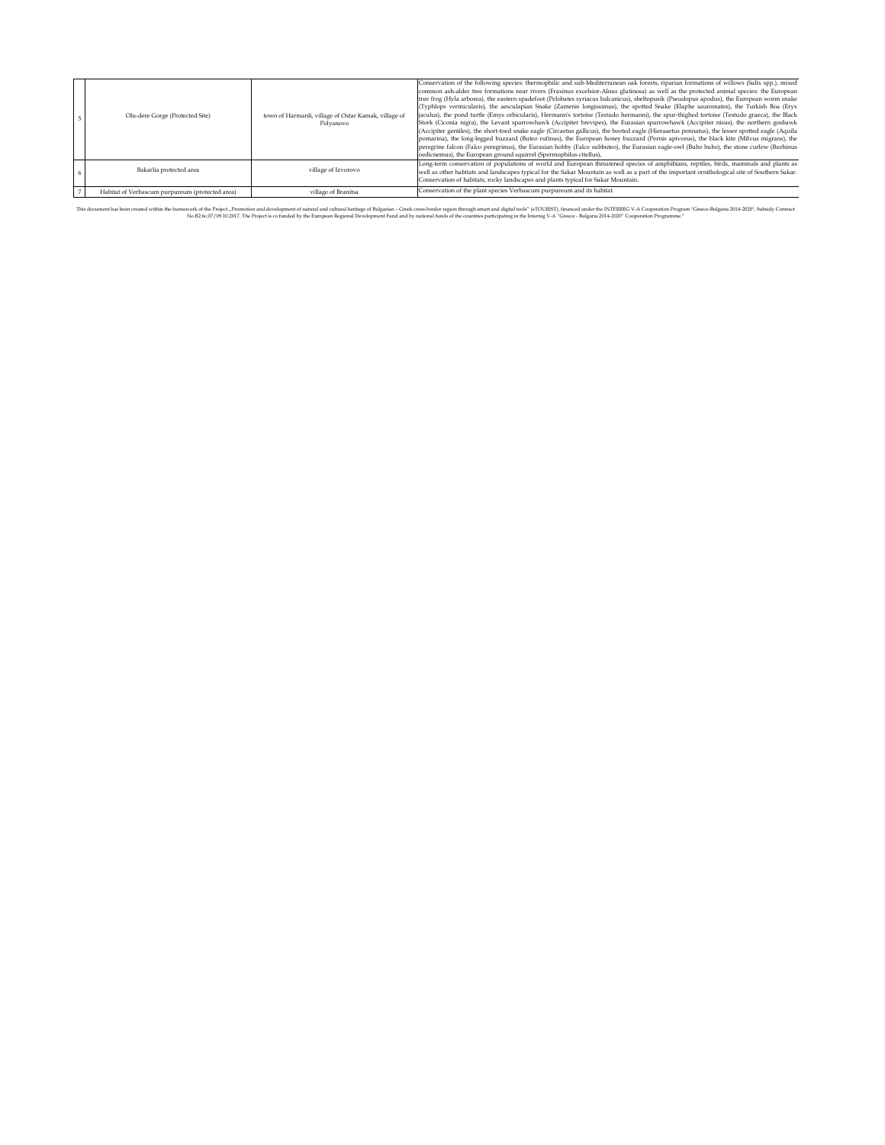|                                                 |                                                                   | Conservation of the following species: thermophilic and sub-Mediterranean oak forests, riparian formations of willows (Salix spp.), mixed<br>common ash-alder tree formations near rivers (Fraxinus excelsior-Alnus glutinosa) as well as the protected animal species: the European<br>tree frog (Hyla arborea), the eastern spadefoot (Pelobates syriacus balcanicus), sheltopusik (Pseudopus apodus), the European worm snake<br>(Typhlops vermicularis), the aesculapian Snake (Zamenis longissimus), the spotted Snake (Elaphe sauromates), the Turkish Boa (Eryx                                                                                                                                                                                                                            |
|-------------------------------------------------|-------------------------------------------------------------------|---------------------------------------------------------------------------------------------------------------------------------------------------------------------------------------------------------------------------------------------------------------------------------------------------------------------------------------------------------------------------------------------------------------------------------------------------------------------------------------------------------------------------------------------------------------------------------------------------------------------------------------------------------------------------------------------------------------------------------------------------------------------------------------------------|
| Olu-dere Gorge (Protected Site)                 | town of Harmanli, village of Ostar Kamak, village of<br>Polyanovo | jaculus), the pond turtle (Emys orbicularis), Hermann's tortoise (Testudo hermanni), the spur-thighed tortoise (Testudo graeca), the Black<br>Stork (Ciconia nigra), the Levant sparrowhawk (Accipiter brevipes), the Eurasian sparrowhawk (Accipiter nisus), the northern goshawk<br>(Accipiter gentiles), the short-toed snake eagle (Circaetus gallicus), the booted eagle (Hieraaetus pennatus), the lesser spotted eagle (Aquila<br>pomarina), the long-legged buzzard (Buteo rufinus), the European honey buzzard (Pernis apivorus), the black kite (Milvus migrans), the<br>peregrine falcon (Falco peregrinus), the Eurasian hobby (Falco subbuteo), the Eurasian eagle-owl (Bubo bubo), the stone curlew (Burhinus<br>oedicnemus), the European ground squirrel (Spermophilus citellus), |
| Bakarlia protected area                         | village of Izvorovo                                               | Long-term conservation of populations of world and European threatened species of amphibians, reptiles, birds, mammals and plants as<br>well as other habitats and landscapes typical for the Sakar Mountain as well as a part of the important ornithological site of Southern Sakar.<br>Conservation of habitats, rocky landscapes and plants typical for Sakar Mountain.                                                                                                                                                                                                                                                                                                                                                                                                                       |
| Habitat of Verbascum purpureum (protected area) | village of Branitsa                                               | Conservation of the plant species Verbascum purpureum and its habitat.                                                                                                                                                                                                                                                                                                                                                                                                                                                                                                                                                                                                                                                                                                                            |

This document has been created within the framewhof effe Project , Promotion and development of a buttail and the part of ender betwee bottler repect to the conservation report through and the material and by a but and the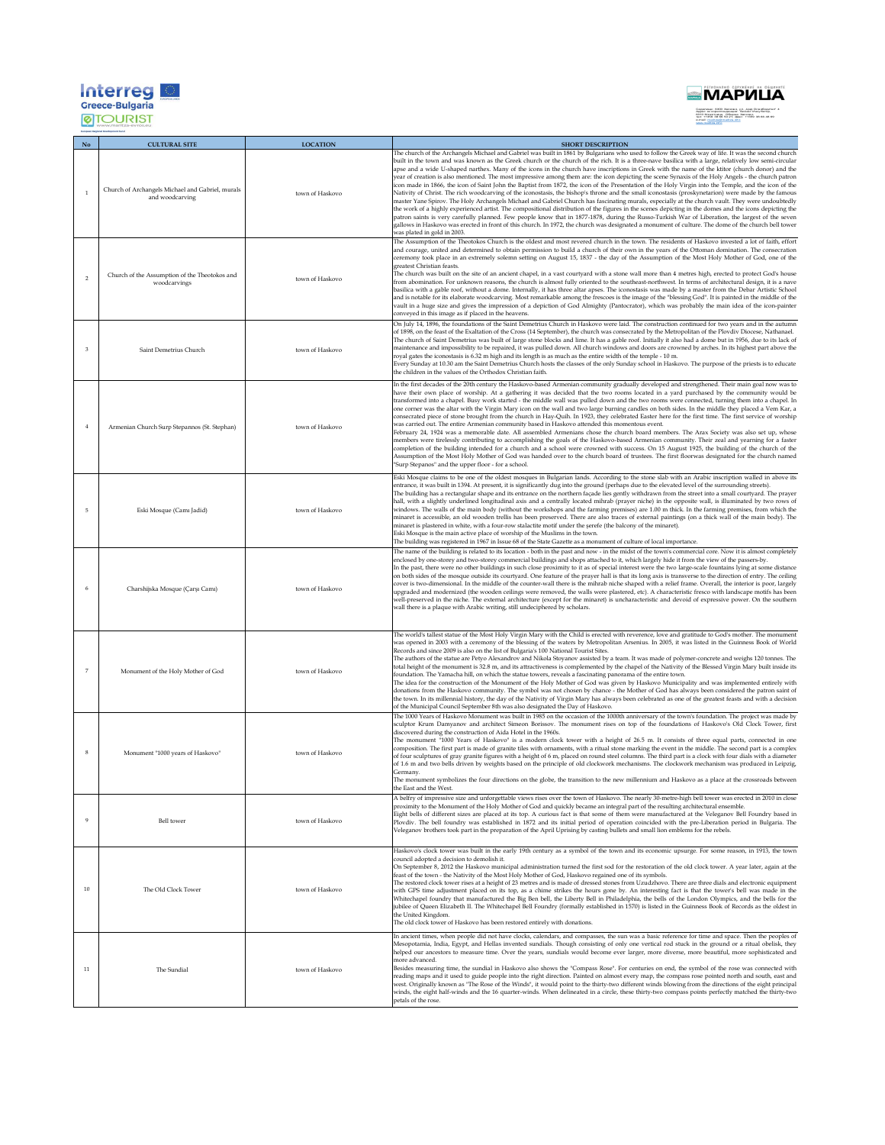| Interre<br><b>Greece-Bulgaria</b> |  |
|-----------------------------------|--|
| Regional Development Fund         |  |



|                | <b>CULTURAL SITE</b>                                                | <b>LOCATION</b> | <b>SHORT DESCRIPTION</b>                                                                                                                                                                                                                                                                                                                                                                                                                                                                                                                                                                                                                                                                                                                                                                                                                                                                                                                                                                                                                                                                                                                                                                                                                                                                                                                                                                                                                                                                                                                                                                        |
|----------------|---------------------------------------------------------------------|-----------------|-------------------------------------------------------------------------------------------------------------------------------------------------------------------------------------------------------------------------------------------------------------------------------------------------------------------------------------------------------------------------------------------------------------------------------------------------------------------------------------------------------------------------------------------------------------------------------------------------------------------------------------------------------------------------------------------------------------------------------------------------------------------------------------------------------------------------------------------------------------------------------------------------------------------------------------------------------------------------------------------------------------------------------------------------------------------------------------------------------------------------------------------------------------------------------------------------------------------------------------------------------------------------------------------------------------------------------------------------------------------------------------------------------------------------------------------------------------------------------------------------------------------------------------------------------------------------------------------------|
|                | Church of Archangels Michael and Gabriel, murals<br>and woodcarving | town of Haskovo | The church of the Archangels Michael and Gabriel was built in 1861 by Bulgarians who used to follow the Greek way of life. It was the second church<br>built in the town and was known as the Greek church or the church of the rich. It is a three-nave basilica with a large, relatively low semi-circular<br>apse and a wide U-shaped narthex. Many of the icons in the church have inscriptions in Greek with the name of the ktitor (church donor) and the<br>year of creation is also mentioned. The most impressive among them are: the icon depicting the scene Synaxis of the Holy Angels - the church patron<br>icon made in 1866, the icon of Saint John the Baptist from 1872, the icon of the Presentation of the Holy Virgin into the Temple, and the icon of the<br>Nativity of Christ. The rich woodcarving of the iconostasis, the bishop's throne and the small iconostasis (proskynetarion) were made by the famous<br>master Yane Spirov. The Holy Archangels Michael and Gabriel Church has fascinating murals, especially at the church vault. They were undoubtedly<br>the work of a highly experienced artist. The compositional distribution of the figures in the scenes depicting in the domes and the icons depicting the<br>patron saints is very carefully planned. Few people know that in 1877-1878, during the Russo-Turkish War of Liberation, the largest of the seven<br>gallows in Haskovo was erected in front of this church. In 1972, the church was designated a monument of culture. The dome of the church bell tower<br>was plated in gold in 2003. |
| $\overline{2}$ | Church of the Assumption of the Theotokos and<br>woodcarvings       | town of Haskovo | The Assumption of the Theotokos Church is the oldest and most revered church in the town. The residents of Haskovo invested a lot of faith, effort<br>and courage, united and determined to obtain permission to build a church of their own in the years of the Ottoman domination. The consecration<br>ceremony took place in an extremely solemn setting on August 15, 1837 - the day of the Assumption of the Most Holy Mother of God, one of the<br>greatest Christian feasts<br>The church was built on the site of an ancient chapel, in a vast courtyard with a stone wall more than 4 metres high, erected to protect God's house<br>from abomination. For unknown reasons, the church is almost fully oriented to the southeast-northwest. In terms of architectural design, it is a nave<br>basilica with a gable roof, without a dome. Internally, it has three altar apses. The iconostasis was made by a master from the Debar Artistic School<br>and is notable for its elaborate woodcarving. Most remarkable among the frescoes is the image of the "blessing God". It is painted in the middle of the<br>vault in a huge size and gives the impression of a depiction of God Almighty (Pantocrator), which was probably the main idea of the icon-painter<br>conveyed in this image as if placed in the heavens.                                                                                                                                                                                                                                                              |
| 3              | Saint Demetrius Church                                              | town of Haskovo | On July 14, 1896, the foundations of the Saint Demetrius Church in Haskovo were laid. The construction continued for two years and in the autumn<br>of 1898, on the feast of the Exaltation of the Cross (14 September), the church was consecrated by the Metropolitan of the Plovdiv Diocese, Nathanael.<br>The church of Saint Demetrius was built of large stone blocks and lime. It has a gable roof. Initially it also had a dome but in 1956, due to its lack of<br>maintenance and impossibility to be repaired, it was pulled down. All church windows and doors are crowned by arches. In its highest part above the<br>royal gates the iconostasis is 6.32 m high and its length is as much as the entire width of the temple - 10 m.<br>Every Sunday at 10.30 am the Saint Demetrius Church hosts the classes of the only Sunday school in Haskovo. The purpose of the priests is to educate<br>the children in the values of the Orthodox Christian faith.                                                                                                                                                                                                                                                                                                                                                                                                                                                                                                                                                                                                                         |
|                | Armenian Church Surp Stepannos (St. Stephan)                        | town of Haskovo | In the first decades of the 20th century the Haskovo-based Armenian community gradually developed and strengthened. Their main goal now was to<br>have their own place of worship. At a gathering it was decided that the two rooms located in a yard purchased by the community would be<br>transformed into a chapel. Busy work started - the middle wall was pulled down and the two rooms were connected, turning them into a chapel. In<br>one corner was the altar with the Virgin Mary icon on the wall and two large burning candles on both sides. In the middle they placed a Vem Kar, a<br>consecrated piece of stone brought from the church in Hay-Quih. In 1923, they celebrated Easter here for the first time. The first service of worship<br>was carried out. The entire Armenian community based in Haskovo attended this momentous event.<br>February 24, 1924 was a memorable date. All assembled Armenians chose the church board members. The Arax Society was also set up, whose<br>members were tirelessly contributing to accomplishing the goals of the Haskovo-based Armenian community. Their zeal and yearning for a faster<br>completion of the building intended for a church and a school were crowned with success. On 15 August 1925, the building of the church of the<br>Assumption of the Most Holy Mother of God was handed over to the church board of trustees. The first floorwas designated for the church named<br>'Surp Stepanos" and the upper floor - for a school.                                                                              |
| 5              | Eski Mosque (Camı Jadid)                                            | town of Haskovo | Eski Mosque claims to be one of the oldest mosques in Bulgarian lands. According to the stone slab with an Arabic inscription walled in above its<br>entrance, it was built in 1394. At present, it is significantly dug into the ground (perhaps due to the elevated level of the surrounding streets).<br>The building has a rectangular shape and its entrance on the northern façade lies gently withdrawn from the street into a small courtyard. The prayer<br>hall, with a slightly underlined longitudinal axis and a centrally located mihrab (prayer niche) in the opposite wall, is illuminated by two rows of<br>windows. The walls of the main body (without the workshops and the farming premises) are 1.00 m thick. In the farming premises, from which the<br>minaret is accessible, an old wooden trellis has been preserved. There are also traces of external paintings (on a thick wall of the main body). The<br>minaret is plastered in white, with a four-row stalactite motif under the serefe (the balcony of the minaret).<br>Eski Mosque is the main active place of worship of the Muslims in the town.<br>The building was registered in 1967 in Issue 68 of the State Gazette as a monument of culture of local importance.                                                                                                                                                                                                                                                                                                                                      |
|                | Charshijska Mosque (Çarşı Camı)                                     | town of Haskovo | The name of the building is related to its location - both in the past and now - in the midst of the town's commercial core. Now it is almost completely<br>enclosed by one-storey and two-storey commercial buildings and shops attached to it, which largely hide it from the view of the passers-by.<br>In the past, there were no other buildings in such close proximity to it as of special interest were the two large-scale fountains lying at some distance<br>on both sides of the mosque outside its courtyard. One feature of the prayer hall is that its long axis is transverse to the direction of entry. The ceiling<br>cover is two-dimensional. In the middle of the counter-wall there is the mihrab niche shaped with a relief frame. Overall, the interior is poor, largely<br>upgraded and modernized (the wooden ceilings were removed, the walls were plastered, etc). A characteristic fresco with landscape motifs has been<br>well-preserved in the niche. The external architecture (except for the minaret) is uncharacteristic and devoid of expressive power. On the southern<br>wall there is a plaque with Arabic writing, still undeciphered by scholars.                                                                                                                                                                                                                                                                                                                                                                                                     |
| $\overline{7}$ | Monument of the Holy Mother of God                                  | town of Haskovo | The world's tallest statue of the Most Holy Virgin Mary with the Child is erected with reverence, love and gratitude to God's mother. The monument<br>was opened in 2003 with a ceremony of the blessing of the waters by Metropolitan Arsenius. In 2005, it was listed in the Guinness Book of World<br>Records and since 2009 is also on the list of Bulgaria's 100 National Tourist Sites.<br>The authors of the statue are Petyo Alexandrov and Nikola Stoyanov assisted by a team. It was made of polymer-concrete and weighs 120 tonnes. The<br>total height of the monument is 32.8 m, and its attractiveness is complemented by the chapel of the Nativity of the Blessed Virgin Mary built inside its<br>foundation. The Yamacha hill, on which the statue towers, reveals a fascinating panorama of the entire town.<br>The idea for the construction of the Monument of the Holy Mother of God was given by Haskovo Municipality and was implemented entirely with<br>donations from the Haskovo community. The symbol was not chosen by chance - the Mother of God has always been considered the patron saint of<br>the town. In its millennial history, the day of the Nativity of Virgin Mary has always been celebrated as one of the greatest feasts and with a decision<br>of the Municipal Council September 8th was also designated the Day of Haskovo.                                                                                                                                                                                                                     |
|                | Monument "1000 years of Haskovo"                                    | town of Haskovo | The 1000 Years of Haskovo Monument was built in 1985 on the occasion of the 1000th anniversary of the town's foundation. The project was made by<br>sculptor Krum Damyanov and architect Simeon Borissov. The monument rises on top of the foundations of Haskovo's Old Clock Tower, first<br>discovered during the construction of Aida Hotel in the 1960s.<br>The monument "1000 Years of Haskovo" is a modern clock tower with a height of 26.5 m. It consists of three equal parts, connected in one<br>composition. The first part is made of granite tiles with ornaments, with a ritual stone marking the event in the middle. The second part is a complex<br>of four sculptures of gray granite figures with a height of 6 m, placed on round steel columns. The third part is a clock with four dials with a diameter<br>of 1.6 m and two bells driven by weights based on the principle of old clockwork mechanisms. The clockwork mechanism was produced in Leipzig,<br>Germany.<br>The monument symbolizes the four directions on the globe, the transition to the new millennium and Haskovo as a place at the crossroads between<br>the East and the West                                                                                                                                                                                                                                                                                                                                                                                                                        |
| $\mathbf{Q}$   | Bell tower                                                          | town of Haskovo | A belfry of impressive size and unforgettable views rises over the town of Haskovo. The nearly 30-metre-high bell tower was erected in 2010 in close<br>proximity to the Monument of the Holy Mother of God and quickly became an integral part of the resulting architectural ensemble.<br>Eight bells of different sizes are placed at its top. A curious fact is that some of them were manufactured at the Veleganov Bell Foundry based in<br>Plovdiv. The bell foundry was established in 1872 and its initial period of operation coincided with the pre-Liberation period in Bulgaria. The<br>Veleganov brothers took part in the preparation of the April Uprising by casting bullets and small lion emblems for the rebels.                                                                                                                                                                                                                                                                                                                                                                                                                                                                                                                                                                                                                                                                                                                                                                                                                                                            |
| 10             | The Old Clock Tower                                                 | town of Haskovo | Haskovo's clock tower was built in the early 19th century as a symbol of the town and its economic upsurge. For some reason, in 1913, the town<br>council adopted a decision to demolish it.<br>On September 8, 2012 the Haskovo municipal administration turned the first sod for the restoration of the old clock tower. A year later, again at the<br>feast of the town - the Nativity of the Most Holy Mother of God, Haskovo regained one of its symbols.<br>The restored clock tower rises at a height of 23 metres and is made of dressed stones from Uzudzhovo. There are three dials and electronic equipment<br>with GPS time adjustment placed on its top, as a chime strikes the hours gone by. An interesting fact is that the tower's bell was made in the<br>Whitechapel foundry that manufactured the Big Ben bell, the Liberty Bell in Philadelphia, the bells of the London Olympics, and the bells for the<br>jubilee of Queen Elizabeth II. The Whitechapel Bell Foundry (formally established in 1570) is listed in the Guinness Book of Records as the oldest in<br>the United Kingdom.<br>The old clock tower of Haskovo has been restored entirely with donations.                                                                                                                                                                                                                                                                                                                                                                                                      |
| 11             | The Sundial                                                         | town of Haskovo | In ancient times, when people did not have clocks, calendars, and compasses, the sun was a basic reference for time and space. Then the peoples of<br>Mesopotamia, India, Egypt, and Hellas invented sundials. Though consisting of only one vertical rod stuck in the ground or a ritual obelisk, they<br>helped our ancestors to measure time. Over the years, sundials would become ever larger, more diverse, more beautiful, more sophisticated and<br>more advanced.<br>Besides measuring time, the sundial in Haskovo also shows the "Compass Rose". For centuries on end, the symbol of the rose was connected with<br>reading maps and it used to guide people into the right direction. Painted on almost every map, the compass rose pointed north and south, east and<br>west. Originally known as "The Rose of the Winds", it would point to the thirty-two different winds blowing from the directions of the eight principal<br>winds, the eight half-winds and the 16 quarter-winds. When delineated in a circle, these thirty-two compass points perfectly matched the thirty-two<br>petals of the rose.                                                                                                                                                                                                                                                                                                                                                                                                                                                                       |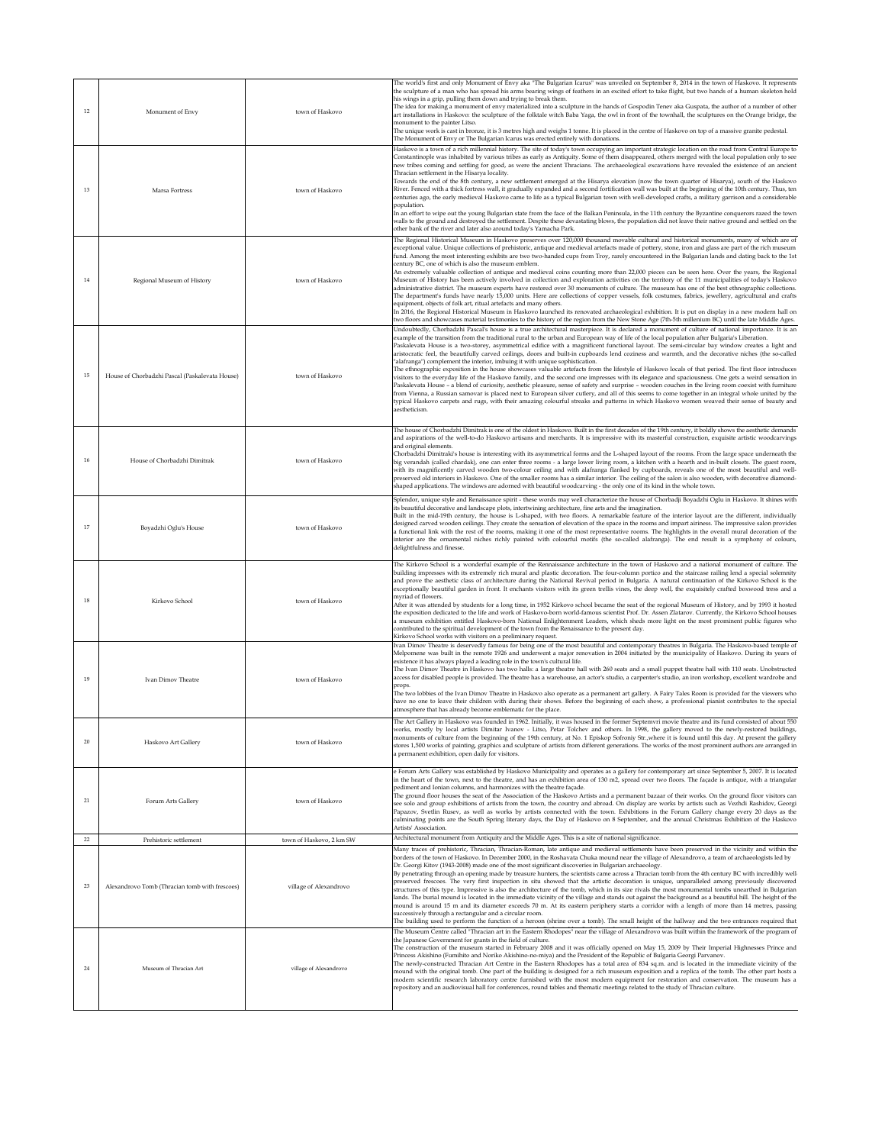| $12 \,$      | Monument of Envy                                                         | town of Haskovo                                    | The world's first and only Monument of Envy aka "The Bulgarian Icarus" was unveiled on September 8, 2014 in the town of Haskovo. It represents<br>the sculpture of a man who has spread his arms bearing wings of feathers in an excited effort to take flight, but two hands of a human skeleton hold<br>his wings in a grip, pulling them down and trying to break them.<br>The idea for making a monument of envy materialized into a sculpture in the hands of Gospodin Tenev aka Guspata, the author of a number of other<br>art installations in Haskovo: the sculpture of the folktale witch Baba Yaga, the owl in front of the townhall, the sculptures on the Orange bridge, the<br>monument to the painter Litso.<br>The unique work is cast in bronze, it is 3 metres high and weighs 1 tonne. It is placed in the centre of Haskovo on top of a massive granite pedestal.<br>The Monument of Envy or The Bulgarian Icarus was erected entirely with donations.                                                                                                                                                                                                                                                                                                                                                                                                                                                                                                                                            |
|--------------|--------------------------------------------------------------------------|----------------------------------------------------|-----------------------------------------------------------------------------------------------------------------------------------------------------------------------------------------------------------------------------------------------------------------------------------------------------------------------------------------------------------------------------------------------------------------------------------------------------------------------------------------------------------------------------------------------------------------------------------------------------------------------------------------------------------------------------------------------------------------------------------------------------------------------------------------------------------------------------------------------------------------------------------------------------------------------------------------------------------------------------------------------------------------------------------------------------------------------------------------------------------------------------------------------------------------------------------------------------------------------------------------------------------------------------------------------------------------------------------------------------------------------------------------------------------------------------------------------------------------------------------------------------------------------|
| 13           | Marsa Fortress                                                           | town of Haskovo                                    | Haskovo is a town of a rich millennial history. The site of today's town occupying an important strategic location on the road from Central Europe to<br>Constantinople was inhabited by various tribes as early as Antiquity. Some of them disappeared, others merged with the local population only to see<br>new tribes coming and settling for good, as were the ancient Thracians. The archaeological excavations have revealed the existence of an ancient<br>Thracian settlement in the Hisarya locality.<br>Towards the end of the 8th century, a new settlement emerged at the Hisarya elevation (now the town quarter of Hisarya), south of the Haskovo<br>River. Fenced with a thick fortress wall, it gradually expanded and a second fortification wall was built at the beginning of the 10th century. Thus, ten<br>centuries ago, the early medieval Haskovo came to life as a typical Bulgarian town with well-developed crafts, a military garrison and a considerable<br>population.<br>In an effort to wipe out the young Bulgarian state from the face of the Balkan Peninsula, in the 11th century the Byzantine conquerors razed the town<br>walls to the ground and destroyed the settlement. Despite these devastating blows, the population did not leave their native ground and settled on the<br>other bank of the river and later also around today's Yamacha Park.                                                                                                                      |
| 14           | Regional Museum of History                                               | town of Haskovo                                    | The Regional Historical Museum in Haskovo preserves over 120,000 thousand movable cultural and historical monuments, many of which are of<br>exceptional value. Unique collections of prehistoric, antique and medieval artefacts made of pottery, stone, iron and glass are part of the rich museum<br>fund. Among the most interesting exhibits are two two-handed cups from Troy, rarely encountered in the Bulgarian lands and dating back to the 1st<br>century BC, one of which is also the museum emblem.<br>An extremely valuable collection of antique and medieval coins counting more than 22,000 pieces can be seen here. Over the years, the Regional<br>Museum of History has been actively involved in collection and exploration activities on the territory of the 11 municipalities of today's Haskovo<br>administrative district. The museum experts have restored over 30 monuments of culture. The museum has one of the best ethnographic collections.<br>The department's funds have nearly 15,000 units. Here are collections of copper vessels, folk costumes, fabrics, jewellery, agricultural and crafts<br>equipment, objects of folk art, ritual artefacts and many others.<br>In 2016, the Regional Historical Museum in Haskovo launched its renovated archaeological exhibition. It is put on display in a new modern hall on<br>two floors and showcases material testimonies to the history of the region from the New Stone Age (7th-5th millenium BC) until the late Middle Ages. |
| 15           | House of Chorbadzhi Pascal (Paskalevata House)                           | town of Haskovo                                    | Undoubtedly, Chorbadzhi Pascal's house is a true architectural masterpiece. It is declared a monument of culture of national importance. It is an<br>example of the transition from the traditional rural to the urban and European way of life of the local population after Bulgaria's Liberation.<br>Paskalevata House is a two-storey, asymmetrical edifice with a magnificent functional layout. The semi-circular bay window creates a light and<br>aristocratic feel, the beautifully carved ceilings, doors and built-in cupboards lend coziness and warmth, and the decorative niches (the so-called<br>"alafranga") complement the interior, imbuing it with unique sophistication.<br>The ethnographic exposition in the house showcases valuable artefacts from the lifestyle of Haskovo locals of that period. The first floor introduces<br>visitors to the everyday life of the Haskovo family, and the second one impresses with its elegance and spaciousness. One gets a weird sensation in<br>Paskalevata House - a blend of curiosity, aesthetic pleasure, sense of safety and surprise - wooden couches in the living room coexist with furniture<br>from Vienna, a Russian samovar is placed next to European silver cutlery, and all of this seems to come together in an integral whole united by the<br>typical Haskovo carpets and rugs, with their amazing colourful streaks and patterns in which Haskovo women weaved their sense of beauty and<br>aestheticism.                         |
| 16           | House of Chorbadzhi Dimitrak                                             | town of Haskovo                                    | The house of Chorbadzhi Dimitrak is one of the oldest in Haskovo. Built in the first decades of the 19th century, it boldly shows the aesthetic demands<br>and aspirations of the well-to-do Haskovo artisans and merchants. It is impressive with its masterful construction, exquisite artistic woodcarvings<br>and original elements.<br>Chorbadzhi Dimitraki's house is interesting with its asymmetrical forms and the L-shaped layout of the rooms. From the large space underneath the<br>big verandah (called chardak), one can enter three rooms - a large lower living room, a kitchen with a hearth and in-built closets. The guest room,<br>with its magnificently carved wooden two-colour ceiling and with alafranga flanked by cupboards, reveals one of the most beautiful and well-<br>preserved old interiors in Haskovo. One of the smaller rooms has a similar interior. The ceiling of the salon is also wooden, with decorative diamond-<br>shaped applications. The windows are adorned with beautiful woodcarving - the only one of its kind in the whole town.                                                                                                                                                                                                                                                                                                                                                                                                                               |
| $17\,$       | Boyadzhi Oglu's House                                                    | town of Haskovo                                    | Splendor, unique style and Renaissance spirit - these words may well characterize the house of Chorbadji Boyadzhi Oglu in Haskovo. It shines with<br>its beautiful decorative and landscape plots, intertwining architecture, fine arts and the imagination.<br>Built in the mid-19th century, the house is L-shaped, with two floors. A remarkable feature of the interior layout are the different, individually<br>designed carved wooden ceilings. They create the sensation of elevation of the space in the rooms and impart airiness. The impressive salon provides<br>a functional link with the rest of the rooms, making it one of the most representative rooms. The highlights in the overall mural decoration of the<br>interior are the ornamental niches richly painted with colourful motifs (the so-called alafranga). The end result is a symphony of colours,<br>delightfulness and finesse.                                                                                                                                                                                                                                                                                                                                                                                                                                                                                                                                                                                                       |
| 18           | Kirkovo School                                                           | town of Haskovo                                    | The Kirkovo School is a wonderful example of the Rennaissance architecture in the town of Haskovo and a national monument of culture. The<br>building impresses with its extremely rich mural and plastic decoration. The four-column portico and the staircase railing lend a special solemnity<br>and prove the aesthetic class of architecture during the National Revival period in Bulgaria. A natural continuation of the Kirkovo School is the<br>exceptionally beautiful garden in front. It enchants visitors with its green trellis vines, the deep well, the exquisitely crafted boxwood tress and a<br>myriad of flowers.<br>After it was attended by students for a long time, in 1952 Kirkovo school became the seat of the regional Museum of History, and by 1993 it hosted<br>the exposition dedicated to the life and work of Haskovo-born world-famous scientist Prof. Dr. Assen Zlatarov. Currently, the Kirkovo School houses<br>a museum exhibition entitled Haskovo-born National Enlightenment Leaders, which sheds more light on the most prominent public figures who<br>contributed to the spiritual development of the town from the Renaissance to the present day.<br>Kirkovo School works with visitors on a preliminary request.                                                                                                                                                                                                                                                      |
| 19           | <b>Ivan Dimoy Theatre</b>                                                | town of Haskovo                                    | Ivan Dimov Theatre is deservedly famous for being one of the most beautiful and contemporary theatres in Bulgaria. The Haskovo-based temple of<br>Melpomene was built in the remote 1926 and underwent a major renovation in 2004 initiated by the municipality of Haskovo. During its years of<br>existence it has always played a leading role in the town's cultural life.<br>The Ivan Dimov Theatre in Haskovo has two halls: a large theatre hall with 260 seats and a small puppet theatre hall with 110 seats. Unobstructed<br>access for disabled people is provided. The theatre has a warehouse, an actor's studio, a carpenter's studio, an iron workshop, excellent wardrobe and<br>props.<br>The two lobbies of the Ivan Dimov Theatre in Haskovo also operate as a permanent art gallery. A Fairy Tales Room is provided for the viewers who<br>have no one to leave their children with during their shows. Before the beginning of each show, a professional pianist contributes to the special<br>atmosphere that has already become emblematic for the place.                                                                                                                                                                                                                                                                                                                                                                                                                                       |
| 20           | Haskovo Art Gallery                                                      | town of Haskovo                                    | The Art Gallery in Haskovo was founded in 1962. Initially, it was housed in the former Septemvri movie theatre and its fund consisted of about 550<br>works, mostly by local artists Dimitar Ivanov - Litso, Petar Tolchev and others. In 1998, the gallery moved to the newly-restored buildings,<br>monuments of culture from the beginning of the 19th century, at No. 1 Episkop Sofroniy Str.,where it is found until this day. At present the gallery<br>stores 1,500 works of painting, graphics and sculpture of artists from different generations. The works of the most prominent authors are arranged in<br>a permanent exhibition, open daily for visitors.                                                                                                                                                                                                                                                                                                                                                                                                                                                                                                                                                                                                                                                                                                                                                                                                                                               |
| 21           | Forum Arts Gallery                                                       | town of Haskovo                                    | e Forum Arts Gallery was established by Haskovo Municipality and operates as a gallery for contemporary art since September 5, 2007. It is located<br>in the heart of the town, next to the theatre, and has an exhibition area of 130 m2, spread over two floors. The façade is antique, with a triangular<br>pediment and Ionian columns, and harmonizes with the theatre façade.<br>The ground floor houses the seat of the Association of the Haskovo Artists and a permanent bazaar of their works. On the ground floor visitors can<br>see solo and group exhibitions of artists from the town, the country and abroad. On display are works by artists such as Vezhdi Rashidov, Georgi<br>Papazov, Svetlin Rusev, as well as works by artists connected with the town. Exhibitions in the Forum Gallery change every 20 days as the<br>culminating points are the South Spring literary days, the Day of Haskovo on 8 September, and the annual Christmas Exhibition of the Haskovo<br>Artists' Association                                                                                                                                                                                                                                                                                                                                                                                                                                                                                                    |
| $22\,$<br>23 | Prehistoric settlement<br>Alexandrovo Tomb (Thracian tomb with frescoes) | town of Haskovo, 2 km SW<br>village of Alexandrovo | Architectural monument from Antiquity and the Middle Ages. This is a site of national significance.<br>Many traces of prehistoric, Thracian, Thracian-Roman, late antique and medieval settlements have been preserved in the vicinity and within the<br>borders of the town of Haskovo. In December 2000, in the Roshavata Chuka mound near the village of Alexandrovo, a team of archaeologists led by<br>Dr. Georgi Kitov (1943-2008) made one of the most significant discoveries in Bulgarian archaeology.<br>By penetrating through an opening made by treasure hunters, the scientists came across a Thracian tomb from the 4th century BC with incredibly well-<br>preserved frescoes. The very first inspection in situ showed that the artistic decoration is unique, unparalleled among previously discovered<br>structures of this type. Impressive is also the architecture of the tomb, which in its size rivals the most monumental tombs unearthed in Bulgarian<br>lands. The burial mound is located in the immediate vicinity of the village and stands out against the background as a beautiful hill. The height of the<br>mound is around 15 m and its diameter exceeds 70 m. At its eastern periphery starts a corridor with a length of more than 14 metres, passing<br>successively through a rectangular and a circular room.<br>The building used to perform the function of a heroon (shrine over a tomb). The small height of the hallway and the two entrances required that             |
| 24           | Museum of Thracian Art                                                   | village of Alexandrovo                             | The Museum Centre called "Thracian art in the Eastern Rhodopes" near the village of Alexandrovo was built within the framework of the program of<br>the Japanese Government for grants in the field of culture.<br>The construction of the museum started in February 2008 and it was officially opened on May 15, 2009 by Their Imperial Highnesses Prince and<br>Princess Akishino (Fumihito and Noriko Akishino-no-miya) and the President of the Republic of Bulgaria Georgi Parvanov.<br>The newly-constructed Thracian Art Centre in the Eastern Rhodopes has a total area of 834 sq.m. and is located in the immediate vicinity of the<br>mound with the original tomb. One part of the building is designed for a rich museum exposition and a replica of the tomb. The other part hosts a<br>modern scientific research laboratory centre furnished with the most modern equipment for restoration and conservation. The museum has a<br>repository and an audiovisual hall for conferences, round tables and thematic meetings related to the study of Thracian culture.                                                                                                                                                                                                                                                                                                                                                                                                                                    |